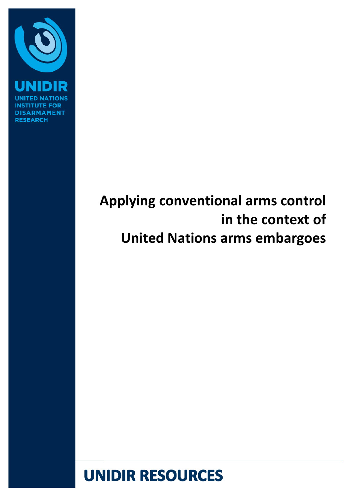

ĨÑ, **DISARMAMENT RESEARCH** 

# **Applying conventional arms control in the context of United Nations arms embargoes**

# **UNIDIR RESOURCES**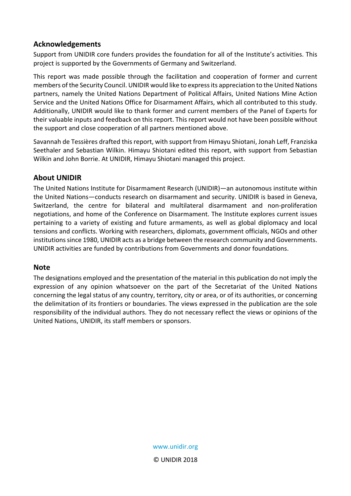## **Acknowledgements**

Support from UNIDIR core funders provides the foundation for all of the Institute's activities. This project is supported by the Governments of Germany and Switzerland.

This report was made possible through the facilitation and cooperation of former and current members of the Security Council. UNIDIR would like to express its appreciation to the United Nations partners, namely the United Nations Department of Political Affairs, United Nations Mine Action Service and the United Nations Office for Disarmament Affairs, which all contributed to this study. Additionally, UNIDIR would like to thank former and current members of the Panel of Experts for their valuable inputs and feedback on this report. This report would not have been possible without the support and close cooperation of all partners mentioned above.

Savannah de Tessières drafted this report, with support from Himayu Shiotani, Jonah Leff, Franziska Seethaler and Sebastian Wilkin. Himayu Shiotani edited this report, with support from Sebastian Wilkin and John Borrie. At UNIDIR, Himayu Shiotani managed this project.

### **About UNIDIR**

The United Nations Institute for Disarmament Research (UNIDIR)—an autonomous institute within the United Nations—conducts research on disarmament and security. UNIDIR is based in Geneva, Switzerland, the centre for bilateral and multilateral disarmament and non-proliferation negotiations, and home of the Conference on Disarmament. The Institute explores current issues pertaining to a variety of existing and future armaments, as well as global diplomacy and local tensions and conflicts. Working with researchers, diplomats, government officials, NGOs and other institutions since 1980, UNIDIR acts as a bridge between the research community and Governments. UNIDIR activities are funded by contributions from Governments and donor foundations.

### **Note**

The designations employed and the presentation of the material in this publication do not imply the expression of any opinion whatsoever on the part of the Secretariat of the United Nations concerning the legal status of any country, territory, city or area, or of its authorities, or concerning the delimitation of its frontiers or boundaries. The views expressed in the publication are the sole responsibility of the individual authors. They do not necessary reflect the views or opinions of the United Nations, UNIDIR, its staff members or sponsors.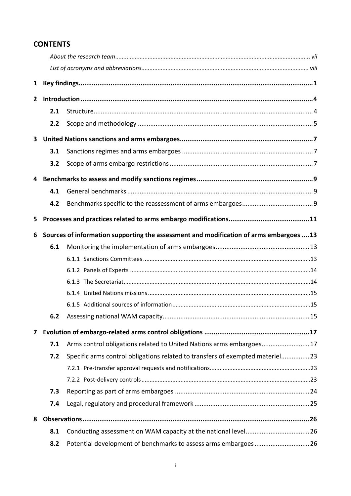## **CONTENTS**

| $\mathbf{1}$ |     |                                                                                         |  |  |  |  |  |  |  |
|--------------|-----|-----------------------------------------------------------------------------------------|--|--|--|--|--|--|--|
| $\mathbf{2}$ |     |                                                                                         |  |  |  |  |  |  |  |
|              | 2.1 |                                                                                         |  |  |  |  |  |  |  |
|              | 2.2 |                                                                                         |  |  |  |  |  |  |  |
| 3            |     |                                                                                         |  |  |  |  |  |  |  |
|              | 3.1 |                                                                                         |  |  |  |  |  |  |  |
|              | 3.2 |                                                                                         |  |  |  |  |  |  |  |
| 4            |     |                                                                                         |  |  |  |  |  |  |  |
|              | 4.1 |                                                                                         |  |  |  |  |  |  |  |
|              | 4.2 |                                                                                         |  |  |  |  |  |  |  |
| 5            |     |                                                                                         |  |  |  |  |  |  |  |
| 6            |     | Sources of information supporting the assessment and modification of arms embargoes  13 |  |  |  |  |  |  |  |
|              | 6.1 |                                                                                         |  |  |  |  |  |  |  |
|              |     |                                                                                         |  |  |  |  |  |  |  |
|              |     |                                                                                         |  |  |  |  |  |  |  |
|              |     |                                                                                         |  |  |  |  |  |  |  |
|              |     |                                                                                         |  |  |  |  |  |  |  |
|              |     |                                                                                         |  |  |  |  |  |  |  |
|              |     |                                                                                         |  |  |  |  |  |  |  |
| 7            |     |                                                                                         |  |  |  |  |  |  |  |
|              | 7.1 | Arms control obligations related to United Nations arms embargoes17                     |  |  |  |  |  |  |  |
|              | 7.2 | Specific arms control obligations related to transfers of exempted materiel 23          |  |  |  |  |  |  |  |
|              |     |                                                                                         |  |  |  |  |  |  |  |
|              |     |                                                                                         |  |  |  |  |  |  |  |
|              | 7.3 |                                                                                         |  |  |  |  |  |  |  |
|              | 7.4 |                                                                                         |  |  |  |  |  |  |  |
| 8            |     |                                                                                         |  |  |  |  |  |  |  |
|              | 8.1 |                                                                                         |  |  |  |  |  |  |  |
|              | 8.2 |                                                                                         |  |  |  |  |  |  |  |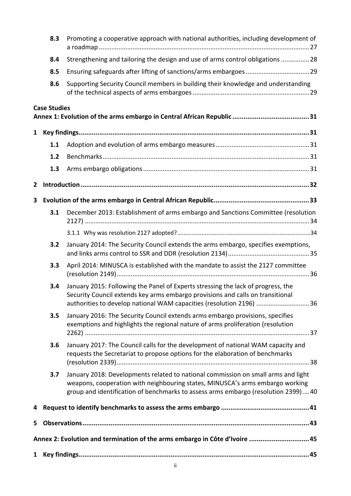|              | 8.3                 | Promoting a cooperative approach with national authorities, including development of                                                                                                                                                                    |
|--------------|---------------------|---------------------------------------------------------------------------------------------------------------------------------------------------------------------------------------------------------------------------------------------------------|
|              | 8.4                 | Strengthening and tailoring the design and use of arms control obligations 28                                                                                                                                                                           |
|              | 8.5                 |                                                                                                                                                                                                                                                         |
|              | 8.6                 | Supporting Security Council members in building their knowledge and understanding                                                                                                                                                                       |
|              | <b>Case Studies</b> |                                                                                                                                                                                                                                                         |
| $\mathbf{1}$ |                     |                                                                                                                                                                                                                                                         |
|              | 1.1                 |                                                                                                                                                                                                                                                         |
|              | 1.2                 |                                                                                                                                                                                                                                                         |
|              | 1.3                 |                                                                                                                                                                                                                                                         |
| 2            |                     |                                                                                                                                                                                                                                                         |
| 3            |                     |                                                                                                                                                                                                                                                         |
|              | 3.1                 | December 2013: Establishment of arms embargo and Sanctions Committee (resolution                                                                                                                                                                        |
|              |                     |                                                                                                                                                                                                                                                         |
|              | 3.2                 | January 2014: The Security Council extends the arms embargo, specifies exemptions,                                                                                                                                                                      |
|              | 3.3                 | April 2014: MINUSCA is established with the mandate to assist the 2127 committee                                                                                                                                                                        |
|              | 3.4                 | January 2015: Following the Panel of Experts stressing the lack of progress, the<br>Security Council extends key arms embargo provisions and calls on transitional<br>authorities to develop national WAM capacities (resolution 2196) 36               |
|              | 3.5                 | January 2016: The Security Council extends arms embargo provisions, specifies<br>exemptions and highlights the regional nature of arms proliferation (resolution                                                                                        |
|              | 3.6                 | January 2017: The Council calls for the development of national WAM capacity and<br>requests the Secretariat to propose options for the elaboration of benchmarks                                                                                       |
|              | 3.7                 | January 2018: Developments related to national commission on small arms and light<br>weapons, cooperation with neighbouring states, MINUSCA's arms embargo working<br>group and identification of benchmarks to assess arms embargo (resolution 2399)40 |
| 4            |                     |                                                                                                                                                                                                                                                         |
| 5.           |                     |                                                                                                                                                                                                                                                         |
|              |                     | Annex 2: Evolution and termination of the arms embargo in Côte d'Ivoire 45                                                                                                                                                                              |
| $\mathbf{1}$ |                     |                                                                                                                                                                                                                                                         |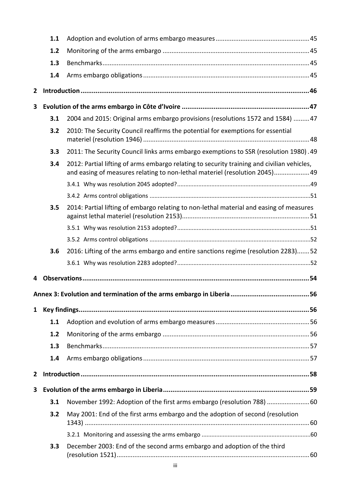|              | 1.1 |                                                                                                                                                                          |  |
|--------------|-----|--------------------------------------------------------------------------------------------------------------------------------------------------------------------------|--|
|              | 1.2 |                                                                                                                                                                          |  |
|              | 1.3 |                                                                                                                                                                          |  |
|              | 1.4 |                                                                                                                                                                          |  |
| $\mathbf{2}$ |     |                                                                                                                                                                          |  |
| 3            |     |                                                                                                                                                                          |  |
|              | 3.1 | 2004 and 2015: Original arms embargo provisions (resolutions 1572 and 1584)  47                                                                                          |  |
|              | 3.2 | 2010: The Security Council reaffirms the potential for exemptions for essential                                                                                          |  |
|              | 3.3 | 2011: The Security Council links arms embargo exemptions to SSR (resolution 1980). 49                                                                                    |  |
|              | 3.4 | 2012: Partial lifting of arms embargo relating to security training and civilian vehicles,<br>and easing of measures relating to non-lethal materiel (resolution 2045)49 |  |
|              |     |                                                                                                                                                                          |  |
|              |     |                                                                                                                                                                          |  |
|              | 3.5 | 2014: Partial lifting of embargo relating to non-lethal material and easing of measures                                                                                  |  |
|              |     |                                                                                                                                                                          |  |
|              |     |                                                                                                                                                                          |  |
|              | 3.6 | 2016: Lifting of the arms embargo and entire sanctions regime (resolution 2283)52                                                                                        |  |
|              |     |                                                                                                                                                                          |  |
| 4            |     |                                                                                                                                                                          |  |
|              |     |                                                                                                                                                                          |  |
| $\mathbf{1}$ |     |                                                                                                                                                                          |  |
|              | 1.1 |                                                                                                                                                                          |  |
|              | 1.2 |                                                                                                                                                                          |  |
|              | 1.3 |                                                                                                                                                                          |  |
|              | 1.4 |                                                                                                                                                                          |  |
| $\mathbf{2}$ |     |                                                                                                                                                                          |  |
| 3            |     |                                                                                                                                                                          |  |
|              | 3.1 | November 1992: Adoption of the first arms embargo (resolution 788) 60                                                                                                    |  |
|              | 3.2 | May 2001: End of the first arms embargo and the adoption of second (resolution                                                                                           |  |
|              |     |                                                                                                                                                                          |  |
|              | 3.3 | December 2003: End of the second arms embargo and adoption of the third                                                                                                  |  |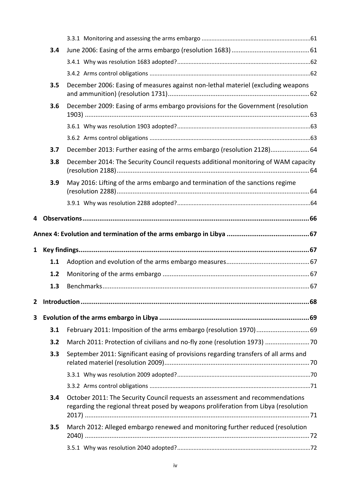|   | 3.4   |                                                                                                                                                                      |  |
|---|-------|----------------------------------------------------------------------------------------------------------------------------------------------------------------------|--|
|   |       |                                                                                                                                                                      |  |
|   |       |                                                                                                                                                                      |  |
|   | 3.5   | December 2006: Easing of measures against non-lethal materiel (excluding weapons                                                                                     |  |
|   | 3.6   | December 2009: Easing of arms embargo provisions for the Government (resolution                                                                                      |  |
|   |       |                                                                                                                                                                      |  |
|   |       |                                                                                                                                                                      |  |
|   | 3.7   | December 2013: Further easing of the arms embargo (resolution 2128) 64                                                                                               |  |
|   | 3.8   | December 2014: The Security Council requests additional monitoring of WAM capacity                                                                                   |  |
|   | 3.9   | May 2016: Lifting of the arms embargo and termination of the sanctions regime                                                                                        |  |
|   |       |                                                                                                                                                                      |  |
| 4 |       |                                                                                                                                                                      |  |
|   |       |                                                                                                                                                                      |  |
|   |       |                                                                                                                                                                      |  |
|   |       |                                                                                                                                                                      |  |
|   |       |                                                                                                                                                                      |  |
|   | 1.1   |                                                                                                                                                                      |  |
|   | $1.2$ |                                                                                                                                                                      |  |
|   | 1.3   |                                                                                                                                                                      |  |
| 2 |       |                                                                                                                                                                      |  |
| 3 |       |                                                                                                                                                                      |  |
|   | 3.1   | February 2011: Imposition of the arms embargo (resolution 1970)69                                                                                                    |  |
|   | 3.2   | March 2011: Protection of civilians and no-fly zone (resolution 1973) 70                                                                                             |  |
|   | 3.3   | September 2011: Significant easing of provisions regarding transfers of all arms and                                                                                 |  |
|   |       |                                                                                                                                                                      |  |
|   |       |                                                                                                                                                                      |  |
|   | 3.4   | October 2011: The Security Council requests an assessment and recommendations<br>regarding the regional threat posed by weapons proliferation from Libya (resolution |  |
|   | 3.5   | March 2012: Alleged embargo renewed and monitoring further reduced (resolution                                                                                       |  |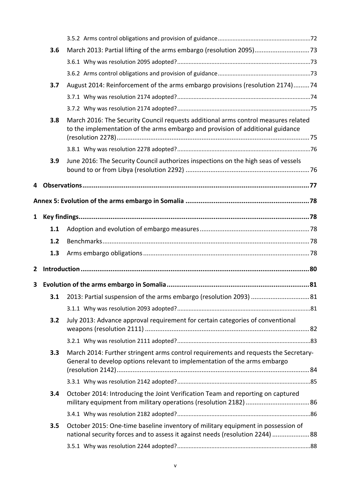|   | 3.6 |                                                                                                                                                                      |  |
|---|-----|----------------------------------------------------------------------------------------------------------------------------------------------------------------------|--|
|   |     |                                                                                                                                                                      |  |
|   |     |                                                                                                                                                                      |  |
|   | 3.7 | August 2014: Reinforcement of the arms embargo provisions (resolution 2174)74                                                                                        |  |
|   |     |                                                                                                                                                                      |  |
|   |     |                                                                                                                                                                      |  |
|   | 3.8 | March 2016: The Security Council requests additional arms control measures related<br>to the implementation of the arms embargo and provision of additional guidance |  |
|   |     |                                                                                                                                                                      |  |
|   | 3.9 | June 2016: The Security Council authorizes inspections on the high seas of vessels                                                                                   |  |
| 4 |     |                                                                                                                                                                      |  |
|   |     |                                                                                                                                                                      |  |
|   |     |                                                                                                                                                                      |  |
| 1 |     |                                                                                                                                                                      |  |
|   | 1.1 |                                                                                                                                                                      |  |
|   | 1.2 |                                                                                                                                                                      |  |
|   | 1.3 |                                                                                                                                                                      |  |
| 2 |     |                                                                                                                                                                      |  |
| 3 |     |                                                                                                                                                                      |  |
|   |     | 3.1 2013: Partial suspension of the arms embargo (resolution 2093)  81                                                                                               |  |
|   |     |                                                                                                                                                                      |  |
|   | 3.2 | July 2013: Advance approval requirement for certain categories of conventional                                                                                       |  |
|   |     |                                                                                                                                                                      |  |
|   | 3.3 | March 2014: Further stringent arms control requirements and requests the Secretary-<br>General to develop options relevant to implementation of the arms embargo     |  |
|   |     |                                                                                                                                                                      |  |
|   | 3.4 | October 2014: Introducing the Joint Verification Team and reporting on captured                                                                                      |  |
|   |     |                                                                                                                                                                      |  |
|   | 3.5 | October 2015: One-time baseline inventory of military equipment in possession of<br>national security forces and to assess it against needs (resolution 2244) 88     |  |
|   |     |                                                                                                                                                                      |  |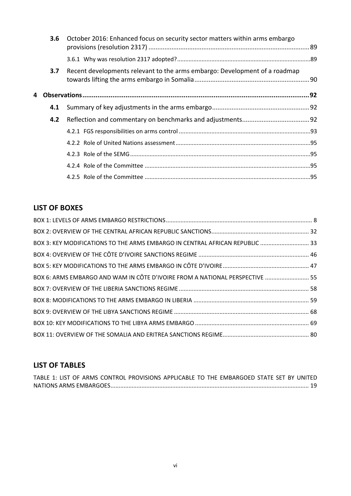|   | 3.6 | October 2016: Enhanced focus on security sector matters within arms embargo |  |
|---|-----|-----------------------------------------------------------------------------|--|
|   |     |                                                                             |  |
|   | 3.7 | Recent developments relevant to the arms embargo: Development of a roadmap  |  |
| 4 |     |                                                                             |  |
|   | 4.1 |                                                                             |  |
|   | 4.2 |                                                                             |  |
|   |     |                                                                             |  |
|   |     |                                                                             |  |
|   |     |                                                                             |  |
|   |     |                                                                             |  |
|   |     |                                                                             |  |

## **LIST OF BOXES**

| BOX 3: KEY MODIFICATIONS TO THE ARMS EMBARGO IN CENTRAL AFRICAN REPUBLIC  33 |  |
|------------------------------------------------------------------------------|--|
|                                                                              |  |
|                                                                              |  |
| BOX 6: ARMS EMBARGO AND WAM IN CÔTE D'IVOIRE FROM A NATIONAL PERSPECTIVE  55 |  |
|                                                                              |  |
|                                                                              |  |
|                                                                              |  |
|                                                                              |  |
|                                                                              |  |

## **LIST OF TABLES**

| TABLE 1: LIST OF ARMS CONTROL PROVISIONS APPLICABLE TO THE EMBARGOED STATE SET BY UNITED |  |  |  |
|------------------------------------------------------------------------------------------|--|--|--|
|                                                                                          |  |  |  |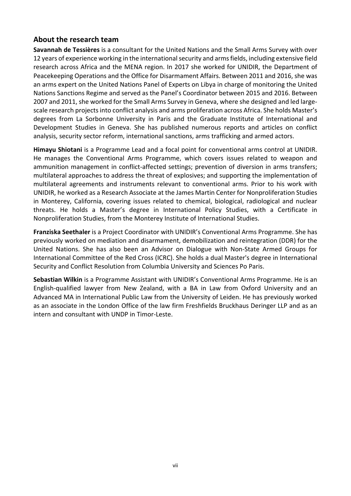### <span id="page-8-0"></span>**About the research team**

**Savannah de Tessières** is a consultant for the United Nations and the Small Arms Survey with over 12 years of experience working in the international security and arms fields, including extensive field research across Africa and the MENA region. In 2017 she worked for UNIDIR, the Department of Peacekeeping Operations and the Office for Disarmament Affairs. Between 2011 and 2016, she was an arms expert on the United Nations Panel of Experts on Libya in charge of monitoring the United Nations Sanctions Regime and served as the Panel's Coordinator between 2015 and 2016. Between 2007 and 2011, she worked for the Small Arms Survey in Geneva, where she designed and led largescale research projects into conflict analysis and arms proliferation across Africa. She holds Master's degrees from La Sorbonne University in Paris and the Graduate Institute of International and Development Studies in Geneva. She has published numerous reports and articles on conflict analysis, security sector reform, international sanctions, arms trafficking and armed actors.

**Himayu Shiotani** is a Programme Lead and a focal point for conventional arms control at UNIDIR. He manages the Conventional Arms Programme, which covers issues related to weapon and ammunition management in conflict-affected settings; prevention of diversion in arms transfers; multilateral approaches to address the threat of explosives; and supporting the implementation of multilateral agreements and instruments relevant to conventional arms. Prior to his work with UNIDIR, he worked as a Research Associate at the James Martin Center for Nonproliferation Studies in Monterey, California, covering issues related to chemical, biological, radiological and nuclear threats. He holds a Master's degree in International Policy Studies, with a Certificate in Nonproliferation Studies, from the Monterey Institute of International Studies.

**Franziska Seethaler** is a Project Coordinator with UNIDIR's Conventional Arms Programme. She has previously worked on mediation and disarmament, demobilization and reintegration (DDR) for the United Nations. She has also been an Advisor on Dialogue with Non-State Armed Groups for International Committee of the Red Cross (ICRC). She holds a dual Master's degree in International Security and Conflict Resolution from Columbia University and Sciences Po Paris.

**Sebastian Wilkin** is a Programme Assistant with UNIDIR's Conventional Arms Programme. He is an English-qualified lawyer from New Zealand, with a BA in Law from Oxford University and an Advanced MA in International Public Law from the University of Leiden. He has previously worked as an associate in the London Office of the law firm Freshfields Bruckhaus Deringer LLP and as an intern and consultant with UNDP in Timor-Leste.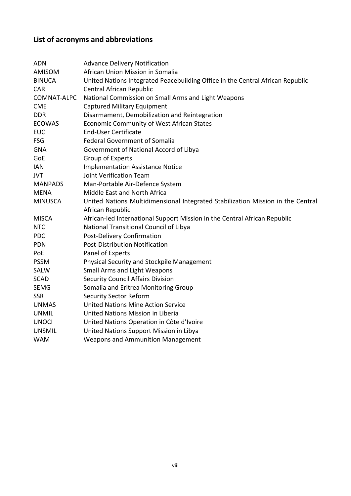## <span id="page-9-0"></span>**List of acronyms and abbreviations**

| <b>ADN</b>     | <b>Advance Delivery Notification</b>                                            |
|----------------|---------------------------------------------------------------------------------|
| AMISOM         | African Union Mission in Somalia                                                |
| <b>BINUCA</b>  | United Nations Integrated Peacebuilding Office in the Central African Republic  |
| <b>CAR</b>     | Central African Republic                                                        |
| COMNAT-ALPC    | National Commission on Small Arms and Light Weapons                             |
| <b>CME</b>     | <b>Captured Military Equipment</b>                                              |
| <b>DDR</b>     | Disarmament, Demobilization and Reintegration                                   |
| <b>ECOWAS</b>  | Economic Community of West African States                                       |
| <b>EUC</b>     | <b>End-User Certificate</b>                                                     |
| <b>FSG</b>     | <b>Federal Government of Somalia</b>                                            |
| <b>GNA</b>     | Government of National Accord of Libya                                          |
| GoE            | Group of Experts                                                                |
| <b>IAN</b>     | <b>Implementation Assistance Notice</b>                                         |
| <b>JVT</b>     | <b>Joint Verification Team</b>                                                  |
| <b>MANPADS</b> | Man-Portable Air-Defence System                                                 |
| <b>MENA</b>    | Middle East and North Africa                                                    |
| <b>MINUSCA</b> | United Nations Multidimensional Integrated Stabilization Mission in the Central |
|                | African Republic                                                                |
| <b>MISCA</b>   | African-led International Support Mission in the Central African Republic       |
| <b>NTC</b>     | National Transitional Council of Libya                                          |
| <b>PDC</b>     | Post-Delivery Confirmation                                                      |
| <b>PDN</b>     | <b>Post-Distribution Notification</b>                                           |
| PoE            | Panel of Experts                                                                |
| <b>PSSM</b>    | Physical Security and Stockpile Management                                      |
| SALW           | <b>Small Arms and Light Weapons</b>                                             |
| <b>SCAD</b>    | <b>Security Council Affairs Division</b>                                        |
| <b>SEMG</b>    | Somalia and Eritrea Monitoring Group                                            |
| <b>SSR</b>     | <b>Security Sector Reform</b>                                                   |
| <b>UNMAS</b>   | <b>United Nations Mine Action Service</b>                                       |
| <b>UNMIL</b>   | United Nations Mission in Liberia                                               |
| <b>UNOCI</b>   | United Nations Operation in Côte d'Ivoire                                       |
| <b>UNSMIL</b>  | United Nations Support Mission in Libya                                         |
| <b>WAM</b>     | <b>Weapons and Ammunition Management</b>                                        |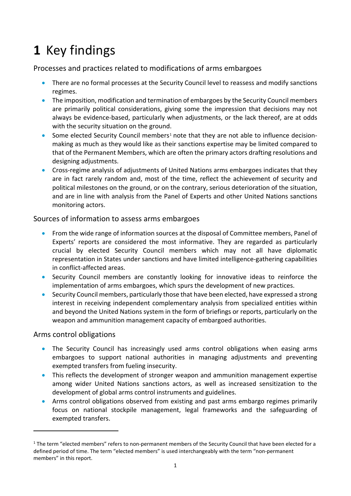# <span id="page-10-0"></span>**1** Key findings

Processes and practices related to modifications of arms embargoes

- There are no formal processes at the Security Council level to reassess and modify sanctions regimes.
- The imposition, modification and termination of embargoes by the Security Council members are primarily political considerations, giving some the impression that decisions may not always be evidence-based, particularly when adjustments, or the lack thereof, are at odds with the security situation on the ground.
- Some elected Security Council members<sup>[1](#page-10-1)</sup> note that they are not able to influence decisionmaking as much as they would like as their sanctions expertise may be limited compared to that of the Permanent Members, which are often the primary actors drafting resolutions and designing adjustments.
- Cross-regime analysis of adjustments of United Nations arms embargoes indicates that they are in fact rarely random and, most of the time, reflect the achievement of security and political milestones on the ground, or on the contrary, serious deterioration of the situation, and are in line with analysis from the Panel of Experts and other United Nations sanctions monitoring actors.

### Sources of information to assess arms embargoes

- From the wide range of information sources at the disposal of Committee members, Panel of Experts' reports are considered the most informative. They are regarded as particularly crucial by elected Security Council members which may not all have diplomatic representation in States under sanctions and have limited intelligence-gathering capabilities in conflict-affected areas.
- Security Council members are constantly looking for innovative ideas to reinforce the implementation of arms embargoes, which spurs the development of new practices.
- Security Council members, particularly those that have been elected, have expressed a strong interest in receiving independent complementary analysis from specialized entities within and beyond the United Nations system in the form of briefings or reports, particularly on the weapon and ammunition management capacity of embargoed authorities.

## Arms control obligations

- The Security Council has increasingly used arms control obligations when easing arms embargoes to support national authorities in managing adjustments and preventing exempted transfers from fueling insecurity.
- This reflects the development of stronger weapon and ammunition management expertise among wider United Nations sanctions actors, as well as increased sensitization to the development of global arms control instruments and guidelines.
- Arms control obligations observed from existing and past arms embargo regimes primarily focus on national stockpile management, legal frameworks and the safeguarding of exempted transfers.

<span id="page-10-1"></span> $1$  The term "elected members" refers to non-permanent members of the Security Council that have been elected for a defined period of time. The term "elected members" is used interchangeably with the term "non-permanent members" in this report.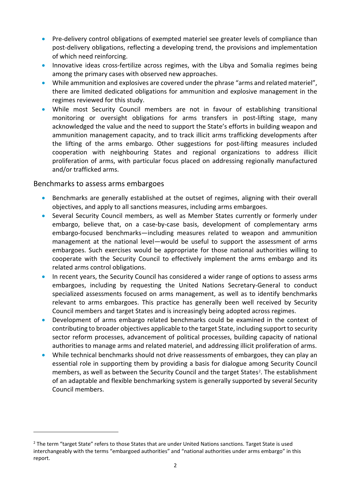- Pre-delivery control obligations of exempted materiel see greater levels of compliance than post-delivery obligations, reflecting a developing trend, the provisions and implementation of which need reinforcing.
- Innovative ideas cross-fertilize across regimes, with the Libya and Somalia regimes being among the primary cases with observed new approaches.
- While ammunition and explosives are covered under the phrase "arms and related materiel", there are limited dedicated obligations for ammunition and explosive management in the regimes reviewed for this study.
- While most Security Council members are not in favour of establishing transitional monitoring or oversight obligations for arms transfers in post-lifting stage, many acknowledged the value and the need to support the State's efforts in building weapon and ammunition management capacity, and to track illicit arms trafficking developments after the lifting of the arms embargo. Other suggestions for post-lifting measures included cooperation with neighbouring States and regional organizations to address illicit proliferation of arms, with particular focus placed on addressing regionally manufactured and/or trafficked arms.

### Benchmarks to assess arms embargoes

- Benchmarks are generally established at the outset of regimes, aligning with their overall objectives, and apply to all sanctions measures, including arms embargoes.
- Several Security Council members, as well as Member States currently or formerly under embargo, believe that, on a case-by-case basis, development of complementary arms embargo-focused benchmarks—including measures related to weapon and ammunition management at the national level—would be useful to support the assessment of arms embargoes. Such exercises would be appropriate for those national authorities willing to cooperate with the Security Council to effectively implement the arms embargo and its related arms control obligations.
- In recent years, the Security Council has considered a wider range of options to assess arms embargoes, including by requesting the United Nations Secretary-General to conduct specialized assessments focused on arms management, as well as to identify benchmarks relevant to arms embargoes. This practice has generally been well received by Security Council members and target States and is increasingly being adopted across regimes.
- Development of arms embargo related benchmarks could be examined in the context of contributing to broader objectives applicable to the target State, including support to security sector reform processes, advancement of political processes, building capacity of national authorities to manage arms and related materiel, and addressing illicit proliferation of arms.
- While technical benchmarks should not drive reassessments of embargoes, they can play an essential role in supporting them by providing a basis for dialogue among Security Council members, as well as between the Security Council and the target States<sup>[2](#page-11-0)</sup>. The establishment of an adaptable and flexible benchmarking system is generally supported by several Security Council members.

<span id="page-11-0"></span><sup>&</sup>lt;sup>2</sup> The term "target State" refers to those States that are under United Nations sanctions. Target State is used interchangeably with the terms "embargoed authorities" and "national authorities under arms embargo" in this report.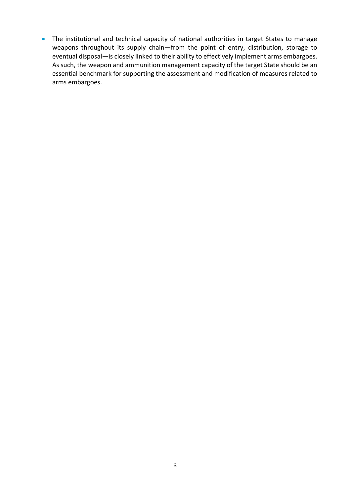• The institutional and technical capacity of national authorities in target States to manage weapons throughout its supply chain—from the point of entry, distribution, storage to eventual disposal—is closely linked to their ability to effectively implement arms embargoes. As such, the weapon and ammunition management capacity of the target State should be an essential benchmark for supporting the assessment and modification of measures related to arms embargoes.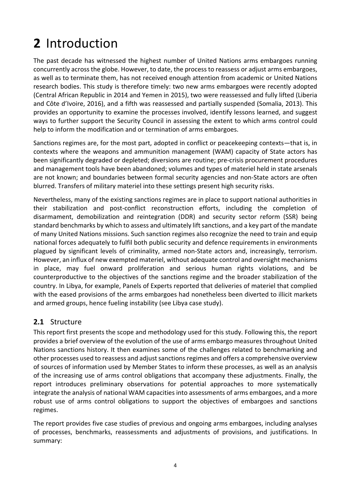# <span id="page-13-0"></span>**2** Introduction

The past decade has witnessed the highest number of United Nations arms embargoes running concurrently across the globe. However, to date, the process to reassess or adjust arms embargoes, as well as to terminate them, has not received enough attention from academic or United Nations research bodies. This study is therefore timely: two new arms embargoes were recently adopted (Central African Republic in 2014 and Yemen in 2015), two were reassessed and fully lifted (Liberia and Côte d'Ivoire, 2016), and a fifth was reassessed and partially suspended (Somalia, 2013). This provides an opportunity to examine the processes involved, identify lessons learned, and suggest ways to further support the Security Council in assessing the extent to which arms control could help to inform the modification and or termination of arms embargoes.

Sanctions regimes are, for the most part, adopted in conflict or peacekeeping contexts—that is, in contexts where the weapons and ammunition management (WAM) capacity of State actors has been significantly degraded or depleted; diversions are routine; pre-crisis procurement procedures and management tools have been abandoned; volumes and types of materiel held in state arsenals are not known; and boundaries between formal security agencies and non-State actors are often blurred. Transfers of military materiel into these settings present high security risks.

Nevertheless, many of the existing sanctions regimes are in place to support national authorities in their stabilization and post-conflict reconstruction efforts, including the completion of disarmament, demobilization and reintegration (DDR) and security sector reform (SSR) being standard benchmarks by which to assess and ultimately lift sanctions, and a key part of the mandate of many United Nations missions. Such sanction regimes also recognize the need to train and equip national forces adequately to fulfil both public security and defence requirements in environments plagued by significant levels of criminality, armed non-State actors and, increasingly, terrorism. However, an influx of new exempted materiel, without adequate control and oversight mechanisms in place, may fuel onward proliferation and serious human rights violations, and be counterproductive to the objectives of the sanctions regime and the broader stabilization of the country. In Libya, for example, Panels of Experts reported that deliveries of materiel that complied with the eased provisions of the arms embargoes had nonetheless been diverted to illicit markets and armed groups, hence fueling instability (see Libya case study).

## <span id="page-13-1"></span>**2.1** Structure

This report first presents the scope and methodology used for this study. Following this, the report provides a brief overview of the evolution of the use of arms embargo measures throughout United Nations sanctions history. It then examines some of the challenges related to benchmarking and other processes used to reassess and adjust sanctions regimes and offers a comprehensive overview of sources of information used by Member States to inform these processes, as well as an analysis of the increasing use of arms control obligations that accompany these adjustments. Finally, the report introduces preliminary observations for potential approaches to more systematically integrate the analysis of national WAM capacities into assessments of arms embargoes, and a more robust use of arms control obligations to support the objectives of embargoes and sanctions regimes.

The report provides five case studies of previous and ongoing arms embargoes, including analyses of processes, benchmarks, reassessments and adjustments of provisions, and justifications. In summary: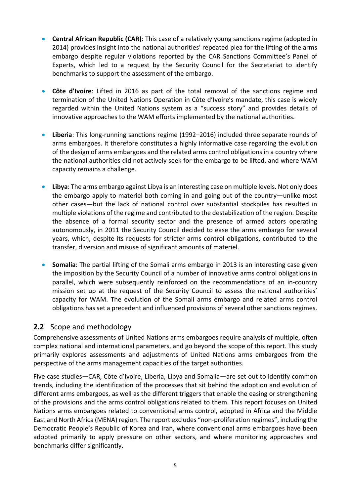- **Central African Republic (CAR)**: This case of a relatively young sanctions regime (adopted in 2014) provides insight into the national authorities' repeated plea for the lifting of the arms embargo despite regular violations reported by the CAR Sanctions Committee's Panel of Experts, which led to a request by the Security Council for the Secretariat to identify benchmarks to support the assessment of the embargo.
- **Côte d'Ivoire**: Lifted in 2016 as part of the total removal of the sanctions regime and termination of the United Nations Operation in Côte d'Ivoire's mandate, this case is widely regarded within the United Nations system as a "success story" and provides details of innovative approaches to the WAM efforts implemented by the national authorities.
- **Liberia**: This long-running sanctions regime (1992–2016) included three separate rounds of arms embargoes. It therefore constitutes a highly informative case regarding the evolution of the design of arms embargoes and the related arms control obligations in a country where the national authorities did not actively seek for the embargo to be lifted, and where WAM capacity remains a challenge.
- **Libya**: The arms embargo against Libya is an interesting case on multiple levels. Not only does the embargo apply to materiel both coming in and going out of the country—unlike most other cases—but the lack of national control over substantial stockpiles has resulted in multiple violations of the regime and contributed to the destabilization of the region. Despite the absence of a formal security sector and the presence of armed actors operating autonomously, in 2011 the Security Council decided to ease the arms embargo for several years, which, despite its requests for stricter arms control obligations, contributed to the transfer, diversion and misuse of significant amounts of materiel.
- **Somalia**: The partial lifting of the Somali arms embargo in 2013 is an interesting case given the imposition by the Security Council of a number of innovative arms control obligations in parallel, which were subsequently reinforced on the recommendations of an in-country mission set up at the request of the Security Council to assess the national authorities' capacity for WAM. The evolution of the Somali arms embargo and related arms control obligations has set a precedent and influenced provisions of several other sanctions regimes.

## <span id="page-14-0"></span>**2.2** Scope and methodology

Comprehensive assessments of United Nations arms embargoes require analysis of multiple, often complex national and international parameters, and go beyond the scope of this report. This study primarily explores assessments and adjustments of United Nations arms embargoes from the perspective of the arms management capacities of the target authorities.

Five case studies—CAR, Côte d'Ivoire, Liberia, Libya and Somalia—are set out to identify common trends, including the identification of the processes that sit behind the adoption and evolution of different arms embargoes, as well as the different triggers that enable the easing or strengthening of the provisions and the arms control obligations related to them. This report focuses on United Nations arms embargoes related to conventional arms control, adopted in Africa and the Middle East and North Africa (MENA) region. The report excludes "non-proliferation regimes", including the Democratic People's Republic of Korea and Iran, where conventional arms embargoes have been adopted primarily to apply pressure on other sectors, and where monitoring approaches and benchmarks differ significantly.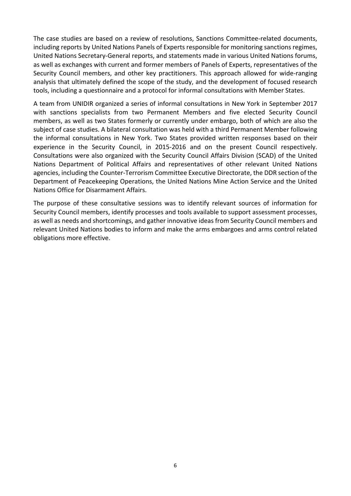The case studies are based on a review of resolutions, Sanctions Committee-related documents, including reports by United Nations Panels of Experts responsible for monitoring sanctions regimes, United Nations Secretary-General reports, and statements made in various United Nations forums, as well as exchanges with current and former members of Panels of Experts, representatives of the Security Council members, and other key practitioners. This approach allowed for wide-ranging analysis that ultimately defined the scope of the study, and the development of focused research tools, including a questionnaire and a protocol for informal consultations with Member States.

A team from UNIDIR organized a series of informal consultations in New York in September 2017 with sanctions specialists from two Permanent Members and five elected Security Council members, as well as two States formerly or currently under embargo, both of which are also the subject of case studies. A bilateral consultation was held with a third Permanent Member following the informal consultations in New York. Two States provided written responses based on their experience in the Security Council, in 2015-2016 and on the present Council respectively. Consultations were also organized with the Security Council Affairs Division (SCAD) of the United Nations Department of Political Affairs and representatives of other relevant United Nations agencies, including the Counter-Terrorism Committee Executive Directorate, the DDR section of the Department of Peacekeeping Operations, the United Nations Mine Action Service and the United Nations Office for Disarmament Affairs.

The purpose of these consultative sessions was to identify relevant sources of information for Security Council members, identify processes and tools available to support assessment processes, as well as needs and shortcomings, and gather innovative ideas from Security Council members and relevant United Nations bodies to inform and make the arms embargoes and arms control related obligations more effective.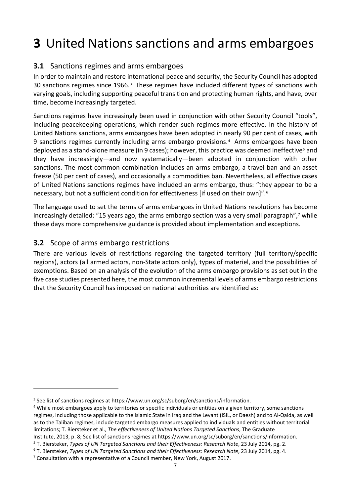# <span id="page-16-0"></span>**3** United Nations sanctions and arms embargoes

## <span id="page-16-1"></span>**3.1** Sanctions regimes and arms embargoes

In order to maintain and restore international peace and security, the Security Council has adopted [3](#page-16-3)0 sanctions regimes since 1966.<sup>3</sup> These regimes have included different types of sanctions with varying goals, including supporting peaceful transition and protecting human rights, and have, over time, become increasingly targeted.

Sanctions regimes have increasingly been used in conjunction with other Security Council "tools", including peacekeeping operations, which render such regimes more effective. In the history of United Nations sanctions, arms embargoes have been adopted in nearly 90 per cent of cases, with 9 sanctions regimes currently including arms embargo provisions.[4](#page-16-4) Arms embargoes have been deployed as a stand-alone measure (in 9 cases); however, this practice was deemed ineffective<sup>[5](#page-16-5)</sup> and they have increasingly—and now systematically—been adopted in conjunction with other sanctions. The most common combination includes an arms embargo, a travel ban and an asset freeze (50 per cent of cases), and occasionally a commodities ban. Nevertheless, all effective cases of United Nations sanctions regimes have included an arms embargo, thus: "they appear to be a necessary, but not a sufficient condition for effectiveness [if used on their own]".[6](#page-16-6)

The language used to set the terms of arms embargoes in United Nations resolutions has become increasingly detailed: "15 years ago, the arms embargo section was a very small paragraph",<sup>[7](#page-16-7)</sup> while these days more comprehensive guidance is provided about implementation and exceptions.

### <span id="page-16-2"></span>**3.2** Scope of arms embargo restrictions

1

There are various levels of restrictions regarding the targeted territory (full territory/specific regions), actors (all armed actors, non-State actors only), types of materiel, and the possibilities of exemptions. Based on an analysis of the evolution of the arms embargo provisions as set out in the five case studies presented here, the most common incremental levels of arms embargo restrictions that the Security Council has imposed on national authorities are identified as:

<span id="page-16-3"></span><sup>&</sup>lt;sup>3</sup> See list of sanctions regimes at https://www.un.org/sc/suborg/en/sanctions/information.

<span id="page-16-4"></span><sup>&</sup>lt;sup>4</sup> While most embargoes apply to territories or specific individuals or entities on a given territory, some sanctions regimes, including those applicable to the Islamic State in Iraq and the Levant (ISIL, or Daesh) and to Al-Qaida, as well as to the Taliban regimes, include targeted embargo measures applied to individuals and entities without territorial limitations; T. Biersteker et al., *The effectiveness of United Nations Targeted Sanctions*, The Graduate Institute, 2013, p. 8; See list of sanctions regimes at https://www.un.org/sc/suborg/en/sanctions/information.

<span id="page-16-5"></span><sup>5</sup> T. Biersteker, *Types of UN Targeted Sanctions and their Effectiveness: Research Note*, 23 July 2014, pg. 2.

<span id="page-16-6"></span><sup>6</sup> T. Biersteker, *Types of UN Targeted Sanctions and their Effectiveness: Research Note*, 23 July 2014, pg. 4.

<span id="page-16-7"></span><sup>7</sup> Consultation with a representative of a Council member, New York, August 2017.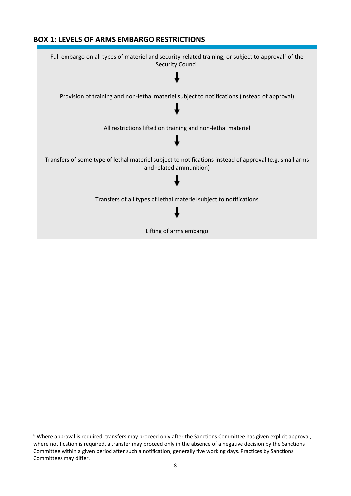### **BOX 1: LEVELS OF ARMS EMBARGO RESTRICTIONS**



<span id="page-17-0"></span><sup>&</sup>lt;sup>8</sup> Where approval is required, transfers may proceed only after the Sanctions Committee has given explicit approval; where notification is required, a transfer may proceed only in the absence of a negative decision by the Sanctions Committee within a given period after such a notification, generally five working days. Practices by Sanctions Committees may differ.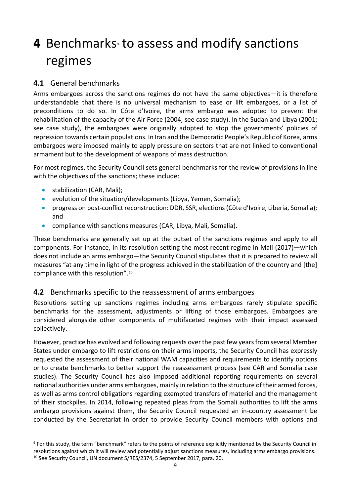# <span id="page-18-0"></span>**4** Benchmarks to assess and modify sanctions regimes

## <span id="page-18-1"></span>**4.1** General benchmarks

Arms embargoes across the sanctions regimes do not have the same objectives—it is therefore understandable that there is no universal mechanism to ease or lift embargoes, or a list of preconditions to do so. In Côte d'Ivoire, the arms embargo was adopted to prevent the rehabilitation of the capacity of the Air Force (2004; see case study). In the Sudan and Libya (2001; see case study), the embargoes were originally adopted to stop the governments' policies of repression towards certain populations. In Iran and the Democratic People's Republic of Korea, arms embargoes were imposed mainly to apply pressure on sectors that are not linked to conventional armament but to the development of weapons of mass destruction.

For most regimes, the Security Council sets general benchmarks for the review of provisions in line with the objectives of the sanctions; these include:

• stabilization (CAR, Mali);

1

- evolution of the situation/developments (Libya, Yemen, Somalia);
- progress on post-conflict reconstruction: DDR, SSR, elections (Côte d'Ivoire, Liberia, Somalia); and
- compliance with sanctions measures (CAR, Libya, Mali, Somalia).

These benchmarks are generally set up at the outset of the sanctions regimes and apply to all components. For instance, in its resolution setting the most recent regime in Mali (2017)—which does not include an arms embargo—the Security Council stipulates that it is prepared to review all measures "at any time in light of the progress achieved in the stabilization of the country and [the] compliance with this resolution".[10](#page-18-4)

## <span id="page-18-2"></span>**4.2** Benchmarks specific to the reassessment of arms embargoes

Resolutions setting up sanctions regimes including arms embargoes rarely stipulate specific benchmarks for the assessment, adjustments or lifting of those embargoes. Embargoes are considered alongside other components of multifaceted regimes with their impact assessed collectively.

However, practice has evolved and following requests over the past few years from several Member States under embargo to lift restrictions on their arms imports, the Security Council has expressly requested the assessment of their national WAM capacities and requirements to identify options or to create benchmarks to better support the reassessment process (see CAR and Somalia case studies). The Security Council has also imposed additional reporting requirements on several national authorities under arms embargoes, mainly in relation to the structure of their armed forces, as well as arms control obligations regarding exempted transfers of materiel and the management of their stockpiles. In 2014, following repeated pleas from the Somali authorities to lift the arms embargo provisions against them, the Security Council requested an in-country assessment be conducted by the Secretariat in order to provide Security Council members with options and

<span id="page-18-4"></span><span id="page-18-3"></span><sup>9</sup> For this study, the term "benchmark" refers to the points of reference explicitly mentioned by the Security Council in resolutions against which it will review and potentially adjust sanctions measures, including arms embargo provisions. <sup>10</sup> See Security Council, UN document S/RES/2374, 5 September 2017, para. 20.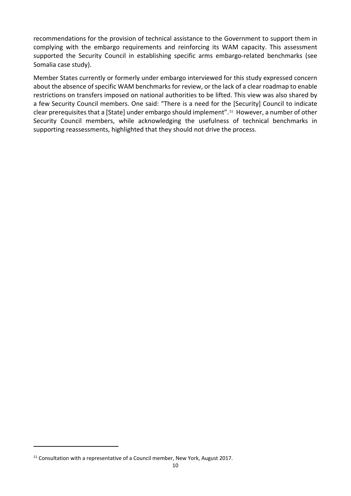recommendations for the provision of technical assistance to the Government to support them in complying with the embargo requirements and reinforcing its WAM capacity. This assessment supported the Security Council in establishing specific arms embargo-related benchmarks (see Somalia case study).

Member States currently or formerly under embargo interviewed for this study expressed concern about the absence of specific WAM benchmarks for review, or the lack of a clear roadmap to enable restrictions on transfers imposed on national authorities to be lifted. This view was also shared by a few Security Council members. One said: "There is a need for the [Security] Council to indicate clear prerequisites that a [State] under embargo should implement".[11](#page-19-0) However, a number of other Security Council members, while acknowledging the usefulness of technical benchmarks in supporting reassessments, highlighted that they should not drive the process.

-

<span id="page-19-0"></span><sup>&</sup>lt;sup>11</sup> Consultation with a representative of a Council member, New York, August 2017.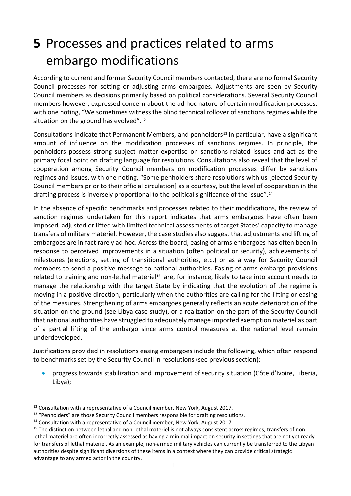## <span id="page-20-0"></span>**5** Processes and practices related to arms embargo modifications

According to current and former Security Council members contacted, there are no formal Security Council processes for setting or adjusting arms embargoes. Adjustments are seen by Security Council members as decisions primarily based on political considerations. Several Security Council members however, expressed concern about the ad hoc nature of certain modification processes, with one noting, "We sometimes witness the blind technical rollover of sanctions regimes while the situation on the ground has evolved".<sup>[12](#page-20-1)</sup>

Consultations indicate that Permanent Members, and penholders<sup>[13](#page-20-2)</sup> in particular, have a significant amount of influence on the modification processes of sanctions regimes. In principle, the penholders possess strong subject matter expertise on sanctions-related issues and act as the primary focal point on drafting language for resolutions. Consultations also reveal that the level of cooperation among Security Council members on modification processes differ by sanctions regimes and issues, with one noting, "Some penholders share resolutions with us [elected Security Council members prior to their official circulation] as a courtesy, but the level of cooperation in the drafting process is inversely proportional to the political significance of the issue".[14](#page-20-3) 

In the absence of specific benchmarks and processes related to their modifications, the review of sanction regimes undertaken for this report indicates that arms embargoes have often been imposed, adjusted or lifted with limited technical assessments of target States' capacity to manage transfers of military materiel. However, the case studies also suggest that adjustments and lifting of embargoes are in fact rarely ad hoc. Across the board, easing of arms embargoes has often been in response to perceived improvements in a situation (often political or security), achievements of milestones (elections, setting of transitional authorities, etc.) or as a way for Security Council members to send a positive message to national authorities. Easing of arms embargo provisions related to training and non-lethal materiel<sup>[15](#page-20-4)</sup> are, for instance, likely to take into account needs to manage the relationship with the target State by indicating that the evolution of the regime is moving in a positive direction, particularly when the authorities are calling for the lifting or easing of the measures. Strengthening of arms embargoes generally reflects an acute deterioration of the situation on the ground (see Libya case study), or a realization on the part of the Security Council that national authorities have struggled to adequately manage imported exemption materiel as part of a partial lifting of the embargo since arms control measures at the national level remain underdeveloped.

Justifications provided in resolutions easing embargoes include the following, which often respond to benchmarks set by the Security Council in resolutions (see previous section):

• progress towards stabilization and improvement of security situation (Côte d'Ivoire, Liberia, Libya);

-

<span id="page-20-1"></span><sup>&</sup>lt;sup>12</sup> Consultation with a representative of a Council member, New York, August 2017.

<span id="page-20-2"></span><sup>&</sup>lt;sup>13</sup> "Penholders" are those Security Council members responsible for drafting resolutions.

<span id="page-20-3"></span><sup>&</sup>lt;sup>14</sup> Consultation with a representative of a Council member, New York, August 2017.

<span id="page-20-4"></span><sup>&</sup>lt;sup>15</sup> The distinction between lethal and non-lethal materiel is not always consistent across regimes; transfers of nonlethal materiel are often incorrectly assessed as having a minimal impact on security in settings that are not yet ready for transfers of lethal materiel. As an example, non-armed military vehicles can currently be transferred to the Libyan authorities despite significant diversions of these items in a context where they can provide critical strategic advantage to any armed actor in the country.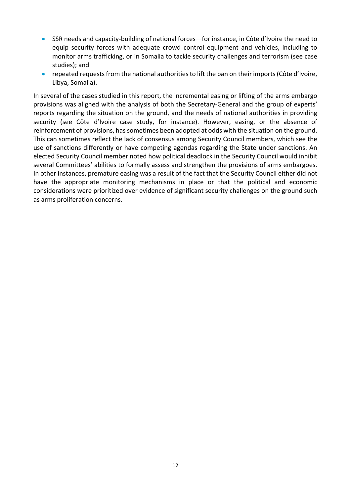- SSR needs and capacity-building of national forces—for instance, in Côte d'Ivoire the need to equip security forces with adequate crowd control equipment and vehicles, including to monitor arms trafficking, or in Somalia to tackle security challenges and terrorism (see case studies); and
- repeated requests from the national authorities to lift the ban on their imports (Côte d'Ivoire, Libya, Somalia).

In several of the cases studied in this report, the incremental easing or lifting of the arms embargo provisions was aligned with the analysis of both the Secretary-General and the group of experts' reports regarding the situation on the ground, and the needs of national authorities in providing security (see Côte d'Ivoire case study, for instance). However, easing, or the absence of reinforcement of provisions, has sometimes been adopted at odds with the situation on the ground. This can sometimes reflect the lack of consensus among Security Council members, which see the use of sanctions differently or have competing agendas regarding the State under sanctions. An elected Security Council member noted how political deadlock in the Security Council would inhibit several Committees' abilities to formally assess and strengthen the provisions of arms embargoes. In other instances, premature easing was a result of the fact that the Security Council either did not have the appropriate monitoring mechanisms in place or that the political and economic considerations were prioritized over evidence of significant security challenges on the ground such as arms proliferation concerns.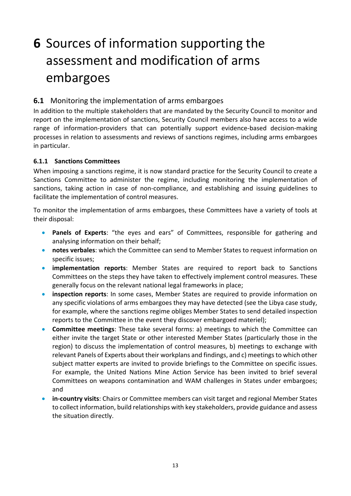# <span id="page-22-0"></span>**6** Sources of information supporting the assessment and modification of arms embargoes

## <span id="page-22-1"></span>**6.1** Monitoring the implementation of arms embargoes

In addition to the multiple stakeholders that are mandated by the Security Council to monitor and report on the implementation of sanctions, Security Council members also have access to a wide range of information-providers that can potentially support evidence-based decision-making processes in relation to assessments and reviews of sanctions regimes, including arms embargoes in particular.

### <span id="page-22-2"></span>**6.1.1 Sanctions Committees**

When imposing a sanctions regime, it is now standard practice for the Security Council to create a Sanctions Committee to administer the regime, including monitoring the implementation of sanctions, taking action in case of non-compliance, and establishing and issuing guidelines to facilitate the implementation of control measures.

To monitor the implementation of arms embargoes, these Committees have a variety of tools at their disposal:

- **Panels of Experts**: "the eyes and ears" of Committees, responsible for gathering and analysing information on their behalf;
- **notes verbales**: which the Committee can send to Member States to request information on specific issues;
- **implementation reports**: Member States are required to report back to Sanctions Committees on the steps they have taken to effectively implement control measures. These generally focus on the relevant national legal frameworks in place;
- **inspection reports**: In some cases, Member States are required to provide information on any specific violations of arms embargoes they may have detected (see the Libya case study, for example, where the sanctions regime obliges Member States to send detailed inspection reports to the Committee in the event they discover embargoed materiel);
- **Committee meetings**: These take several forms: a) meetings to which the Committee can either invite the target State or other interested Member States (particularly those in the region) to discuss the implementation of control measures, b) meetings to exchange with relevant Panels of Experts about their workplans and findings, and c) meetings to which other subject matter experts are invited to provide briefings to the Committee on specific issues. For example, the United Nations Mine Action Service has been invited to brief several Committees on weapons contamination and WAM challenges in States under embargoes; and
- **in-country visits**: Chairs or Committee members can visit target and regional Member States to collect information, build relationships with key stakeholders, provide guidance and assess the situation directly.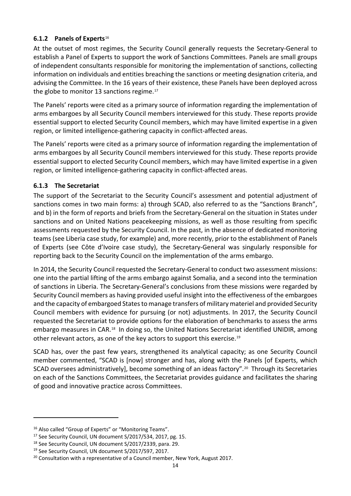### <span id="page-23-0"></span>**6.1.2 Panels of Experts**[16](#page-23-2)

At the outset of most regimes, the Security Council generally requests the Secretary-General to establish a Panel of Experts to support the work of Sanctions Committees. Panels are small groups of independent consultants responsible for monitoring the implementation of sanctions, collecting information on individuals and entities breaching the sanctions or meeting designation criteria, and advising the Committee. In the 16 years of their existence, these Panels have been deployed across the globe to monitor 13 sanctions regime.<sup>[17](#page-23-3)</sup>

The Panels' reports were cited as a primary source of information regarding the implementation of arms embargoes by all Security Council members interviewed for this study. These reports provide essential support to elected Security Council members, which may have limited expertise in a given region, or limited intelligence-gathering capacity in conflict-affected areas.

The Panels' reports were cited as a primary source of information regarding the implementation of arms embargoes by all Security Council members interviewed for this study. These reports provide essential support to elected Security Council members, which may have limited expertise in a given region, or limited intelligence-gathering capacity in conflict-affected areas.

### <span id="page-23-1"></span>**6.1.3 The Secretariat**

The support of the Secretariat to the Security Council's assessment and potential adjustment of sanctions comes in two main forms: a) through SCAD, also referred to as the "Sanctions Branch", and b) in the form of reports and briefs from the Secretary-General on the situation in States under sanctions and on United Nations peacekeeping missions, as well as those resulting from specific assessments requested by the Security Council. In the past, in the absence of dedicated monitoring teams (see Liberia case study, for example) and, more recently, prior to the establishment of Panels of Experts (see Côte d'Ivoire case study), the Secretary-General was singularly responsible for reporting back to the Security Council on the implementation of the arms embargo.

In 2014, the Security Council requested the Secretary-General to conduct two assessment missions: one into the partial lifting of the arms embargo against Somalia, and a second into the termination of sanctions in Liberia. The Secretary-General's conclusions from these missions were regarded by Security Council members as having provided useful insight into the effectiveness of the embargoes and the capacity of embargoed States to manage transfers of military materiel and provided Security Council members with evidence for pursuing (or not) adjustments. In 2017, the Security Council requested the Secretariat to provide options for the elaboration of benchmarks to assess the arms embargo measures in CAR.[18](#page-23-4) In doing so, the United Nations Secretariat identified UNIDIR, among other relevant actors, as one of the key actors to support this exercise.[19](#page-23-5) 

SCAD has, over the past few years, strengthened its analytical capacity; as one Security Council member commented, "SCAD is [now] stronger and has, along with the Panels [of Experts, which SCAD oversees administratively], become something of an ideas factory".<sup>20</sup> Through its Secretaries on each of the Sanctions Committees, the Secretariat provides guidance and facilitates the sharing of good and innovative practice across Committees.

<span id="page-23-2"></span><sup>&</sup>lt;sup>16</sup> Also called "Group of Experts" or "Monitoring Teams".

<span id="page-23-3"></span><sup>&</sup>lt;sup>17</sup> See Security Council, UN document S/2017/534, 2017, pg. 15.

<span id="page-23-4"></span><sup>18</sup> See Security Council, UN document S/2017/2339, para. 29.

<span id="page-23-5"></span><sup>&</sup>lt;sup>19</sup> See Security Council, UN document S/2017/597, 2017.

<span id="page-23-6"></span><sup>&</sup>lt;sup>20</sup> Consultation with a representative of a Council member, New York, August 2017.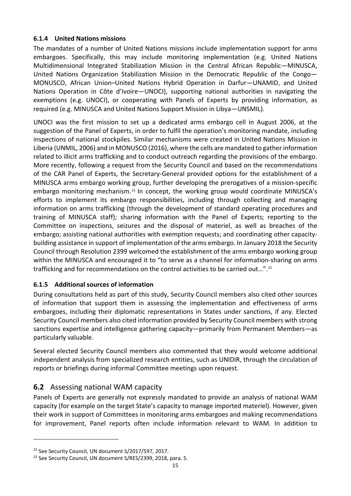### <span id="page-24-0"></span>**6.1.4 United Nations missions**

The mandates of a number of United Nations missions include implementation support for arms embargoes. Specifically, this may include monitoring implementation (e.g. United Nations Multidimensional Integrated Stabilization Mission in the Central African Republic—MINUSCA, United Nations Organization Stabilization Mission in the Democratic Republic of the Congo— MONUSCO, African Union–United Nations Hybrid Operation in Darfur—UNAMID, and United Nations Operation in Côte d'Ivoire—UNOCI), supporting national authorities in navigating the exemptions (e.g. UNOCI), or cooperating with Panels of Experts by providing information, as required (e.g. MINUSCA and United Nations Support Mission in Libya—UNSMIL).

UNOCI was the first mission to set up a dedicated arms embargo cell in August 2006, at the suggestion of the Panel of Experts, in order to fulfil the operation's monitoring mandate, including inspections of national stockpiles. Similar mechanisms were created in United Nations Mission in Liberia (UNMIL, 2006) and in MONUSCO (2016), where the cells are mandated to gather information related to illicit arms trafficking and to conduct outreach regarding the provisions of the embargo. More recently, following a request from the Security Council and based on the recommendations of the CAR Panel of Experts, the Secretary-General provided options for the establishment of a MINUSCA arms embargo working group, further developing the prerogatives of a mission-specific embargo monitoring mechanism.<sup>[21](#page-24-3)</sup> In concept, the working group would coordinate MINUSCA's efforts to implement its embargo responsibilities, including through collecting and managing information on arms trafficking (through the development of standard operating procedures and training of MINUSCA staff); sharing information with the Panel of Experts; reporting to the Committee on inspections, seizures and the disposal of materiel, as well as breaches of the embargo; assisting national authorities with exemption requests; and coordinating other capacitybuilding assistance in support of implementation of the arms embargo. In January 2018 the Security Council through Resolution 2399 welcomed the establishment of the arms embargo working group within the MINUSCA and encouraged it to "to serve as a channel for information-sharing on arms trafficking and for recommendations on the control activities to be carried out...".<sup>22</sup>

### <span id="page-24-1"></span>**6.1.5 Additional sources of information**

During consultations held as part of this study, Security Council members also cited other sources of information that support them in assessing the implementation and effectiveness of arms embargoes, including their diplomatic representations in States under sanctions, if any. Elected Security Council members also cited information provided by Security Council members with strong sanctions expertise and intelligence gathering capacity—primarily from Permanent Members—as particularly valuable.

Several elected Security Council members also commented that they would welcome additional independent analysis from specialized research entities, such as UNIDIR, through the circulation of reports or briefings during informal Committee meetings upon request.

## <span id="page-24-2"></span>**6.2** Assessing national WAM capacity

Panels of Experts are generally not expressly mandated to provide an analysis of national WAM capacity (for example on the target State's capacity to manage imported materiel). However, given their work in support of Committees in monitoring arms embargoes and making recommendations for improvement, Panel reports often include information relevant to WAM. In addition to

<span id="page-24-3"></span><sup>&</sup>lt;sup>21</sup> See Security Council, UN document S/2017/597, 2017.

<span id="page-24-4"></span><sup>&</sup>lt;sup>22</sup> See Security Council, UN document S/RES/2399, 2018, para. 5.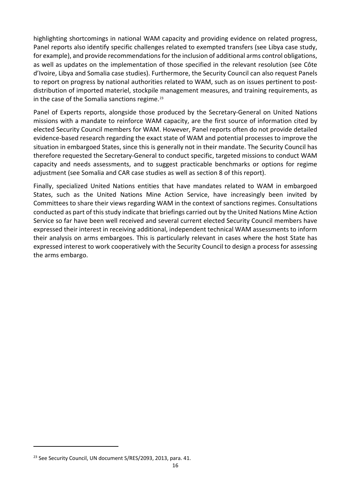highlighting shortcomings in national WAM capacity and providing evidence on related progress, Panel reports also identify specific challenges related to exempted transfers (see Libya case study, for example), and provide recommendations for the inclusion of additional arms control obligations, as well as updates on the implementation of those specified in the relevant resolution (see Côte d'Ivoire, Libya and Somalia case studies). Furthermore, the Security Council can also request Panels to report on progress by national authorities related to WAM, such as on issues pertinent to postdistribution of imported materiel, stockpile management measures, and training requirements, as in the case of the Somalia sanctions regime.<sup>[23](#page-25-0)</sup>

Panel of Experts reports, alongside those produced by the Secretary-General on United Nations missions with a mandate to reinforce WAM capacity, are the first source of information cited by elected Security Council members for WAM. However, Panel reports often do not provide detailed evidence-based research regarding the exact state of WAM and potential processes to improve the situation in embargoed States, since this is generally not in their mandate. The Security Council has therefore requested the Secretary-General to conduct specific, targeted missions to conduct WAM capacity and needs assessments, and to suggest practicable benchmarks or options for regime adjustment (see Somalia and CAR case studies as well as section 8 of this report).

Finally, specialized United Nations entities that have mandates related to WAM in embargoed States, such as the United Nations Mine Action Service, have increasingly been invited by Committees to share their views regarding WAM in the context of sanctions regimes. Consultations conducted as part of this study indicate that briefings carried out by the United Nations Mine Action Service so far have been well received and several current elected Security Council members have expressed their interest in receiving additional, independent technical WAM assessments to inform their analysis on arms embargoes. This is particularly relevant in cases where the host State has expressed interest to work cooperatively with the Security Council to design a process for assessing the arms embargo.

-

<span id="page-25-0"></span><sup>&</sup>lt;sup>23</sup> See Security Council, UN document S/RES/2093, 2013, para. 41.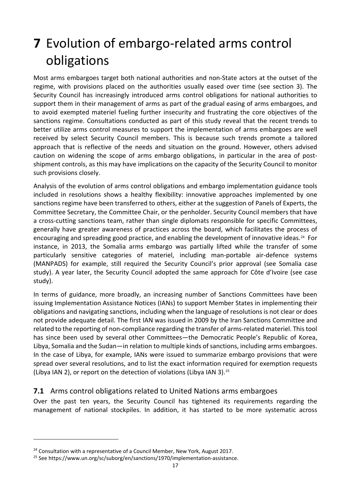# <span id="page-26-0"></span>**7** Evolution of embargo-related arms control obligations

Most arms embargoes target both national authorities and non-State actors at the outset of the regime, with provisions placed on the authorities usually eased over time (see section 3). The Security Council has increasingly introduced arms control obligations for national authorities to support them in their management of arms as part of the gradual easing of arms embargoes, and to avoid exempted materiel fueling further insecurity and frustrating the core objectives of the sanctions regime. Consultations conducted as part of this study reveal that the recent trends to better utilize arms control measures to support the implementation of arms embargoes are well received by select Security Council members. This is because such trends promote a tailored approach that is reflective of the needs and situation on the ground. However, others advised caution on widening the scope of arms embargo obligations, in particular in the area of postshipment controls, as this may have implications on the capacity of the Security Council to monitor such provisions closely.

Analysis of the evolution of arms control obligations and embargo implementation guidance tools included in resolutions shows a healthy flexibility: innovative approaches implemented by one sanctions regime have been transferred to others, either at the suggestion of Panels of Experts, the Committee Secretary, the Committee Chair, or the penholder. Security Council members that have a cross-cutting sanctions team, rather than single diplomats responsible for specific Committees, generally have greater awareness of practices across the board, which facilitates the process of encouraging and spreading good practice, and enabling the development of innovative ideas.<sup>24</sup> For instance, in 2013, the Somalia arms embargo was partially lifted while the transfer of some particularly sensitive categories of materiel, including man-portable air-defence systems (MANPADS) for example, still required the Security Council's prior approval (see Somalia case study). A year later, the Security Council adopted the same approach for Côte d'Ivoire (see case study).

In terms of guidance, more broadly, an increasing number of Sanctions Committees have been issuing Implementation Assistance Notices (IANs) to support Member States in implementing their obligations and navigating sanctions, including when the language of resolutions is not clear or does not provide adequate detail. The first IAN was issued in 2009 by the Iran Sanctions Committee and related to the reporting of non-compliance regarding the transfer of arms-related materiel. This tool has since been used by several other Committees—the Democratic People's Republic of Korea, Libya, Somalia and the Sudan—in relation to multiple kinds of sanctions, including arms embargoes. In the case of Libya, for example, IANs were issued to summarize embargo provisions that were spread over several resolutions, and to list the exact information required for exemption requests (Libya IAN 2), or report on the detection of violations (Libya IAN 3).[25](#page-26-3)

## <span id="page-26-1"></span>**7.1** Arms control obligations related to United Nations arms embargoes

Over the past ten years, the Security Council has tightened its requirements regarding the management of national stockpiles. In addition, it has started to be more systematic across

<span id="page-26-2"></span><sup>&</sup>lt;sup>24</sup> Consultation with a representative of a Council Member, New York, August 2017.

<span id="page-26-3"></span><sup>&</sup>lt;sup>25</sup> Se[e https://www.un.org/sc/suborg/en/sanctions/1970/implementation-assistance.](https://www.un.org/sc/suborg/en/sanctions/1970/implementation-assistance)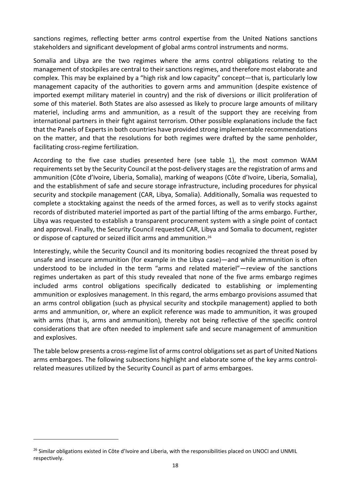sanctions regimes, reflecting better arms control expertise from the United Nations sanctions stakeholders and significant development of global arms control instruments and norms.

Somalia and Libya are the two regimes where the arms control obligations relating to the management of stockpiles are central to their sanctions regimes, and therefore most elaborate and complex. This may be explained by a "high risk and low capacity" concept—that is, particularly low management capacity of the authorities to govern arms and ammunition (despite existence of imported exempt military materiel in country) and the risk of diversions or illicit proliferation of some of this materiel. Both States are also assessed as likely to procure large amounts of military materiel, including arms and ammunition, as a result of the support they are receiving from international partners in their fight against terrorism. Other possible explanations include the fact that the Panels of Experts in both countries have provided strong implementable recommendations on the matter, and that the resolutions for both regimes were drafted by the same penholder, facilitating cross-regime fertilization.

According to the five case studies presented here (see table 1), the most common WAM requirements set by the Security Council at the post-delivery stages are the registration of arms and ammunition (Côte d'Ivoire, Liberia, Somalia), marking of weapons (Côte d'Ivoire, Liberia, Somalia), and the establishment of safe and secure storage infrastructure, including procedures for physical security and stockpile management (CAR, Libya, Somalia). Additionally, Somalia was requested to complete a stocktaking against the needs of the armed forces, as well as to verify stocks against records of distributed materiel imported as part of the partial lifting of the arms embargo. Further, Libya was requested to establish a transparent procurement system with a single point of contact and approval. Finally, the Security Council requested CAR, Libya and Somalia to document, register or dispose of captured or seized illicit arms and ammunition.<sup>26</sup>

Interestingly, while the Security Council and its monitoring bodies recognized the threat posed by unsafe and insecure ammunition (for example in the Libya case)—and while ammunition is often understood to be included in the term "arms and related materiel"—review of the sanctions regimes undertaken as part of this study revealed that none of the five arms embargo regimes included arms control obligations specifically dedicated to establishing or implementing ammunition or explosives management. In this regard, the arms embargo provisions assumed that an arms control obligation (such as physical security and stockpile management) applied to both arms and ammunition, or, where an explicit reference was made to ammunition, it was grouped with arms (that is, arms and ammunition), thereby not being reflective of the specific control considerations that are often needed to implement safe and secure management of ammunition and explosives.

The table below presents a cross-regime list of arms control obligations set as part of United Nations arms embargoes. The following subsections highlight and elaborate some of the key arms controlrelated measures utilized by the Security Council as part of arms embargoes.

<span id="page-27-0"></span><sup>&</sup>lt;sup>26</sup> Similar obligations existed in Côte d'Ivoire and Liberia, with the responsibilities placed on UNOCI and UNMIL respectively.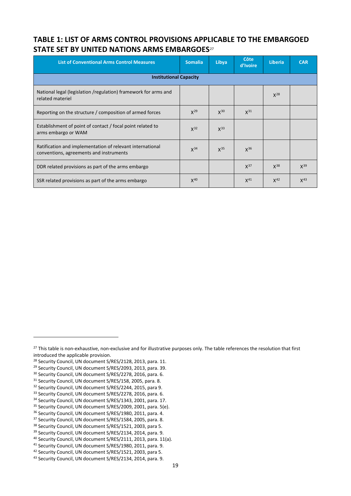## **TABLE 1: LIST OF ARMS CONTROL PROVISIONS APPLICABLE TO THE EMBARGOED STATE SET BY UNITED NATIONS ARMS EMBARGOES**[27](#page-28-0)

| <b>List of Conventional Arms Control Measures</b>                                                    | <b>Somalia</b> | Libya    | <b>Côte</b><br>d'Ivoire | <b>Liberia</b> | <b>CAR</b> |  |  |
|------------------------------------------------------------------------------------------------------|----------------|----------|-------------------------|----------------|------------|--|--|
| <b>Institutional Capacity</b>                                                                        |                |          |                         |                |            |  |  |
| National legal (legislation /regulation) framework for arms and<br>related materiel                  |                |          |                         | $X^{28}$       |            |  |  |
| Reporting on the structure / composition of armed forces                                             | $X^{29}$       | $X^{30}$ | $X^{31}$                |                |            |  |  |
| Establishment of point of contact / focal point related to<br>arms embargo or WAM                    | $X^{32}$       | $X^{33}$ |                         |                |            |  |  |
| Ratification and implementation of relevant international<br>conventions, agreements and instruments | $X^{34}$       | $X^{35}$ | $X^{36}$                |                |            |  |  |
| DDR related provisions as part of the arms embargo                                                   |                |          | $X^{37}$                | $X^{38}$       | $X^{39}$   |  |  |
| SSR related provisions as part of the arms embargo                                                   | $X^{40}$       |          | $X^{41}$                | $X^{42}$       | $X^{43}$   |  |  |

<span id="page-28-1"></span><sup>28</sup> Security Council, UN document S/RES/2128, 2013, para. 11.

<u>.</u>

- <span id="page-28-2"></span><sup>29</sup> Security Council, UN document S/RES/2093, 2013, para. 39.
- <span id="page-28-3"></span><sup>30</sup> Security Council, UN document S/RES/2278, 2016, para. 6.
- <span id="page-28-5"></span><span id="page-28-4"></span> $31$  Security Council, UN document S/RES/158, 2005, para. 8.  $32$  Security Council, UN document S/RES/2244, 2015, para 9.
- 
- <span id="page-28-6"></span>33 Security Council, UN document S/RES/2278, 2016, para. 6.
- 
- <span id="page-28-8"></span><span id="page-28-7"></span> $34$  Security Council, UN document S/RES/1343, 2001, para. 17.<br> $35$  Security Council, UN document S/RES/2009, 2001, para. 5(e).
- <span id="page-28-9"></span><sup>36</sup> Security Council, UN document S/RES/1980, 2011, para. 4.
- <span id="page-28-10"></span><sup>37</sup> Security Council, UN document S/RES/1584, 2005, para. 8.
- <span id="page-28-11"></span><sup>38</sup> Security Council, UN document S/RES/1521, 2003, para 5.

<span id="page-28-0"></span><sup>&</sup>lt;sup>27</sup> This table is non-exhaustive, non-exclusive and for illustrative purposes only. The table references the resolution that first introduced the applicable provision.

<span id="page-28-12"></span> $39$  Security Council, UN document S/RES/2134, 2014, para. 9.<br> $40$  Security Council, UN document S/RES/2111, 2013, para. 11(a).

<span id="page-28-14"></span><span id="page-28-13"></span><sup>&</sup>lt;sup>41</sup> Security Council, UN document S/RES/1980, 2011, para. 9.<br><sup>42</sup> Security Council, UN document S/RES/1521, 2003, para 5.

<span id="page-28-16"></span><span id="page-28-15"></span><sup>&</sup>lt;sup>43</sup> Security Council, UN document S/RES/2134, 2014, para. 9.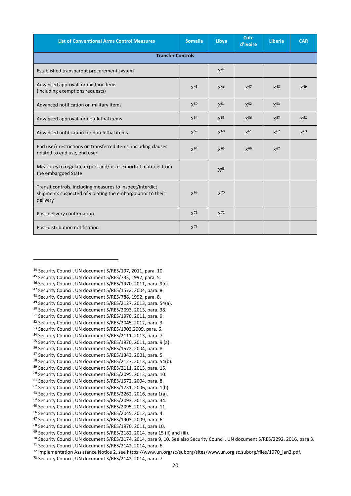| <b>List of Conventional Arms Control Measures</b>                                                                                    | <b>Somalia</b> | Libya    | Côte<br>d'Ivoire | Liberia  | <b>CAR</b> |  |  |
|--------------------------------------------------------------------------------------------------------------------------------------|----------------|----------|------------------|----------|------------|--|--|
| <b>Transfer Controls</b>                                                                                                             |                |          |                  |          |            |  |  |
| Established transparent procurement system                                                                                           |                | $X^{44}$ |                  |          |            |  |  |
| Advanced approval for military items<br>(including exemptions requests)                                                              | $X^{45}$       | $X^{46}$ | $X^{47}$         | $X^{48}$ | $X^{49}$   |  |  |
| Advanced notification on military items                                                                                              | $X^{50}$       | $X^{51}$ | $X^{52}$         | $X^{53}$ |            |  |  |
| Advanced approval for non-lethal items                                                                                               | $X^{54}$       | $X^{55}$ | X <sup>56</sup>  | $X^{57}$ | $X^{58}$   |  |  |
| Advanced notification for non-lethal items                                                                                           | $X^{59}$       | $X^{60}$ | $X^{61}$         | $X^{62}$ | $X^{63}$   |  |  |
| End use/r restrictions on transferred items, including clauses<br>related to end use, end user                                       | $X^{64}$       | $X^{65}$ | X <sup>66</sup>  | $X^{67}$ |            |  |  |
| Measures to regulate export and/or re-export of materiel from<br>the embargoed State                                                 |                | $X^{68}$ |                  |          |            |  |  |
| Transit controls, including measures to inspect/interdict<br>shipments suspected of violating the embargo prior to their<br>delivery | $X^{69}$       | $X^{70}$ |                  |          |            |  |  |
| Post-delivery confirmation                                                                                                           | $X^{71}$       | $X^{72}$ |                  |          |            |  |  |
| Post-distribution notification                                                                                                       | $X^{73}$       |          |                  |          |            |  |  |

- <span id="page-29-2"></span><sup>46</sup> Security Council, UN document S/RES/1970, 2011, para. 9(c).
- <span id="page-29-3"></span><sup>47</sup> Security Council, UN document S/RES/1572, 2004, para. 8.
- <span id="page-29-4"></span><sup>48</sup> Security Council, UN document S/RES/788, 1992, para. 8.
- <span id="page-29-5"></span><sup>49</sup> Security Council, UN document S/RES/2127, 2013, para. 54(a).<br><sup>50</sup> Security Council, UN document S/RES/2093, 2013, para. 38.
- 
- <span id="page-29-7"></span><span id="page-29-6"></span><sup>51</sup> Security Council, UN document S/RES/1970, 2011, para. 9.
- <span id="page-29-8"></span><sup>52</sup> Security Council, UN document S/RES/2045, 2012, para. 3. <sup>53</sup> Security Council, UN document S/RES/1903,2009, para. 6.
- <span id="page-29-10"></span><span id="page-29-9"></span><sup>54</sup> Security Council, UN document S/RES/2111, 2013, para. 7.
- 
- <span id="page-29-11"></span><sup>55</sup> Security Council, UN document S/RES/1970, 2011, para. 9 (a).<br><sup>56</sup> Security Council, UN document S/RES/1572, 2004, para. 8.
- <span id="page-29-13"></span><span id="page-29-12"></span><sup>57</sup> Security Council, UN document S/RES/1343, 2001, para. 5.
- <span id="page-29-14"></span><sup>58</sup> Security Council, UN document S/RES/2127, 2013, para. 54(b).
- <span id="page-29-15"></span><sup>59</sup> Security Council, UN document S/RES/2111, 2013, para. 15.
- <span id="page-29-16"></span><sup>60</sup> Security Council, UN document S/RES/2095, 2013, para. 10.
- <span id="page-29-17"></span><sup>61</sup> Security Council, UN document S/RES/1572, 2004, para. 8.
- <span id="page-29-18"></span><sup>62</sup> Security Council, UN document S/RES/1731, 2006, para. 1(b).
- <span id="page-29-19"></span><sup>63</sup> Security Council, UN document S/RES/2262, 2016, para 1(a).
- <span id="page-29-20"></span><sup>64</sup> Security Council, UN document S/RES/2093, 2013, para. 34.
- <span id="page-29-21"></span><sup>65</sup> Security Council, UN document S/RES/2095, 2013, para. 11.
- <span id="page-29-22"></span><sup>66</sup> Security Council, UN document S/RES/2045, 2012, para. 4.
- <span id="page-29-23"></span><sup>67</sup> Security Council, UN document S/RES/1903, 2009, para. 6.
- 

<span id="page-29-0"></span><sup>44</sup> Security Council, UN document S/RES/197, 2011, para. 10.

<span id="page-29-1"></span><sup>45</sup> Security Council, UN document S/RES/733, 1992, para. 5.

<span id="page-29-25"></span><span id="page-29-24"></span><sup>&</sup>lt;sup>68</sup> Security Council, UN document S/RES/1970, 2011, para 10.<br><sup>69</sup> Security Council, UN document S/RES/2182, 2014. para 15 (ii) and (iii).<br><sup>70</sup> Security Council, UN document S/RES/2174, 2014, para 9, 10. See also Security

<span id="page-29-27"></span><span id="page-29-26"></span>

<span id="page-29-29"></span><span id="page-29-28"></span><sup>&</sup>lt;sup>72</sup> Implementation Assistance Notice 2, se[e https://www.un.org/sc/suborg/sites/www.un.org.sc.suborg/files/1970\\_ian2.pdf.](https://www.un.org/sc/suborg/sites/www.un.org.sc.suborg/files/1970_ian2.pdf)<br><sup>73</sup> Security Council, UN document S/RES/2142, 2014, para. 7.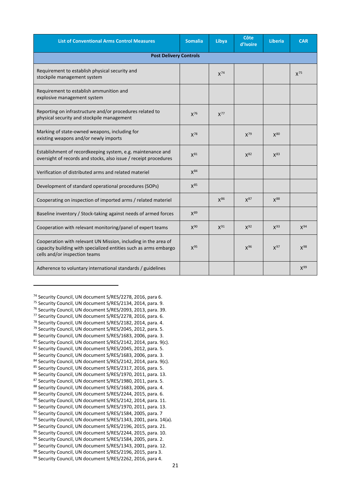| <b>List of Conventional Arms Control Measures</b>                                                                                                                   | <b>Somalia</b>  | Libya           | <b>Côte</b><br>d'Ivoire | Liberia         | <b>CAR</b>      |  |  |
|---------------------------------------------------------------------------------------------------------------------------------------------------------------------|-----------------|-----------------|-------------------------|-----------------|-----------------|--|--|
| <b>Post Delivery Controls</b>                                                                                                                                       |                 |                 |                         |                 |                 |  |  |
| Requirement to establish physical security and<br>stockpile management system                                                                                       |                 | $X^{74}$        |                         |                 | $X^{75}$        |  |  |
| Requirement to establish ammunition and<br>explosive management system                                                                                              |                 |                 |                         |                 |                 |  |  |
| Reporting on infrastructure and/or procedures related to<br>physical security and stockpile management                                                              | X <sup>76</sup> | $X^{77}$        |                         |                 |                 |  |  |
| Marking of state-owned weapons, including for<br>existing weapons and/or newly imports                                                                              | $X^{78}$        |                 | $X^{79}$                | X80             |                 |  |  |
| Establishment of recordkeeping system, e.g. maintenance and<br>oversight of records and stocks, also issue / receipt procedures                                     | X <sup>81</sup> |                 | $X^{82}$                | $X^{83}$        |                 |  |  |
| Verification of distributed arms and related materiel                                                                                                               | $X^{84}$        |                 |                         |                 |                 |  |  |
| Development of standard operational procedures (SOPs)                                                                                                               | $X^{85}$        |                 |                         |                 |                 |  |  |
| Cooperating on inspection of imported arms / related materiel                                                                                                       |                 | $X^{86}$        | $X^{87}$                | X88             |                 |  |  |
| Baseline inventory / Stock-taking against needs of armed forces                                                                                                     | $X^{89}$        |                 |                         |                 |                 |  |  |
| Cooperation with relevant monitoring/panel of expert teams                                                                                                          | $X^{90}$        | X <sup>91</sup> | X <sup>92</sup>         | X <sup>93</sup> | $X^{94}$        |  |  |
| Cooperation with relevant UN Mission, including in the area of<br>capacity building with specialized entities such as arms embargo<br>cells and/or inspection teams | X <sup>95</sup> |                 | X96                     | X <sup>97</sup> | X <sup>98</sup> |  |  |
| Adherence to voluntary international standards / guidelines                                                                                                         |                 |                 |                         |                 | X <sup>99</sup> |  |  |

<span id="page-30-25"></span><span id="page-30-24"></span><span id="page-30-23"></span><span id="page-30-22"></span><span id="page-30-21"></span><span id="page-30-20"></span><span id="page-30-19"></span><span id="page-30-18"></span><span id="page-30-17"></span><span id="page-30-16"></span><span id="page-30-15"></span><span id="page-30-14"></span><span id="page-30-13"></span><span id="page-30-12"></span><span id="page-30-11"></span><span id="page-30-10"></span><span id="page-30-9"></span><span id="page-30-8"></span><span id="page-30-7"></span><span id="page-30-6"></span><span id="page-30-5"></span><span id="page-30-4"></span><span id="page-30-3"></span><span id="page-30-2"></span><span id="page-30-1"></span><span id="page-30-0"></span><sup>74</sup> Security Council, UN document S/RES/2278, 2016, para 6.<br><sup>75</sup> Security Council, UN document S/RES/2134, 2014, para. 9. <sup>76</sup> Security Council, UN document S/RES/2093, 2013, para. 39. <sup>77</sup> Security Council, UN document S/RES/2278, 2016, para. 6. <sup>78</sup> Security Council, UN document S/RES/2182, 2014, para. 4. <sup>79</sup> Security Council, UN document S/RES/2045, 2012, para. 5. <sup>80</sup> Security Council, UN document S/RES/1683, 2006, para. 3. 81 Security Council, UN document S/RES/2142, 2014, para. 9(c). 82 Security Council, UN document S/RES/2045, 2012, para. 5. 83 Security Council, UN document S/RES/1683, 2006, para. 3. 84 Security Council, UN document S/RES/2142, 2014, para. 9(c). 85 Security Council, UN document S/RES/2317, 2016, para. 5. 86 Security Council, UN document S/RES/1970, 2011, para. 13. <sup>87</sup> Security Council, UN document S/RES/1980, 2011, para. 5. <sup>88</sup> Security Council, UN document S/RES/1683, 2006, para. 4.<br><sup>89</sup> Security Council, UN document S/RES/2244, 2015, para. 6. <sup>90</sup> Security Council, UN document S/RES/2142, 2014, para. 11. 91 Security Council, UN document S/RES/1970, 2011, para. 13. 92 Security Council, UN document S/RES/1584, 2005, para. 7 93 Security Council, UN document S/RES/1343, 2001, para. 14(a). 94 Security Council, UN document S/RES/2196, 2015, para. 21. <sup>95</sup> Security Council, UN document S/RES/2244, 2015, para. 10.<br><sup>96</sup> Security Council, UN document S/RES/1584, 2005, para. 2. 97 Security Council, UN document S/RES/1343, 2001, para. 12. 98 Security Council, UN document S/RES/2196, 2015, para 3. 99 Security Council, UN document S/RES/2262, 2016, para 4.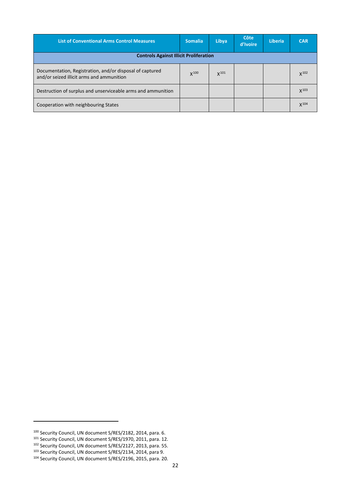| <b>List of Conventional Arms Control Measures</b>                                                     | <b>Somalia</b> | Libya            | Côte<br>d'Ivoire | <b>Liberia</b> | <b>CAR</b> |
|-------------------------------------------------------------------------------------------------------|----------------|------------------|------------------|----------------|------------|
| <b>Controls Against Illicit Proliferation</b>                                                         |                |                  |                  |                |            |
| Documentation, Registration, and/or disposal of captured<br>and/or seized illicit arms and ammunition | X100           | X <sup>101</sup> |                  |                | $X^{102}$  |
| Destruction of surplus and unserviceable arms and ammunition                                          |                |                  |                  |                | $X^{103}$  |
| Cooperation with neighbouring States                                                                  |                |                  |                  |                | $X^{104}$  |

<u>.</u>

<span id="page-31-0"></span><sup>100</sup> Security Council, UN document S/RES/2182, 2014, para. 6.

<span id="page-31-1"></span><sup>&</sup>lt;sup>101</sup> Security Council, UN document S/RES/1970, 2011, para. 12.

<span id="page-31-3"></span><span id="page-31-2"></span><sup>&</sup>lt;sup>102</sup> Security Council, UN document S/RES/2127, 2013, para. 55.

<span id="page-31-4"></span>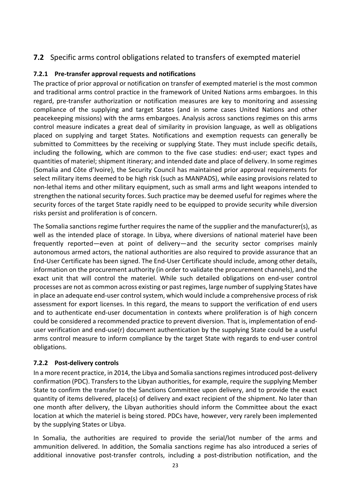## <span id="page-32-0"></span>**7.2** Specific arms control obligations related to transfers of exempted materiel

### <span id="page-32-1"></span>**7.2.1 Pre-transfer approval requests and notifications**

The practice of prior approval or notification on transfer of exempted materiel is the most common and traditional arms control practice in the framework of United Nations arms embargoes. In this regard, pre-transfer authorization or notification measures are key to monitoring and assessing compliance of the supplying and target States (and in some cases United Nations and other peacekeeping missions) with the arms embargoes. Analysis across sanctions regimes on this arms control measure indicates a great deal of similarity in provision language, as well as obligations placed on supplying and target States. Notifications and exemption requests can generally be submitted to Committees by the receiving or supplying State. They must include specific details, including the following, which are common to the five case studies: end-user; exact types and quantities of materiel; shipment itinerary; and intended date and place of delivery. In some regimes (Somalia and Côte d'Ivoire), the Security Council has maintained prior approval requirements for select military items deemed to be high risk (such as MANPADS), while easing provisions related to non-lethal items and other military equipment, such as small arms and light weapons intended to strengthen the national security forces. Such practice may be deemed useful for regimes where the security forces of the target State rapidly need to be equipped to provide security while diversion risks persist and proliferation is of concern.

The Somalia sanctions regime further requires the name of the supplier and the manufacturer(s), as well as the intended place of storage. In Libya, where diversions of national materiel have been frequently reported—even at point of delivery—and the security sector comprises mainly autonomous armed actors, the national authorities are also required to provide assurance that an End-User Certificate has been signed. The End-User Certificate should include, among other details, information on the procurement authority (in order to validate the procurement channels), and the exact unit that will control the materiel. While such detailed obligations on end-user control processes are not as common across existing or past regimes, large number of supplying States have in place an adequate end-user control system, which would include a comprehensive process of risk assessment for export licenses. In this regard, the means to support the verification of end users and to authenticate end-user documentation in contexts where proliferation is of high concern could be considered a recommended practice to prevent diversion. That is, implementation of enduser verification and end-use(r) document authentication by the supplying State could be a useful arms control measure to inform compliance by the target State with regards to end-user control obligations.

### <span id="page-32-2"></span>**7.2.2 Post-delivery controls**

In a more recent practice, in 2014, the Libya and Somalia sanctions regimes introduced post-delivery confirmation (PDC). Transfers to the Libyan authorities, for example, require the supplying Member State to confirm the transfer to the Sanctions Committee upon delivery, and to provide the exact quantity of items delivered, place(s) of delivery and exact recipient of the shipment. No later than one month after delivery, the Libyan authorities should inform the Committee about the exact location at which the materiel is being stored. PDCs have, however, very rarely been implemented by the supplying States or Libya.

In Somalia, the authorities are required to provide the serial/lot number of the arms and ammunition delivered. In addition, the Somalia sanctions regime has also introduced a series of additional innovative post-transfer controls, including a post-distribution notification, and the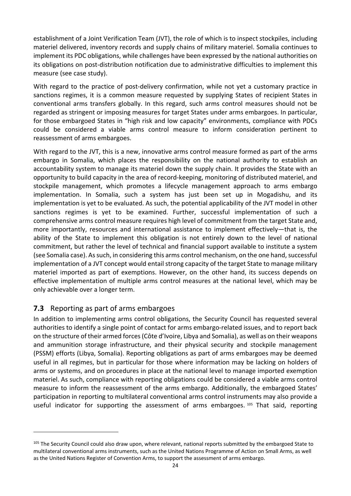establishment of a Joint Verification Team (JVT), the role of which is to inspect stockpiles, including materiel delivered, inventory records and supply chains of military materiel. Somalia continues to implement its PDC obligations, while challenges have been expressed by the national authorities on its obligations on post-distribution notification due to administrative difficulties to implement this measure (see case study).

With regard to the practice of post-delivery confirmation, while not yet a customary practice in sanctions regimes, it is a common measure requested by supplying States of recipient States in conventional arms transfers globally. In this regard, such arms control measures should not be regarded as stringent or imposing measures for target States under arms embargoes. In particular, for those embargoed States in "high risk and low capacity" environments, compliance with PDCs could be considered a viable arms control measure to inform consideration pertinent to reassessment of arms embargoes.

With regard to the JVT, this is a new, innovative arms control measure formed as part of the arms embargo in Somalia, which places the responsibility on the national authority to establish an accountability system to manage its materiel down the supply chain. It provides the State with an opportunity to build capacity in the area of record-keeping, monitoring of distributed materiel, and stockpile management, which promotes a lifecycle management approach to arms embargo implementation. In Somalia, such a system has just been set up in Mogadishu, and its implementation is yet to be evaluated. As such, the potential applicability of the JVT model in other sanctions regimes is yet to be examined. Further, successful implementation of such a comprehensive arms control measure requires high level of commitment from the target State and, more importantly, resources and international assistance to implement effectively—that is, the ability of the State to implement this obligation is not entirely down to the level of national commitment, but rather the level of technical and financial support available to institute a system (see Somalia case). As such, in considering this arms control mechanism, on the one hand, successful implementation of a JVT concept would entail strong capacity of the target State to manage military materiel imported as part of exemptions. However, on the other hand, its success depends on effective implementation of multiple arms control measures at the national level, which may be only achievable over a longer term.

## <span id="page-33-0"></span>**7.3** Reporting as part of arms embargoes

1

In addition to implementing arms control obligations, the Security Council has requested several authorities to identify a single point of contact for arms embargo-related issues, and to report back on the structure of their armed forces (Côte d'Ivoire, Libya and Somalia), as well as on their weapons and ammunition storage infrastructure, and their physical security and stockpile management (PSSM) efforts (Libya, Somalia). Reporting obligations as part of arms embargoes may be deemed useful in all regimes, but in particular for those where information may be lacking on holders of arms or systems, and on procedures in place at the national level to manage imported exemption materiel. As such, compliance with reporting obligations could be considered a viable arms control measure to inform the reassessment of the arms embargo. Additionally, the embargoed States' participation in reporting to multilateral conventional arms control instruments may also provide a useful indicator for supporting the assessment of arms embargoes.<sup>[105](#page-33-1)</sup> That said, reporting

<span id="page-33-1"></span><sup>&</sup>lt;sup>105</sup> The Security Council could also draw upon, where relevant, national reports submitted by the embargoed State to multilateral conventional arms instruments, such as the United Nations Programme of Action on Small Arms, as well as the United Nations Register of Convention Arms, to support the assessment of arms embargo.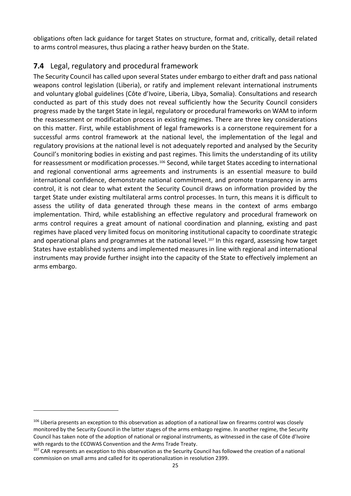obligations often lack guidance for target States on structure, format and, critically, detail related to arms control measures, thus placing a rather heavy burden on the State.

## <span id="page-34-0"></span>**7.4** Legal, regulatory and procedural framework

The Security Council has called upon several States under embargo to either draft and pass national weapons control legislation (Liberia), or ratify and implement relevant international instruments and voluntary global guidelines (Côte d'Ivoire, Liberia, Libya, Somalia). Consultations and research conducted as part of this study does not reveal sufficiently how the Security Council considers progress made by the target State in legal, regulatory or procedural frameworks on WAM to inform the reassessment or modification process in existing regimes. There are three key considerations on this matter. First, while establishment of legal frameworks is a cornerstone requirement for a successful arms control framework at the national level, the implementation of the legal and regulatory provisions at the national level is not adequately reported and analysed by the Security Council's monitoring bodies in existing and past regimes. This limits the understanding of its utility for reassessment or modification processes.<sup>[106](#page-34-1)</sup> Second, while target States acceding to international and regional conventional arms agreements and instruments is an essential measure to build international confidence, demonstrate national commitment, and promote transparency in arms control, it is not clear to what extent the Security Council draws on information provided by the target State under existing multilateral arms control processes. In turn, this means it is difficult to assess the utility of data generated through these means in the context of arms embargo implementation. Third, while establishing an effective regulatory and procedural framework on arms control requires a great amount of national coordination and planning, existing and past regimes have placed very limited focus on monitoring institutional capacity to coordinate strategic and operational plans and programmes at the national level.<sup>[107](#page-34-2)</sup> In this regard, assessing how target States have established systems and implemented measures in line with regional and international instruments may provide further insight into the capacity of the State to effectively implement an arms embargo.

<u>.</u>

<span id="page-34-1"></span> $106$  Liberia presents an exception to this observation as adoption of a national law on firearms control was closely monitored by the Security Council in the latter stages of the arms embargo regime. In another regime, the Security Council has taken note of the adoption of national or regional instruments, as witnessed in the case of Côte d'Ivoire with regards to the ECOWAS Convention and the Arms Trade Treaty.<br><sup>107</sup> CAR represents an exception to this observation as the Security Council has followed the creation of a national

<span id="page-34-2"></span>commission on small arms and called for its operationalization in resolution 2399.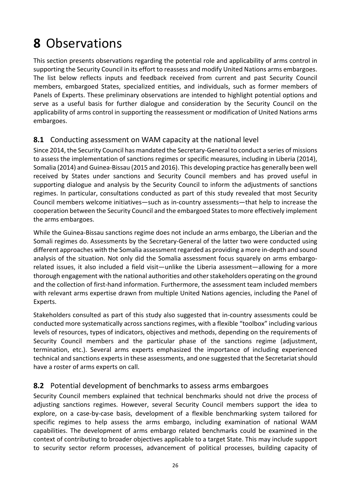# <span id="page-35-0"></span>**8** Observations

This section presents observations regarding the potential role and applicability of arms control in supporting the Security Council in its effort to reassess and modify United Nations arms embargoes. The list below reflects inputs and feedback received from current and past Security Council members, embargoed States, specialized entities, and individuals, such as former members of Panels of Experts. These preliminary observations are intended to highlight potential options and serve as a useful basis for further dialogue and consideration by the Security Council on the applicability of arms control in supporting the reassessment or modification of United Nations arms embargoes.

### <span id="page-35-1"></span>**8.1** Conducting assessment on WAM capacity at the national level

Since 2014, the Security Council has mandated the Secretary-General to conduct a series of missions to assess the implementation of sanctions regimes or specific measures, including in Liberia (2014), Somalia (2014) and Guinea-Bissau (2015 and 2016). This developing practice has generally been well received by States under sanctions and Security Council members and has proved useful in supporting dialogue and analysis by the Security Council to inform the adjustments of sanctions regimes. In particular, consultations conducted as part of this study revealed that most Security Council members welcome initiatives—such as in-country assessments—that help to increase the cooperation between the Security Council and the embargoed States to more effectively implement the arms embargoes.

While the Guinea-Bissau sanctions regime does not include an arms embargo, the Liberian and the Somali regimes do. Assessments by the Secretary-General of the latter two were conducted using different approaches with the Somalia assessment regarded as providing a more in-depth and sound analysis of the situation. Not only did the Somalia assessment focus squarely on arms embargorelated issues, it also included a field visit—unlike the Liberia assessment—allowing for a more thorough engagement with the national authorities and other stakeholders operating on the ground and the collection of first-hand information. Furthermore, the assessment team included members with relevant arms expertise drawn from multiple United Nations agencies, including the Panel of Experts.

Stakeholders consulted as part of this study also suggested that in-country assessments could be conducted more systematically across sanctions regimes, with a flexible "toolbox" including various levels of resources, types of indicators, objectives and methods, depending on the requirements of Security Council members and the particular phase of the sanctions regime (adjustment, termination, etc.). Several arms experts emphasized the importance of including experienced technical and sanctions experts in these assessments, and one suggested that the Secretariat should have a roster of arms experts on call.

## <span id="page-35-2"></span>**8.2** Potential development of benchmarks to assess arms embargoes

Security Council members explained that technical benchmarks should not drive the process of adjusting sanctions regimes. However, several Security Council members support the idea to explore, on a case-by-case basis, development of a flexible benchmarking system tailored for specific regimes to help assess the arms embargo, including examination of national WAM capabilities. The development of arms embargo related benchmarks could be examined in the context of contributing to broader objectives applicable to a target State. This may include support to security sector reform processes, advancement of political processes, building capacity of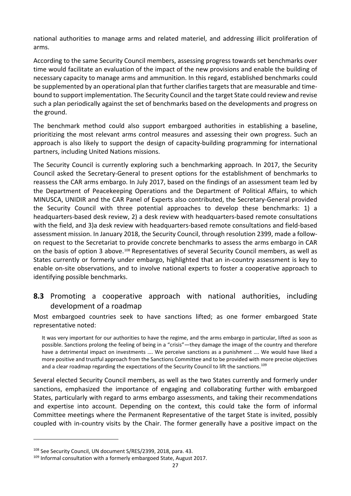national authorities to manage arms and related materiel, and addressing illicit proliferation of arms.

According to the same Security Council members, assessing progress towards set benchmarks over time would facilitate an evaluation of the impact of the new provisions and enable the building of necessary capacity to manage arms and ammunition. In this regard, established benchmarks could be supplemented by an operational plan that further clarifies targets that are measurable and timebound to support implementation. The Security Council and the target State could review and revise such a plan periodically against the set of benchmarks based on the developments and progress on the ground.

The benchmark method could also support embargoed authorities in establishing a baseline, prioritizing the most relevant arms control measures and assessing their own progress. Such an approach is also likely to support the design of capacity-building programming for international partners, including United Nations missions.

The Security Council is currently exploring such a benchmarking approach. In 2017, the Security Council asked the Secretary-General to present options for the establishment of benchmarks to reassess the CAR arms embargo. In July 2017, based on the findings of an assessment team led by the Department of Peacekeeping Operations and the Department of Political Affairs, to which MINUSCA, UNIDIR and the CAR Panel of Experts also contributed, the Secretary-General provided the Security Council with three potential approaches to develop these benchmarks: 1) a headquarters-based desk review, 2) a desk review with headquarters-based remote consultations with the field, and 3)a desk review with headquarters-based remote consultations and field-based assessment mission. In January 2018, the Security Council, through resolution 2399, made a followon request to the Secretariat to provide concrete benchmarks to assess the arms embargo in CAR on the basis of option 3 above.<sup>[108](#page-36-0)</sup> Representatives of several Security Council members, as well as States currently or formerly under embargo, highlighted that an in-country assessment is key to enable on-site observations, and to involve national experts to foster a cooperative approach to identifying possible benchmarks.

## **8.3** Promoting a cooperative approach with national authorities, including development of a roadmap

Most embargoed countries seek to have sanctions lifted; as one former embargoed State representative noted:

It was very important for our authorities to have the regime, and the arms embargo in particular, lifted as soon as possible. Sanctions prolong the feeling of being in a "crisis"—they damage the image of the country and therefore have a detrimental impact on investments …. We perceive sanctions as a punishment …. We would have liked a more positive and trustful approach from the Sanctions Committee and to be provided with more precise objectives and a clear roadmap regarding the expectations of the Security Council to lift the sanctions.<sup>[109](#page-36-1)</sup>

Several elected Security Council members, as well as the two States currently and formerly under sanctions, emphasized the importance of engaging and collaborating further with embargoed States, particularly with regard to arms embargo assessments, and taking their recommendations and expertise into account. Depending on the context, this could take the form of informal Committee meetings where the Permanent Representative of the target State is invited, possibly coupled with in-country visits by the Chair. The former generally have a positive impact on the

<span id="page-36-0"></span><sup>108</sup> See Security Council, UN document S/RES/2399, 2018, para. 43.

<span id="page-36-1"></span><sup>109</sup> Informal consultation with a formerly embargoed State, August 2017.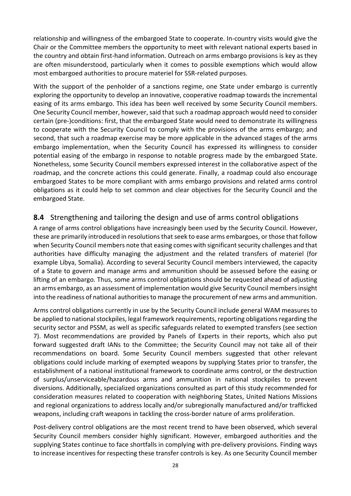relationship and willingness of the embargoed State to cooperate. In-country visits would give the Chair or the Committee members the opportunity to meet with relevant national experts based in the country and obtain first-hand information. Outreach on arms embargo provisions is key as they are often misunderstood, particularly when it comes to possible exemptions which would allow most embargoed authorities to procure materiel for SSR-related purposes.

With the support of the penholder of a sanctions regime, one State under embargo is currently exploring the opportunity to develop an innovative, cooperative roadmap towards the incremental easing of its arms embargo. This idea has been well received by some Security Council members. One Security Council member, however, said that such a roadmap approach would need to consider certain (pre-)conditions: first, that the embargoed State would need to demonstrate its willingness to cooperate with the Security Council to comply with the provisions of the arms embargo; and second, that such a roadmap exercise may be more applicable in the advanced stages of the arms embargo implementation, when the Security Council has expressed its willingness to consider potential easing of the embargo in response to notable progress made by the embargoed State. Nonetheless, some Security Council members expressed interest in the collaborative aspect of the roadmap, and the concrete actions this could generate. Finally, a roadmap could also encourage embargoed States to be more compliant with arms embargo provisions and related arms control obligations as it could help to set common and clear objectives for the Security Council and the embargoed State.

## **8.4** Strengthening and tailoring the design and use of arms control obligations

A range of arms control obligations have increasingly been used by the Security Council. However, these are primarily introduced in resolutions that seek to ease arms embargoes, or those that follow when Security Council members note that easing comes with significant security challenges and that authorities have difficulty managing the adjustment and the related transfers of materiel (for example Libya, Somalia). According to several Security Council members interviewed, the capacity of a State to govern and manage arms and ammunition should be assessed before the easing or lifting of an embargo. Thus, some arms control obligations should be requested ahead of adjusting an arms embargo, as an assessment of implementation would give Security Council members insight into the readiness of national authorities to manage the procurement of new arms and ammunition.

Arms control obligations currently in use by the Security Council include general WAM measures to be applied to national stockpiles, legal framework requirements, reporting obligations regarding the security sector and PSSM, as well as specific safeguards related to exempted transfers (see section 7). Most recommendations are provided by Panels of Experts in their reports, which also put forward suggested draft IANs to the Committee; the Security Council may not take all of their recommendations on board. Some Security Council members suggested that other relevant obligations could include marking of exempted weapons by supplying States prior to transfer, the establishment of a national institutional framework to coordinate arms control, or the destruction of surplus/unserviceable/hazardous arms and ammunition in national stockpiles to prevent diversions. Additionally, specialized organizations consulted as part of this study recommended for consideration measures related to cooperation with neighboring States, United Nations Missions and regional organizations to address locally and/or subregionally manufactured and/or trafficked weapons, including craft weapons in tackling the cross-border nature of arms proliferation.

Post-delivery control obligations are the most recent trend to have been observed, which several Security Council members consider highly significant. However, embargoed authorities and the supplying States continue to face shortfalls in complying with pre*-*delivery provisions. Finding ways to increase incentives for respecting these transfer controls is key. As one Security Council member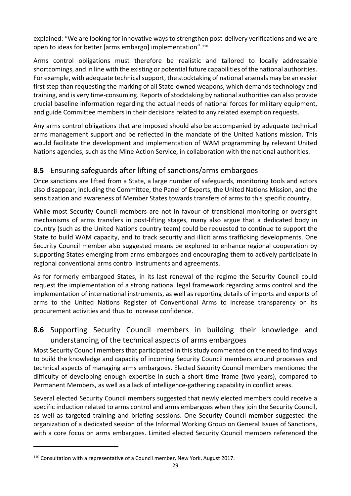explained: "We are looking for innovative ways to strengthen post-delivery verifications and we are open to ideas for better [arms embargo] implementation".[110](#page-38-0)

Arms control obligations must therefore be realistic and tailored to locally addressable shortcomings, and in line with the existing or potential future capabilities of the national authorities. For example, with adequate technical support, the stocktaking of national arsenals may be an easier first step than requesting the marking of all State-owned weapons, which demands technology and training, and is very time-consuming. Reports of stocktaking by national authorities can also provide crucial baseline information regarding the actual needs of national forces for military equipment, and guide Committee members in their decisions related to any related exemption requests.

Any arms control obligations that are imposed should also be accompanied by adequate technical arms management support and be reflected in the mandate of the United Nations mission. This would facilitate the development and implementation of WAM programming by relevant United Nations agencies, such as the Mine Action Service, in collaboration with the national authorities.

## **8.5** Ensuring safeguards after lifting of sanctions/arms embargoes

Once sanctions are lifted from a State, a large number of safeguards, monitoring tools and actors also disappear, including the Committee, the Panel of Experts, the United Nations Mission, and the sensitization and awareness of Member States towards transfers of arms to this specific country.

While most Security Council members are not in favour of transitional monitoring or oversight mechanisms of arms transfers in post-lifting stages, many also argue that a dedicated body in country (such as the United Nations country team) could be requested to continue to support the State to build WAM capacity, and to track security and illicit arms trafficking developments. One Security Council member also suggested means be explored to enhance regional cooperation by supporting States emerging from arms embargoes and encouraging them to actively participate in regional conventional arms control instruments and agreements.

As for formerly embargoed States, in its last renewal of the regime the Security Council could request the implementation of a strong national legal framework regarding arms control and the implementation of international instruments, as well as reporting details of imports and exports of arms to the United Nations Register of Conventional Arms to increase transparency on its procurement activities and thus to increase confidence.

# **8.6** Supporting Security Council members in building their knowledge and understanding of the technical aspects of arms embargoes

Most Security Council members that participated in this study commented on the need to find ways to build the knowledge and capacity of incoming Security Council members around processes and technical aspects of managing arms embargoes. Elected Security Council members mentioned the difficulty of developing enough expertise in such a short time frame (two years), compared to Permanent Members, as well as a lack of intelligence-gathering capability in conflict areas.

Several elected Security Council members suggested that newly elected members could receive a specific induction related to arms control and arms embargoes when they join the Security Council, as well as targeted training and briefing sessions. One Security Council member suggested the organization of a dedicated session of the Informal Working Group on General Issues of Sanctions, with a core focus on arms embargoes. Limited elected Security Council members referenced the

<span id="page-38-0"></span><sup>110</sup> Consultation with a representative of a Council member, New York, August 2017.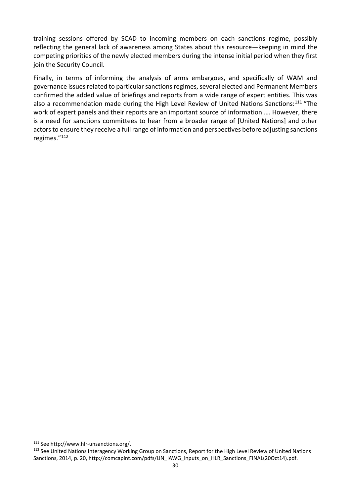training sessions offered by SCAD to incoming members on each sanctions regime, possibly reflecting the general lack of awareness among States about this resource—keeping in mind the competing priorities of the newly elected members during the intense initial period when they first join the Security Council.

Finally, in terms of informing the analysis of arms embargoes, and specifically of WAM and governance issues related to particular sanctions regimes, several elected and Permanent Members confirmed the added value of briefings and reports from a wide range of expert entities. This was also a recommendation made during the High Level Review of United Nations Sanctions:<sup>[111](#page-39-0)</sup> "The work of expert panels and their reports are an important source of information …. However, there is a need for sanctions committees to hear from a broader range of [United Nations] and other actors to ensure they receive a full range of information and perspectives before adjusting sanctions regimes."[112](#page-39-1)

<span id="page-39-0"></span><sup>111</sup> See http://www.hlr-unsanctions.org/.

<span id="page-39-1"></span><sup>&</sup>lt;sup>112</sup> See United Nations Interagency Working Group on Sanctions, Report for the High Level Review of United Nations Sanctions, 2014, p. 20, http://comcapint.com/pdfs/UN\_IAWG\_inputs\_on\_HLR\_Sanctions\_FINAL(20Oct14).pdf.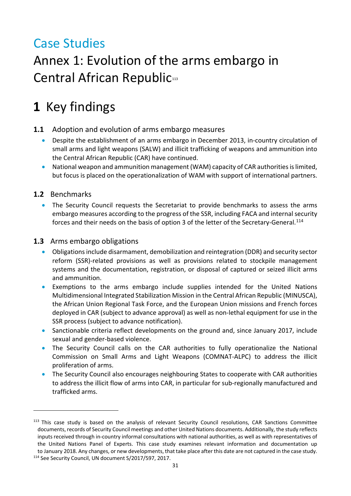# Case Studies

# Annex 1: Evolution of the arms embargo in Central African Republic[113](#page-40-0)

# **1** Key findings

- **1.1** Adoption and evolution of arms embargo measures
	- Despite the establishment of an arms embargo in December 2013, in-country circulation of small arms and light weapons (SALW) and illicit trafficking of weapons and ammunition into the Central African Republic (CAR) have continued.
	- National weapon and ammunition management (WAM) capacity of CAR authorities is limited, but focus is placed on the operationalization of WAM with support of international partners.

## **1.2** Benchmarks

-

• The Security Council requests the Secretariat to provide benchmarks to assess the arms embargo measures according to the progress of the SSR, including FACA and internal security forces and their needs on the basis of option 3 of the letter of the Secretary-General.<sup>[114](#page-40-1)</sup>

## **1.3** Arms embargo obligations

- Obligations include disarmament, demobilization and reintegration (DDR) and security sector reform (SSR)-related provisions as well as provisions related to stockpile management systems and the documentation, registration, or disposal of captured or seized illicit arms and ammunition.
- Exemptions to the arms embargo include supplies intended for the United Nations Multidimensional Integrated Stabilization Mission in the Central African Republic (MINUSCA), the African Union Regional Task Force, and the European Union missions and French forces deployed in CAR (subject to advance approval) as well as non-lethal equipment for use in the SSR process (subject to advance notification).
- Sanctionable criteria reflect developments on the ground and, since January 2017, include sexual and gender-based violence.
- The Security Council calls on the CAR authorities to fully operationalize the National Commission on Small Arms and Light Weapons (COMNAT-ALPC) to address the illicit proliferation of arms.
- The Security Council also encourages neighbouring States to cooperate with CAR authorities to address the illicit flow of arms into CAR, in particular for sub-regionally manufactured and trafficked arms.

<span id="page-40-0"></span><sup>&</sup>lt;sup>113</sup> This case study is based on the analysis of relevant Security Council resolutions, CAR Sanctions Committee documents, records of Security Council meetings and other United Nations documents. Additionally, the study reflects inputs received through in-country informal consultations with national authorities, as well as with representatives of the United Nations Panel of Experts. This case study examines relevant information and documentation up to January 2018. Any changes, or new developments, that take place after this date are not captured in the case study.

<span id="page-40-1"></span><sup>114</sup> See Security Council, UN document S/2017/597, 2017.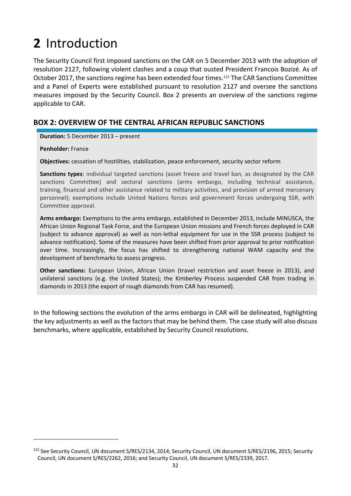# **2** Introduction

The Security Council first imposed sanctions on the CAR on 5 December 2013 with the adoption of resolution 2127, following violent clashes and a coup that ousted President Francois Bozizé. As of October 2017, the sanctions regime has been extended four times.<sup>[115](#page-41-0)</sup> The CAR Sanctions Committee and a Panel of Experts were established pursuant to resolution 2127 and oversee the sanctions measures imposed by the Security Council. Box 2 presents an overview of the sanctions regime applicable to CAR.

### **BOX 2: OVERVIEW OF THE CENTRAL AFRICAN REPUBLIC SANCTIONS**

**Duration:** 5 December 2013 – present

**Penholder:** France

1

**Objectives:** cessation of hostilities, stabilization, peace enforcement, security sector reform

**Sanctions types**: individual targeted sanctions (asset freeze and travel ban, as designated by the CAR sanctions Committee) and sectoral sanctions (arms embargo, including technical assistance, training, financial and other assistance related to military activities, and provision of armed mercenary personnel); exemptions include United Nations forces and government forces undergoing SSR, with Committee approval.

**Arms embargo:** Exemptions to the arms embargo, established in December 2013, include MINUSCA, the African Union Regional Task Force, and the European Union missions and French forces deployed in CAR (subject to advance approval) as well as non-lethal equipment for use in the SSR process (subject to advance notification). Some of the measures have been shifted from prior approval to prior notification over time. Increasingly, the focus has shifted to strengthening national WAM capacity and the development of benchmarks to assess progress.

**Other sanctions:** European Union, African Union (travel restriction and asset freeze in 2013), and unilateral sanctions (e.g. the United States); the Kimberley Process suspended CAR from trading in diamonds in 2013 (the export of rough diamonds from CAR has resumed).

In the following sections the evolution of the arms embargo in CAR will be delineated, highlighting the key adjustments as well as the factors that may be behind them. The case study will also discuss benchmarks, where applicable, established by Security Council resolutions.

<span id="page-41-0"></span><sup>115</sup> See Security Council, UN document S/RES/2134, 2014; Security Council, UN document S/RES/2196, 2015; Security Council, UN document S/RES/2262, 2016; and Security Council, UN document S/RES/2339, 2017.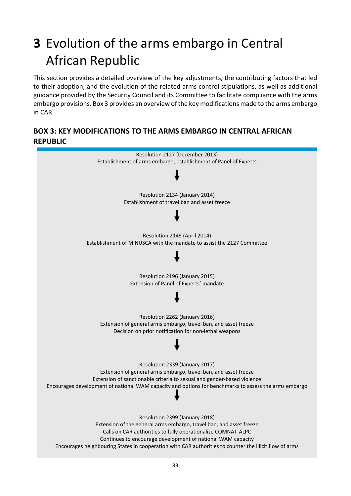# **3** Evolution of the arms embargo in Central African Republic

This section provides a detailed overview of the key adjustments, the contributing factors that led to their adoption, and the evolution of the related arms control stipulations, as well as additional guidance provided by the Security Council and its Committee to facilitate compliance with the arms embargo provisions. Box 3 provides an overview of the key modifications made to the arms embargo in CAR.

## **BOX 3: KEY MODIFICATIONS TO THE ARMS EMBARGO IN CENTRAL AFRICAN REPUBLIC**

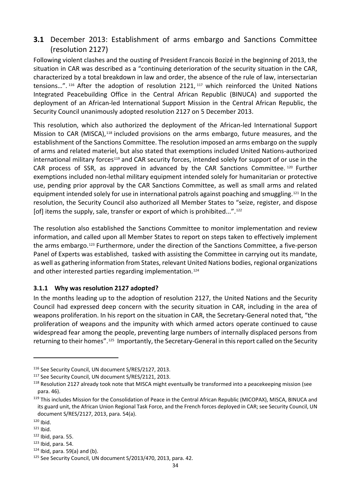## **3.1** December 2013: Establishment of arms embargo and Sanctions Committee (resolution 2127)

Following violent clashes and the ousting of President Francois Bozizé in the beginning of 2013, the situation in CAR was described as a "continuing deterioration of the security situation in the CAR, characterized by a total breakdown in law and order, the absence of the rule of law, intersectarian tensions…". [116](#page-43-0) After the adoption of resolution 2121, [117](#page-43-1) which reinforced the United Nations Integrated Peacebuilding Office in the Central African Republic (BINUCA) and supported the deployment of an African-led International Support Mission in the Central African Republic, the Security Council unanimously adopted resolution 2127 on 5 December 2013.

This resolution, which also authorized the deployment of the African-led International Support Mission to CAR (MISCA),<sup>[118](#page-43-2)</sup> included provisions on the arms embargo, future measures, and the establishment of the Sanctions Committee. The resolution imposed an arms embargo on the supply of arms and related materiel, but also stated that exemptions included United Nations-authorized international military forces<sup>[119](#page-43-3)</sup> and CAR security forces, intended solely for support of or use in the CAR process of SSR, as approved in advanced by the CAR Sanctions Committee. [120](#page-43-4) Further exemptions included non-lethal military equipment intended solely for humanitarian or protective use, pending prior approval by the CAR Sanctions Committee, as well as small arms and related equipment intended solely for use in international patrols against poaching and smuggling.[121](#page-43-5) In the resolution, the Security Council also authorized all Member States to "seize, register, and dispose [of] items the supply, sale, transfer or export of which is prohibited...".<sup>[122](#page-43-6)</sup>

The resolution also established the Sanctions Committee to monitor implementation and review information, and called upon all Member States to report on steps taken to effectively implement the arms embargo.[123](#page-43-7) Furthermore, under the direction of the Sanctions Committee, a five-person Panel of Experts was established, tasked with assisting the Committee in carrying out its mandate, as well as gathering information from States, relevant United Nations bodies, regional organizations and other interested parties regarding implementation.<sup>[124](#page-43-8)</sup>

### **3.1.1 Why was resolution 2127 adopted?**

In the months leading up to the adoption of resolution 2127, the United Nations and the Security Council had expressed deep concern with the security situation in CAR, including in the area of weapons proliferation. In his report on the situation in CAR, the Secretary-General noted that, "the proliferation of weapons and the impunity with which armed actors operate continued to cause widespread fear among the people, preventing large numbers of internally displaced persons from returning to their homes".[125](#page-43-9) Importantly, the Secretary-General in this report called on the Security

<span id="page-43-0"></span><sup>&</sup>lt;sup>116</sup> See Security Council, UN document S/RES/2127, 2013.

<span id="page-43-1"></span><sup>&</sup>lt;sup>117</sup> See Security Council, UN document S/RES/2121, 2013.

<span id="page-43-2"></span><sup>&</sup>lt;sup>118</sup> Resolution 2127 already took note that MISCA might eventually be transformed into a peacekeeping mission (see para. 46).

<span id="page-43-3"></span><sup>119</sup> This includes Mission for the Consolidation of Peace in the Central African Republic (MICOPAX), MISCA, BINUCA and its guard unit, the African Union Regional Task Force, and the French forces deployed in CAR; see Security Council, UN document S/RES/2127, 2013, para. 54(a).

<span id="page-43-5"></span><span id="page-43-4"></span> $120$  Ibid.<br> $121$  Ibid.

<span id="page-43-6"></span> $122$  Ibid, para. 55.

<span id="page-43-7"></span> $123$  Ibid, para. 54.

<span id="page-43-8"></span> $124$  Ibid, para. 59(a) and (b).

<span id="page-43-9"></span><sup>125</sup> See Security Council, UN document S/2013/470, 2013, para. 42.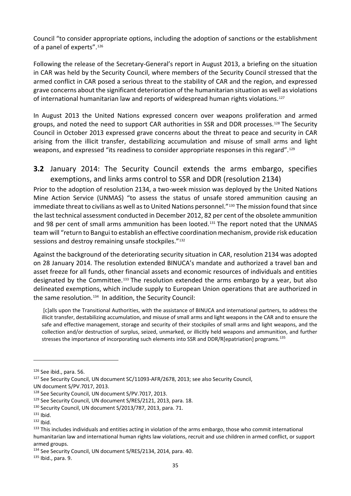Council "to consider appropriate options, including the adoption of sanctions or the establishment of a panel of experts".[126](#page-44-0)

Following the release of the Secretary-General's report in August 2013, a briefing on the situation in CAR was held by the Security Council, where members of the Security Council stressed that the armed conflict in CAR posed a serious threat to the stability of CAR and the region, and expressed grave concerns about the significant deterioration of the humanitarian situation as well as violations of international humanitarian law and reports of widespread human rights violations.[127](#page-44-1)

In August 2013 the United Nations expressed concern over weapons proliferation and armed groups, and noted the need to support CAR authorities in SSR and DDR processes.<sup>[128](#page-44-2)</sup> The Security Council in October 2013 expressed grave concerns about the threat to peace and security in CAR arising from the illicit transfer, destabilizing accumulation and misuse of small arms and light weapons, and expressed "its readiness to consider appropriate responses in this regard".<sup>[129](#page-44-3)</sup>

## **3.2** January 2014: The Security Council extends the arms embargo, specifies exemptions, and links arms control to SSR and DDR (resolution 2134)

Prior to the adoption of resolution 2134, a two-week mission was deployed by the United Nations Mine Action Service (UNMAS) "to assess the status of unsafe stored ammunition causing an immediate threat to civilians as well as to United Nations personnel."<sup>[130](#page-44-4)</sup> The mission found that since the last technical assessment conducted in December 2012, 82 per cent of the obsolete ammunition and 98 per cent of small arms ammunition has been looted.<sup>[131](#page-44-5)</sup> The report noted that the UNMAS team will "return to Bangui to establish an effective coordination mechanism, provide risk education sessions and destroy remaining unsafe stockpiles."<sup>[132](#page-44-6)</sup>

Against the background of the deteriorating security situation in CAR, resolution 2134 was adopted on 28 January 2014. The resolution extended BINUCA's mandate and authorized a travel ban and asset freeze for all funds, other financial assets and economic resources of individuals and entities designated by the Committee.[133](#page-44-7) The resolution extended the arms embargo by a year, but also delineated exemptions, which include supply to European Union operations that are authorized in the same resolution.[134](#page-44-8) In addition, the Security Council:

[c]alls upon the Transitional Authorities, with the assistance of BINUCA and international partners, to address the illicit transfer, destabilizing accumulation, and misuse of small arms and light weapons in the CAR and to ensure the safe and effective management, storage and security of their stockpiles of small arms and light weapons, and the collection and/or destruction of surplus, seized, unmarked, or illicitly held weapons and ammunition, and further stresses the importance of incorporating such elements into SSR and DDR/R[epatriation] programs.[135](#page-44-9)

<span id="page-44-0"></span><sup>126</sup> See ibid., para. 56.

<span id="page-44-1"></span><sup>&</sup>lt;sup>127</sup> See Security Council, UN document SC/11093-AFR/2678, 2013; see also Security Council,

UN document S/PV.7017, 2013.<br><sup>128</sup> See Security Council, UN document S/PV.7017, 2013.

<span id="page-44-3"></span><span id="page-44-2"></span><sup>129</sup> See Security Council, UN document S/RES/2121, 2013, para. 18.

<span id="page-44-4"></span><sup>130</sup> Security Council, UN document S/2013/787, 2013, para. 71.

<span id="page-44-5"></span> $131$  Ibid.

<span id="page-44-6"></span> $132$  Ibid.

<span id="page-44-7"></span><sup>133</sup> This includes individuals and entities acting in violation of the arms embargo, those who commit international humanitarian law and international human rights law violations, recruit and use children in armed conflict, or support armed groups.

<span id="page-44-8"></span><sup>134</sup> See Security Council, UN document S/RES/2134, 2014, para. 40.

<span id="page-44-9"></span><sup>135</sup> Ibid., para. 9.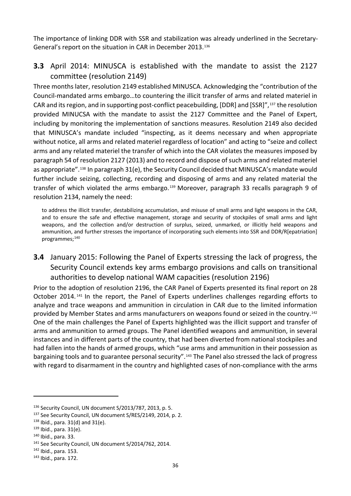The importance of linking DDR with SSR and stabilization was already underlined in the Secretary-General's report on the situation in CAR in December 2013.[136](#page-45-0)

## **3.3** April 2014: MINUSCA is established with the mandate to assist the 2127 committee (resolution 2149)

Three months later, resolution 2149 established MINUSCA. Acknowledging the "contribution of the Council-mandated arms embargo…to countering the illicit transfer of arms and related materiel in CAR and its region, and in supporting post-conflict peacebuilding, [DDR] and [SSR]",[137](#page-45-1) the resolution provided MINUCSA with the mandate to assist the 2127 Committee and the Panel of Expert, including by monitoring the implementation of sanctions measures. Resolution 2149 also decided that MINUSCA's mandate included "inspecting, as it deems necessary and when appropriate without notice, all arms and related materiel regardless of location" and acting to "seize and collect arms and any related materiel the transfer of which into the CAR violates the measures imposed by paragraph 54 of resolution 2127 (2013) and to record and dispose of such arms and related materiel as appropriate".[138](#page-45-2) In paragraph 31(e), the Security Council decided that MINUSCA's mandate would further include seizing, collecting, recording and disposing of arms and any related material the transfer of which violated the arms embargo.<sup>[139](#page-45-3)</sup> Moreover, paragraph 33 recalls paragraph 9 of resolution 2134, namely the need:

to address the illicit transfer, destabilizing accumulation, and misuse of small arms and light weapons in the CAR, and to ensure the safe and effective management, storage and security of stockpiles of small arms and light weapons, and the collection and/or destruction of surplus, seized, unmarked, or illicitly held weapons and ammunition, and further stresses the importance of incorporating such elements into SSR and DDR/R[epatriation] programmes;<sup>[140](#page-45-4)</sup>

# **3.4** January 2015: Following the Panel of Experts stressing the lack of progress, the Security Council extends key arms embargo provisions and calls on transitional authorities to develop national WAM capacities (resolution 2196)

Prior to the adoption of resolution 2196, the CAR Panel of Experts presented its final report on 28 October 2014. [141](#page-45-5) In the report, the Panel of Experts underlines challenges regarding efforts to analyze and trace weapons and ammunition in circulation in CAR due to the limited information provided by Member States and arms manufacturers on weapons found or seized in the country.[142](#page-45-6) One of the main challenges the Panel of Experts highlighted was the illicit support and transfer of arms and ammunition to armed groups. The Panel identified weapons and ammunition, in several instances and in different parts of the country, that had been diverted from national stockpiles and had fallen into the hands of armed groups, which "use arms and ammunition in their possession as bargaining tools and to guarantee personal security".<sup>[143](#page-45-7)</sup> The Panel also stressed the lack of progress with regard to disarmament in the country and highlighted cases of non-compliance with the arms

<span id="page-45-0"></span><sup>136</sup> Security Council, UN document S/2013/787, 2013, p. 5.

<span id="page-45-1"></span><sup>&</sup>lt;sup>137</sup> See Security Council, UN document S/RES/2149, 2014, p. 2.

<span id="page-45-2"></span> $138$  Ibid., para. 31(d) and 31(e).<br> $139$  Ibid., para. 31(e).

<span id="page-45-3"></span>

<span id="page-45-4"></span><sup>140</sup> Ibid., para. 33.

<span id="page-45-5"></span><sup>141</sup> See Security Council, UN document S/2014/762, 2014.

<span id="page-45-6"></span><sup>142</sup> Ibid., para. 153.

<span id="page-45-7"></span><sup>143</sup> Ibid., para. 172.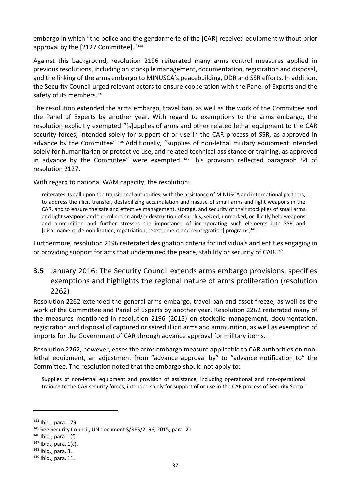embargo in which "the police and the gendarmerie of the [CAR] received equipment without prior approval by the [2127 Committee]."<sup>[144](#page-46-0)</sup>

Against this background, resolution 2196 reiterated many arms control measures applied in previous resolutions, including on stockpile management, documentation, registration and disposal, and the linking of the arms embargo to MINUSCA's peacebuilding, DDR and SSR efforts. In addition, the Security Council urged relevant actors to ensure cooperation with the Panel of Experts and the safety of its members.<sup>[145](#page-46-1)</sup>

The resolution extended the arms embargo, travel ban, as well as the work of the Committee and the Panel of Experts by another year. With regard to exemptions to the arms embargo, the resolution explicitly exempted "[s]upplies of arms and other related lethal equipment to the CAR security forces, intended solely for support of or use in the CAR process of SSR, as approved in advance by the Committee".<sup>[146](#page-46-2)</sup> Additionally, "supplies of non-lethal military equipment intended solely for humanitarian or protective use, and related technical assistance or training, as approved in advance by the Committee" were exempted.<sup>[147](#page-46-3)</sup> This provision reflected paragraph 54 of resolution 2127.

With regard to national WAM capacity, the resolution:

reiterates its call upon the transitional authorities, with the assistance of MINUSCA and international partners, to address the illicit transfer, destabilizing accumulation and misuse of small arms and light weapons in the CAR, and to ensure the safe and effective management, storage, and security of their stockpiles of small arms and light weapons and the collection and/or destruction of surplus, seized, unmarked, or illicitly held weapons and ammunition and further stresses the importance of incorporating such elements into SSR and [disarmament, demobilization, repatriation, resettlement and reintegration] programs;<sup>[148](#page-46-4)</sup>

Furthermore, resolution 2196 reiterated designation criteria for individuals and entities engaging in or providing support for acts that undermined the peace, stability or security of CAR.<sup>[149](#page-46-5)</sup>

# **3.5** January 2016: The Security Council extends arms embargo provisions, specifies exemptions and highlights the regional nature of arms proliferation (resolution 2262)

Resolution 2262 extended the general arms embargo, travel ban and asset freeze, as well as the work of the Committee and Panel of Experts by another year. Resolution 2262 reiterated many of the measures mentioned in resolution 2196 (2015) on stockpile management, documentation, registration and disposal of captured or seized illicit arms and ammunition, as well as exemption of imports for the Government of CAR through advance approval for military items.

Resolution 2262, however, eases the arms embargo measure applicable to CAR authorities on nonlethal equipment, an adjustment from "advance approval by" to "advance notification to" the Committee. The resolution noted that the embargo should not apply to:

Supplies of non-lethal equipment and provision of assistance, including operational and non-operational training to the CAR security forces, intended solely for support of or use in the CAR process of Security Sector

<span id="page-46-0"></span><sup>144</sup> Ibid., para. 179.

<span id="page-46-1"></span><sup>145</sup> See Security Council, UN document S/RES/2196, 2015, para. 21.

<span id="page-46-2"></span> $146$  Ibid., para. 1(f).

<span id="page-46-3"></span> $147$  Ibid., para.  $1(c)$ .

<span id="page-46-4"></span><sup>148</sup> Ibid., para. 3.

<span id="page-46-5"></span><sup>149</sup> Ibid., para. 11.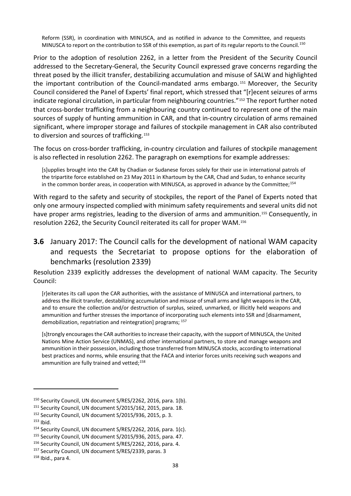Reform (SSR), in coordination with MINUSCA, and as notified in advance to the Committee, and requests MINUSCA to report on the contribution to SSR of this exemption, as part of its regular reports to the Council.<sup>[150](#page-47-0)</sup>

Prior to the adoption of resolution 2262, in a letter from the President of the Security Council addressed to the Secretary-General, the Security Council expressed grave concerns regarding the threat posed by the illicit transfer, destabilizing accumulation and misuse of SALW and highlighted the important contribution of the Council-mandated arms embargo. [151](#page-47-1) Moreover, the Security Council considered the Panel of Experts' final report, which stressed that "[r]ecent seizures of arms indicate regional circulation, in particular from neighbouring countries."[152](#page-47-2) The report further noted that cross-border trafficking from a neighbouring country continued to represent one of the main sources of supply of hunting ammunition in CAR, and that in-country circulation of arms remained significant, where improper storage and failures of stockpile management in CAR also contributed to diversion and sources of trafficking.<sup>[153](#page-47-3)</sup>

The focus on cross-border trafficking, in-country circulation and failures of stockpile management is also reflected in resolution 2262. The paragraph on exemptions for example addresses:

[s]upplies brought into the CAR by Chadian or Sudanese forces solely for their use in international patrols of the tripartite force established on 23 May 2011 in Khartoum by the CAR, Chad and Sudan, to enhance security in the common border areas, in cooperation with MINUSCA, as approved in advance by the Committee;<sup>[154](#page-47-4)</sup>

With regard to the safety and security of stockpiles, the report of the Panel of Experts noted that only one armoury inspected complied with minimum safety requirements and several units did not have proper arms registries, leading to the diversion of arms and ammunition.<sup>[155](#page-47-5)</sup> Consequently, in resolution 2262, the Security Council reiterated its call for proper WAM.[156](#page-47-6)

**3.6** January 2017: The Council calls for the development of national WAM capacity and requests the Secretariat to propose options for the elaboration of benchmarks (resolution 2339)

Resolution 2339 explicitly addresses the development of national WAM capacity. The Security Council:

[r]eiterates its call upon the CAR authorities, with the assistance of MINUSCA and international partners, to address the illicit transfer, destabilizing accumulation and misuse of small arms and light weapons in the CAR, and to ensure the collection and/or destruction of surplus, seized, unmarked, or illicitly held weapons and ammunition and further stresses the importance of incorporating such elements into SSR and [disarmament, demobilization, repatriation and reintegration] programs; [157](#page-47-7)

[s]trongly encourages the CAR authorities to increase their capacity, with the support of MINUSCA, the United Nations Mine Action Service (UNMAS), and other international partners, to store and manage weapons and ammunition in their possession, including those transferred from MINUSCA stocks, according to international best practices and norms, while ensuring that the FACA and interior forces units receiving such weapons and ammunition are fully trained and vetted;<sup>[158](#page-47-8)</sup>

<span id="page-47-1"></span><span id="page-47-0"></span><sup>&</sup>lt;sup>150</sup> Security Council, UN document S/RES/2262, 2016, para. 1(b).<br><sup>151</sup> Security Council, UN document S/2015/162, 2015, para. 18.<br><sup>152</sup> Security Council, UN document S/2015/936, 2015, p. 3.

<span id="page-47-3"></span><span id="page-47-2"></span><sup>&</sup>lt;sup>153</sup> Ibid.<br><sup>154</sup> Security Council, UN document S/RES/2262, 2016, para. 1(c).

<span id="page-47-6"></span><span id="page-47-5"></span><span id="page-47-4"></span><sup>&</sup>lt;sup>155</sup> Security Council, UN document S/2015/936, 2015, para. 47.<br><sup>156</sup> Security Council, UN document S/RES/2262, 2016, para. 4.

<span id="page-47-7"></span><sup>157</sup> Security Council, UN document S/RES/2339, paras. 3

<span id="page-47-8"></span> $158$  Ibid., para 4.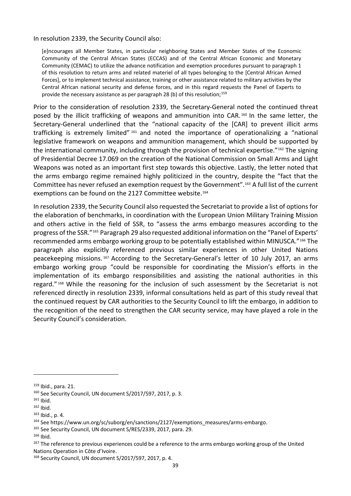In resolution 2339, the Security Council also:

[e]ncourages all Member States, in particular neighboring States and Member States of the Economic Community of the Central African States (ECCAS) and of the Central African Economic and Monetary Community (CEMAC) to utilize the advance notification and exemption procedures pursuant to paragraph 1 of this resolution to return arms and related materiel of all types belonging to the [Central African Armed Forces], or to implement technical assistance, training or other assistance related to military activities by the Central African national security and defense forces, and in this regard requests the Panel of Experts to provide the necessary assistance as per paragraph 28 (b) of this resolution;<sup>[159](#page-48-0)</sup>

Prior to the consideration of resolution 2339, the Secretary-General noted the continued threat posed by the illicit trafficking of weapons and ammunition into CAR.<sup>[160](#page-48-1)</sup> In the same letter, the Secretary-General underlined that the "national capacity of the [CAR] to prevent illicit arms trafficking is extremely limited" [161](#page-48-2) and noted the importance of operationalizing a "national legislative framework on weapons and ammunition management, which should be supported by the international community, including through the provision of technical expertise."<sup>[162](#page-48-3)</sup> The signing of Presidential Decree 17.069 on the creation of the National Commission on Small Arms and Light Weapons was noted as an important first step towards this objective. Lastly, the letter noted that the arms embargo regime remained highly politicized in the country, despite the "fact that the Committee has never refused an exemption request by the Government".[163](#page-48-4) A full list of the current exemptions can be found on the 2127 Committee website.<sup>[164](#page-48-5)</sup>

In resolution 2339, the Security Council also requested the Secretariat to provide a list of options for the elaboration of benchmarks, in coordination with the European Union Military Training Mission and others active in the field of SSR, to "assess the arms embargo measures according to the progress of the SSR."[165](#page-48-6) Paragraph 29 also requested additional information on the "Panel of Experts' recommended arms embargo working group to be potentially established within MINUSCA."[166](#page-48-7) The paragraph also explicitly referenced previous similar experiences in other United Nations peacekeeping missions. [167](#page-48-8) According to the Secretary-General's letter of 10 July 2017, an arms embargo working group "could be responsible for coordinating the Mission's efforts in the implementation of its embargo responsibilities and assisting the national authorities in this regard." [168](#page-48-9) While the reasoning for the inclusion of such assessment by the Secretariat is not referenced directly in resolution 2339, informal consultations held as part of this study reveal that the continued request by CAR authorities to the Security Council to lift the embargo, in addition to the recognition of the need to strengthen the CAR security service, may have played a role in the Security Council's consideration.

-

<span id="page-48-7"></span><sup>166</sup> Ibid.

<span id="page-48-0"></span><sup>159</sup> Ibid., para. 21.

<span id="page-48-1"></span><sup>160</sup> See Security Council, UN document S/2017/597, 2017, p. 3.

<span id="page-48-3"></span>

<span id="page-48-4"></span>

<span id="page-48-2"></span><sup>&</sup>lt;sup>162</sup> Ibid.<br><sup>162</sup> Ibid., p. 4.<br><sup>163</sup> See https://www.un.org/sc/suborg/en/sanctions/2127/exemptions\_measures/arms-embargo.

<span id="page-48-6"></span><span id="page-48-5"></span><sup>165</sup> See Security Council, UN document S/RES/2339, 2017, para. 29.

<span id="page-48-8"></span><sup>&</sup>lt;sup>167</sup> The reference to previous experiences could be a reference to the arms embargo working group of the United Nations Operation in Côte d'Ivoire.

<span id="page-48-9"></span><sup>168</sup> Security Council, UN document S/2017/597, 2017, p. 4.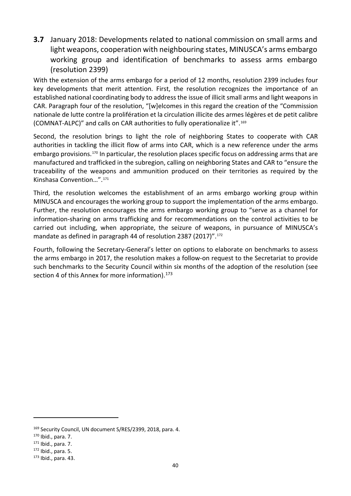**3.7** January 2018: Developments related to national commission on small arms and light weapons, cooperation with neighbouring states, MINUSCA's arms embargo working group and identification of benchmarks to assess arms embargo (resolution 2399)

With the extension of the arms embargo for a period of 12 months, resolution 2399 includes four key developments that merit attention. First, the resolution recognizes the importance of an established national coordinating body to address the issue of illicit small arms and light weapons in CAR. Paragraph four of the resolution, "[w]elcomes in this regard the creation of the "Commission nationale de lutte contre la prolifération et la circulation illicite des armes légères et de petit calibre (COMNAT-ALPC)" and calls on CAR authorities to fully operationalize it".[169](#page-49-0)

Second, the resolution brings to light the role of neighboring States to cooperate with CAR authorities in tackling the illicit flow of arms into CAR, which is a new reference under the arms embargo provisions.[170](#page-49-1) In particular, the resolution places specific focus on addressing arms that are manufactured and trafficked in the subregion, calling on neighboring States and CAR to "ensure the traceability of the weapons and ammunition produced on their territories as required by the Kinshasa Convention…".[171](#page-49-2) 

Third, the resolution welcomes the establishment of an arms embargo working group within MINUSCA and encourages the working group to support the implementation of the arms embargo. Further, the resolution encourages the arms embargo working group to "serve as a channel for information-sharing on arms trafficking and for recommendations on the control activities to be carried out including, when appropriate, the seizure of weapons, in pursuance of MINUSCA's mandate as defined in paragraph 44 of resolution 2387 (2017)".<sup>[172](#page-49-3)</sup>

Fourth, following the Secretary-General's letter on options to elaborate on benchmarks to assess the arms embargo in 2017, the resolution makes a follow-on request to the Secretariat to provide such benchmarks to the Security Council within six months of the adoption of the resolution (see section 4 of this Annex for more information). $173$ 

<span id="page-49-0"></span><sup>&</sup>lt;sup>169</sup> Security Council, UN document S/RES/2399, 2018, para. 4.<br><sup>170</sup> Ibid., para. 7.<br><sup>171</sup> Ibid., para. 7.

<span id="page-49-1"></span>

<span id="page-49-2"></span>

<span id="page-49-3"></span><sup>172</sup> Ibid., para. 5.

<span id="page-49-4"></span><sup>173</sup> Ibid., para. 43.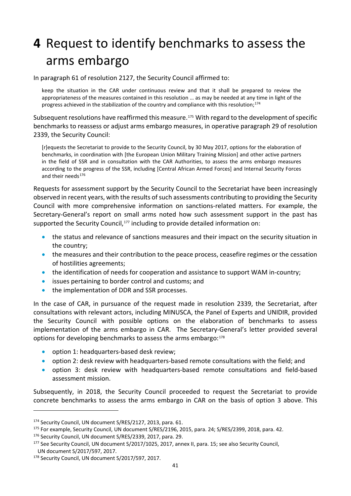# **4** Request to identify benchmarks to assess the arms embargo

In paragraph 61 of resolution 2127, the Security Council affirmed to:

keep the situation in the CAR under continuous review and that it shall be prepared to review the appropriateness of the measures contained in this resolution … as may be needed at any time in light of the progress achieved in the stabilization of the country and compliance with this resolution;<sup>[174](#page-50-0)</sup>

Subsequent resolutions have reaffirmed this measure.<sup>[175](#page-50-1)</sup> With regard to the development of specific benchmarks to reassess or adjust arms embargo measures, in operative paragraph 29 of resolution 2339, the Security Council:

[r]equests the Secretariat to provide to the Security Council, by 30 May 2017, options for the elaboration of benchmarks, in coordination with [the European Union Military Training Mission] and other active partners in the field of SSR and in consultation with the CAR Authorities, to assess the arms embargo measures according to the progress of the SSR, including [Central African Armed Forces] and Internal Security Forces and their needs<sup>[176](#page-50-2)</sup>

Requests for assessment support by the Security Council to the Secretariat have been increasingly observed in recent years, with the results of such assessments contributing to providing the Security Council with more comprehensive information on sanctions-related matters. For example, the Secretary-General's report on small arms noted how such assessment support in the past has supported the Security Council,<sup>[177](#page-50-3)</sup> including to provide detailed information on:

- the status and relevance of sanctions measures and their impact on the security situation in the country;
- the measures and their contribution to the peace process, ceasefire regimes or the cessation of hostilities agreements;
- the identification of needs for cooperation and assistance to support WAM in-country;
- issues pertaining to border control and customs; and
- the implementation of DDR and SSR processes.

In the case of CAR, in pursuance of the request made in resolution 2339, the Secretariat, after consultations with relevant actors, including MINUSCA, the Panel of Experts and UNIDIR, provided the Security Council with possible options on the elaboration of benchmarks to assess implementation of the arms embargo in CAR. The Secretary-General's letter provided several options for developing benchmarks to assess the arms embargo:<sup>[178](#page-50-4)</sup>

- option 1: headquarters-based desk review;
- option 2: desk review with headquarters-based remote consultations with the field; and
- option 3: desk review with headquarters-based remote consultations and field-based assessment mission.

Subsequently, in 2018, the Security Council proceeded to request the Secretariat to provide concrete benchmarks to assess the arms embargo in CAR on the basis of option 3 above. This

<span id="page-50-2"></span><span id="page-50-1"></span><sup>175</sup> For example, Security Council, UN document S/RES/2196, 2015, para. 24; S/RES/2399, 2018, para. 42.  $176$  Security Council, UN document S/RES/2339, 2017, para. 29.

<span id="page-50-0"></span><sup>&</sup>lt;sup>174</sup> Security Council, UN document S/RES/2127, 2013, para. 61.

<span id="page-50-3"></span><sup>&</sup>lt;sup>177</sup> See Security Council, UN document S/2017/1025, 2017, annex II, para. 15; see also Security Council,

UN document S/2017/597, 2017.

<span id="page-50-4"></span><sup>178</sup> Security Council, UN document S/2017/597, 2017.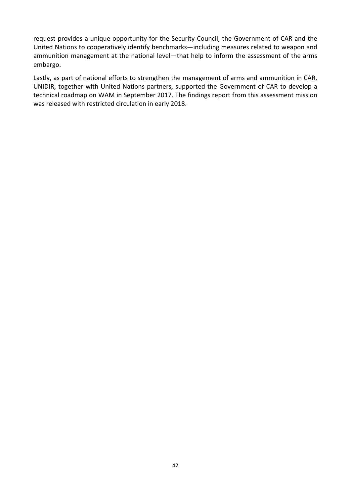request provides a unique opportunity for the Security Council, the Government of CAR and the United Nations to cooperatively identify benchmarks—including measures related to weapon and ammunition management at the national level—that help to inform the assessment of the arms embargo.

Lastly, as part of national efforts to strengthen the management of arms and ammunition in CAR, UNIDIR, together with United Nations partners, supported the Government of CAR to develop a technical roadmap on WAM in September 2017. The findings report from this assessment mission was released with restricted circulation in early 2018.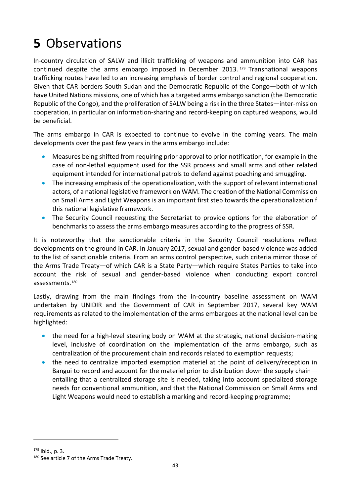# **5** Observations

In-country circulation of SALW and illicit trafficking of weapons and ammunition into CAR has continued despite the arms embargo imposed in December 2013. [179](#page-52-0) Transnational weapons trafficking routes have led to an increasing emphasis of border control and regional cooperation. Given that CAR borders South Sudan and the Democratic Republic of the Congo—both of which have United Nations missions, one of which has a targeted arms embargo sanction (the Democratic Republic of the Congo), and the proliferation of SALW being a risk in the three States—inter-mission cooperation, in particular on information-sharing and record-keeping on captured weapons, would be beneficial.

The arms embargo in CAR is expected to continue to evolve in the coming years. The main developments over the past few years in the arms embargo include:

- Measures being shifted from requiring prior approval to prior notification, for example in the case of non-lethal equipment used for the SSR process and small arms and other related equipment intended for international patrols to defend against poaching and smuggling.
- The increasing emphasis of the operationalization, with the support of relevant international actors, of a national legislative framework on WAM. The creation of the National Commission on Small Arms and Light Weapons is an important first step towards the operationalization f this national legislative framework.
- The Security Council requesting the Secretariat to provide options for the elaboration of benchmarks to assess the arms embargo measures according to the progress of SSR.

It is noteworthy that the sanctionable criteria in the Security Council resolutions reflect developments on the ground in CAR. In January 2017, sexual and gender-based violence was added to the list of sanctionable criteria. From an arms control perspective, such criteria mirror those of the Arms Trade Treaty—of which CAR is a State Party—which require States Parties to take into account the risk of sexual and gender-based violence when conducting export control assessments.[180](#page-52-1)

Lastly, drawing from the main findings from the in-country baseline assessment on WAM undertaken by UNIDIR and the Government of CAR in September 2017, several key WAM requirements as related to the implementation of the arms embargoes at the national level can be highlighted:

- the need for a high-level steering body on WAM at the strategic, national decision-making level, inclusive of coordination on the implementation of the arms embargo, such as centralization of the procurement chain and records related to exemption requests;
- the need to centralize imported exemption materiel at the point of delivery/reception in Bangui to record and account for the materiel prior to distribution down the supply chain entailing that a centralized storage site is needed, taking into account specialized storage needs for conventional ammunition, and that the National Commission on Small Arms and Light Weapons would need to establish a marking and record-keeping programme;

<span id="page-52-0"></span><sup>179</sup> Ibid., p. 3.

<span id="page-52-1"></span><sup>180</sup> See article 7 of the Arms Trade Treaty.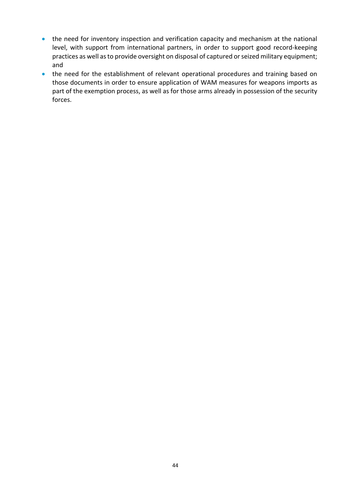- the need for inventory inspection and verification capacity and mechanism at the national level, with support from international partners, in order to support good record-keeping practices as well as to provide oversight on disposal of captured or seized military equipment; and
- the need for the establishment of relevant operational procedures and training based on those documents in order to ensure application of WAM measures for weapons imports as part of the exemption process, as well as for those arms already in possession of the security forces.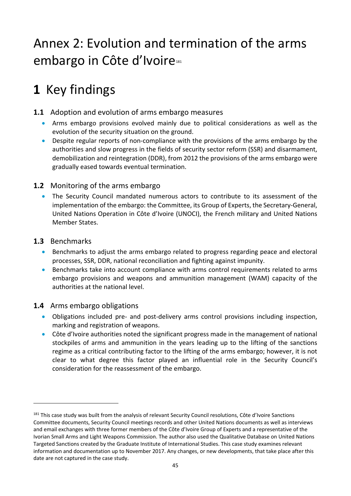# Annex 2: Evolution and termination of the arms embargo in Côte d'Ivoire<sup>[181](#page-54-0)</sup>

# **1** Key findings

- **1.1** Adoption and evolution of arms embargo measures
	- Arms embargo provisions evolved mainly due to political considerations as well as the evolution of the security situation on the ground.
	- Despite regular reports of non-compliance with the provisions of the arms embargo by the authorities and slow progress in the fields of security sector reform (SSR) and disarmament, demobilization and reintegration (DDR), from 2012 the provisions of the arms embargo were gradually eased towards eventual termination.

## **1.2** Monitoring of the arms embargo

• The Security Council mandated numerous actors to contribute to its assessment of the implementation of the embargo: the Committee, its Group of Experts, the Secretary-General, United Nations Operation in Côte d'Ivoire (UNOCI), the French military and United Nations Member States.

## **1.3** Benchmarks

1

- Benchmarks to adjust the arms embargo related to progress regarding peace and electoral processes, SSR, DDR, national reconciliation and fighting against impunity.
- Benchmarks take into account compliance with arms control requirements related to arms embargo provisions and weapons and ammunition management (WAM) capacity of the authorities at the national level.

## **1.4** Arms embargo obligations

- Obligations included pre- and post-delivery arms control provisions including inspection, marking and registration of weapons.
- Côte d'Ivoire authorities noted the significant progress made in the management of national stockpiles of arms and ammunition in the years leading up to the lifting of the sanctions regime as a critical contributing factor to the lifting of the arms embargo; however, it is not clear to what degree this factor played an influential role in the Security Council's consideration for the reassessment of the embargo.

<span id="page-54-0"></span><sup>&</sup>lt;sup>181</sup> This case study was built from the analysis of relevant Security Council resolutions, Côte d'Ivoire Sanctions Committee documents, Security Council meetings records and other United Nations documents as well as interviews and email exchanges with three former members of the Côte d'Ivoire Group of Experts and a representative of the Ivorian Small Arms and Light Weapons Commission. The author also used the Qualitative Database on United Nations Targeted Sanctions created by the Graduate Institute of International Studies. This case study examines relevant information and documentation up to November 2017. Any changes, or new developments, that take place after this date are not captured in the case study.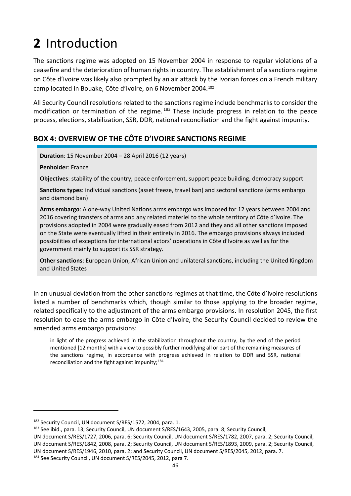# **2** Introduction

The sanctions regime was adopted on 15 November 2004 in response to regular violations of a ceasefire and the deterioration of human rights in country. The establishment of a sanctions regime on Côte d'Ivoire was likely also prompted by an air attack by the Ivorian forces on a French military camp located in Bouake, Côte d'Ivoire, on 6 November 2004.[182](#page-55-0)

All Security Council resolutions related to the sanctions regime include benchmarks to consider the modification or termination of the regime.<sup>[183](#page-55-1)</sup> These include progress in relation to the peace process, elections, stabilization, SSR, DDR, national reconciliation and the fight against impunity.

# **BOX 4: OVERVIEW OF THE CÔTE D'IVOIRE SANCTIONS REGIME**

**Duration**: 15 November 2004 – 28 April 2016 (12 years)

**Penholder**: France

**Objectives**: stability of the country, peace enforcement, support peace building, democracy support

**Sanctions types**: individual sanctions (asset freeze, travel ban) and sectoral sanctions (arms embargo and diamond ban)

**Arms embargo**: A one-way United Nations arms embargo was imposed for 12 years between 2004 and 2016 covering transfers of arms and any related materiel to the whole territory of Côte d'Ivoire. The provisions adopted in 2004 were gradually eased from 2012 and they and all other sanctions imposed on the State were eventually lifted in their entirety in 2016. The embargo provisions always included possibilities of exceptions for international actors' operations in Côte d'Ivoire as well as for the government mainly to support its SSR strategy.

**Other sanctions**: European Union, African Union and unilateral sanctions, including the United Kingdom and United States

In an unusual deviation from the other sanctions regimes at that time, the Côte d'Ivoire resolutions listed a number of benchmarks which, though similar to those applying to the broader regime, related specifically to the adjustment of the arms embargo provisions. In resolution 2045, the first resolution to ease the arms embargo in Côte d'Ivoire, the Security Council decided to review the amended arms embargo provisions:

in light of the progress achieved in the stabilization throughout the country, by the end of the period mentioned [12 months] with a view to possibly further modifying all or part of the remaining measures of the sanctions regime, in accordance with progress achieved in relation to DDR and SSR, national reconciliation and the fight against impunity;  $184$ 

<span id="page-55-0"></span><sup>182</sup> Security Council, UN document S/RES/1572, 2004, para. 1.

<span id="page-55-1"></span><sup>&</sup>lt;sup>183</sup> See ibid., para. 13; Security Council, UN document S/RES/1643, 2005, para. 8; Security Council,

UN document S/RES/1727, 2006, para. 6; Security Council, UN document S/RES/1782, 2007, para. 2; Security Council, UN document S/RES/1842, 2008, para. 2; Security Council, UN document S/RES/1893, 2009, para. 2; Security Council, UN document S/RES/1946, 2010, para. 2; and Security Council, UN document S/RES/2045, 2012, para. 7. 184 See Security Council, UN document S/RES/2045, 2012, para 7.

<span id="page-55-2"></span>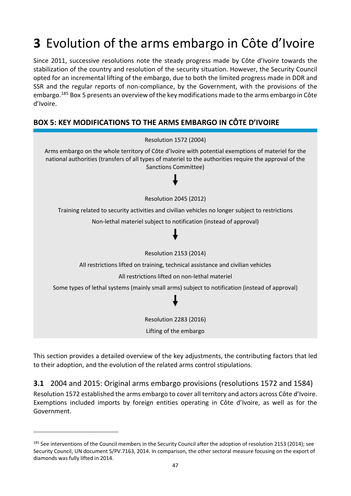# **3** Evolution of the arms embargo in Côte d'Ivoire

Since 2011, successive resolutions note the steady progress made by Côte d'Ivoire towards the stabilization of the country and resolution of the security situation. However, the Security Council opted for an incremental lifting of the embargo, due to both the limited progress made in DDR and SSR and the regular reports of non-compliance, by the Government, with the provisions of the embargo.[185](#page-56-0) Box 5 presents an overview of the key modifications made to the arms embargo in Côte d'Ivoire.

# **BOX 5: KEY MODIFICATIONS TO THE ARMS EMBARGO IN CÔTE D'IVOIRE**



This section provides a detailed overview of the key adjustments, the contributing factors that led to their adoption, and the evolution of the related arms control stipulations.

**3.1** 2004 and 2015: Original arms embargo provisions (resolutions 1572 and 1584) Resolution 1572 established the arms embargo to cover all territory and actors across Côte d'Ivoire. Exemptions included imports by foreign entities operating in Côte d'Ivoire, as well as for the Government.

<span id="page-56-0"></span><sup>&</sup>lt;sup>185</sup> See interventions of the Council members in the Security Council after the adoption of resolution 2153 (2014); see Security Council, UN document S/PV.7163, 2014. In comparison, the other sectoral measure focusing on the export of diamonds was fully lifted in 2014.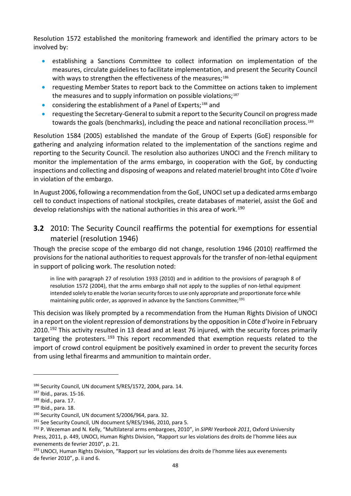Resolution 1572 established the monitoring framework and identified the primary actors to be involved by:

- establishing a Sanctions Committee to collect information on implementation of the measures, circulate guidelines to facilitate implementation, and present the Security Council with ways to strengthen the effectiveness of the measures;<sup>[186](#page-57-0)</sup>
- requesting Member States to report back to the Committee on actions taken to implement the measures and to supply information on possible violations;<sup>[187](#page-57-1)</sup>
- considering the establishment of a Panel of Experts;<sup>[188](#page-57-2)</sup> and
- requesting the Secretary-General to submit a report to the Security Council on progress made towards the goals (benchmarks), including the peace and national reconciliation process.<sup>[189](#page-57-3)</sup>

Resolution 1584 (2005) established the mandate of the Group of Experts (GoE) responsible for gathering and analyzing information related to the implementation of the sanctions regime and reporting to the Security Council. The resolution also authorizes UNOCI and the French military to monitor the implementation of the arms embargo, in cooperation with the GoE, by conducting inspections and collecting and disposing of weapons and related materiel brought into Côte d'Ivoire in violation of the embargo.

In August 2006, following a recommendation from the GoE, UNOCI set up a dedicated arms embargo cell to conduct inspections of national stockpiles, create databases of materiel, assist the GoE and develop relationships with the national authorities in this area of work.<sup>[190](#page-57-4)</sup>

# **3.2** 2010: The Security Council reaffirms the potential for exemptions for essential materiel (resolution 1946)

Though the precise scope of the embargo did not change, resolution 1946 (2010) reaffirmed the provisions for the national authorities to request approvals for the transfer of non-lethal equipment in support of policing work. The resolution noted:

in line with paragraph 27 of resolution 1933 (2010) and in addition to the provisions of paragraph 8 of resolution 1572 (2004), that the arms embargo shall not apply to the supplies of non-lethal equipment intended solely to enable the Ivorian security forces to use only appropriate and proportionate force while maintaining public order, as approved in advance by the Sanctions Committee:<sup>[191](#page-57-5)</sup>

This decision was likely prompted by a recommendation from the Human Rights Division of UNOCI in a report on the violent repression of demonstrations by the opposition in Côte d'Ivoire in February 2010.<sup>[192](#page-57-6)</sup> This activity resulted in 13 dead and at least 76 injured, with the security forces primarily targeting the protesters.  $193$  This report recommended that exemption requests related to the import of crowd control equipment be positively examined in order to prevent the security forces from using lethal firearms and ammunition to maintain order.

<span id="page-57-0"></span><sup>186</sup> Security Council, UN document S/RES/1572, 2004, para. 14.

<span id="page-57-1"></span><sup>187</sup> Ibid., paras. 15-16.

<span id="page-57-2"></span><sup>188</sup> Ibid., para. 17.

<span id="page-57-3"></span><sup>189</sup> Ibid., para. 18.

<span id="page-57-4"></span><sup>190</sup> Security Council, UN document S/2006/964, para. 32.

<span id="page-57-5"></span><sup>&</sup>lt;sup>191</sup> See Security Council, UN document S/RES/1946, 2010, para 5.

<span id="page-57-6"></span><sup>192</sup> P. Wezeman and N. Kelly, "Multilateral arms embargoes, 2010", in *SIPRI Yearbook 2011*, Oxford University Press, 2011, p. 449, UNOCI, Human Rights Division, "Rapport sur les violations des droits de l'homme liées aux evenements de fevrier 2010", p. 21.

<span id="page-57-7"></span><sup>&</sup>lt;sup>193</sup> UNOCI, Human Rights Division, "Rapport sur les violations des droits de l'homme liées aux evenements de fevrier 2010", p. ii and 6.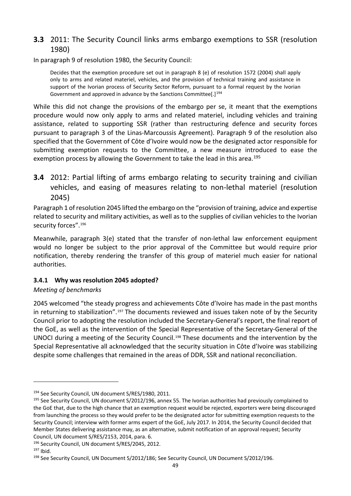## **3.3** 2011: The Security Council links arms embargo exemptions to SSR (resolution 1980)

In paragraph 9 of resolution 1980, the Security Council:

Decides that the exemption procedure set out in paragraph 8 (e) of resolution 1572 (2004) shall apply only to arms and related materiel, vehicles, and the provision of technical training and assistance in support of the Ivorian process of Security Sector Reform, pursuant to a formal request by the Ivorian Government and approved in advance by the Sanctions Committee[.]<sup>[194](#page-58-0)</sup>

While this did not change the provisions of the embargo per se, it meant that the exemptions procedure would now only apply to arms and related materiel, including vehicles and training assistance, related to supporting SSR (rather than restructuring defence and security forces pursuant to paragraph 3 of the Linas-Marcoussis Agreement). Paragraph 9 of the resolution also specified that the Government of Côte d'Ivoire would now be the designated actor responsible for submitting exemption requests to the Committee, a new measure introduced to ease the exemption process by allowing the Government to take the lead in this area.<sup>[195](#page-58-1)</sup>

**3.4** 2012: Partial lifting of arms embargo relating to security training and civilian vehicles, and easing of measures relating to non-lethal materiel (resolution 2045)

Paragraph 1 of resolution 2045 lifted the embargo on the "provision of training, advice and expertise related to security and military activities, as well as to the supplies of civilian vehicles to the Ivorian security forces".<sup>[196](#page-58-2)</sup>

Meanwhile, paragraph 3(e) stated that the transfer of non-lethal law enforcement equipment would no longer be subject to the prior approval of the Committee but would require prior notification, thereby rendering the transfer of this group of materiel much easier for national authorities.

## **3.4.1 Why was resolution 2045 adopted?**

## *Meeting of benchmarks*

2045 welcomed "the steady progress and achievements Côte d'Ivoire has made in the past months in returning to stabilization".<sup>[197](#page-58-3)</sup> The documents reviewed and issues taken note of by the Security Council prior to adopting the resolution included the Secretary-General's report, the final report of the GoE, as well as the intervention of the Special Representative of the Secretary-General of the UNOCI during a meeting of the Security Council.<sup>[198](#page-58-4)</sup> These documents and the intervention by the Special Representative all acknowledged that the security situation in Côte d'Ivoire was stabilizing despite some challenges that remained in the areas of DDR, SSR and national reconciliation.

<span id="page-58-1"></span><span id="page-58-0"></span><sup>&</sup>lt;sup>194</sup> See Security Council, UN document S/RES/1980, 2011.<br><sup>195</sup> See Security Council, UN document S/2012/196, annex 55. The Ivorian authorities had previously complained to the GoE that, due to the high chance that an exemption request would be rejected, exporters were being discouraged from launching the process so they would prefer to be the designated actor for submitting exemption requests to the Security Council; interview with former arms expert of the GoE, July 2017. In 2014, the Security Council decided that Member States delivering assistance may, as an alternative, submit notification of an approval request; Security Council, UN document S/RES/2153, 2014, para. 6.

<span id="page-58-3"></span><span id="page-58-2"></span><sup>&</sup>lt;sup>196</sup> Security Council, UN document S/RES/2045, 2012.<br><sup>197</sup> Ibid.

<span id="page-58-4"></span><sup>198</sup> See Security Council, UN Document S/2012/186; See Security Council, UN Document S/2012/196.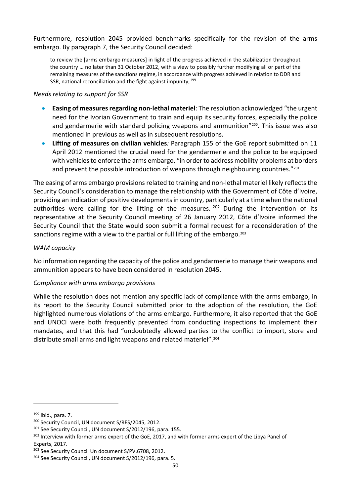Furthermore, resolution 2045 provided benchmarks specifically for the revision of the arms embargo. By paragraph 7, the Security Council decided:

to review the [arms embargo measures] in light of the progress achieved in the stabilization throughout the country … no later than 31 October 2012, with a view to possibly further modifying all or part of the remaining measures of the sanctions regime, in accordance with progress achieved in relation to DDR and SSR, national reconciliation and the fight against impunity; $199$ 

#### *Needs relating to support for SSR*

- **Easing of measures regarding non-lethal materiel**: The resolution acknowledged "the urgent need for the Ivorian Government to train and equip its security forces, especially the police and gendarmerie with standard policing weapons and ammunition"<sup>[200](#page-59-1)</sup>. This issue was also mentioned in previous as well as in subsequent resolutions.
- **Lifting of measures on civilian vehicles***:* Paragraph 155 of the GoE report submitted on 11 April 2012 mentioned the crucial need for the gendarmerie and the police to be equipped with vehicles to enforce the arms embargo, "in order to address mobility problems at borders and prevent the possible introduction of weapons through neighbouring countries."<sup>[201](#page-59-2)</sup>

The easing of arms embargo provisions related to training and non-lethal materiel likely reflects the Security Council's consideration to manage the relationship with the Government of Côte d'Ivoire, providing an indication of positive developments in country, particularly at a time when the national authorities were calling for the lifting of the measures.  $202$  During the intervention of its representative at the Security Council meeting of 26 January 2012, Côte d'Ivoire informed the Security Council that the State would soon submit a formal request for a reconsideration of the sanctions regime with a view to the partial or full lifting of the embargo.<sup>[203](#page-59-4)</sup>

#### *WAM capacity*

No information regarding the capacity of the police and gendarmerie to manage their weapons and ammunition appears to have been considered in resolution 2045.

### *Compliance with arms embargo provisions*

While the resolution does not mention any specific lack of compliance with the arms embargo, in its report to the Security Council submitted prior to the adoption of the resolution, the GoE highlighted numerous violations of the arms embargo. Furthermore, it also reported that the GoE and UNOCI were both frequently prevented from conducting inspections to implement their mandates, and that this had "undoubtedly allowed parties to the conflict to import, store and distribute small arms and light weapons and related materiel".[204](#page-59-5)

<span id="page-59-0"></span> $199$  Ibid., para. 7.

<span id="page-59-1"></span><sup>200</sup> Security Council, UN document S/RES/2045, 2012.

<span id="page-59-3"></span><span id="page-59-2"></span><sup>&</sup>lt;sup>201</sup> See Security Council, UN document S/2012/196, para. 155.<br><sup>202</sup> Interview with former arms expert of the GoE, 2017, and with former arms expert of the Libya Panel of Experts, 2017.

<span id="page-59-4"></span><sup>&</sup>lt;sup>203</sup> See Security Council Un document S/PV.6708, 2012.

<span id="page-59-5"></span><sup>&</sup>lt;sup>204</sup> See Security Council, UN document S/2012/196, para. 5.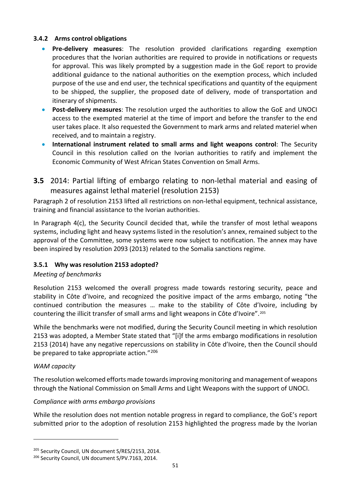### **3.4.2 Arms control obligations**

- **Pre-delivery measures**: The resolution provided clarifications regarding exemption procedures that the Ivorian authorities are required to provide in notifications or requests for approval. This was likely prompted by a suggestion made in the GoE report to provide additional guidance to the national authorities on the exemption process, which included purpose of the use and end user, the technical specifications and quantity of the equipment to be shipped, the supplier, the proposed date of delivery, mode of transportation and itinerary of shipments.
- **Post-delivery measures**: The resolution urged the authorities to allow the GoE and UNOCI access to the exempted materiel at the time of import and before the transfer to the end user takes place. It also requested the Government to mark arms and related materiel when received, and to maintain a registry.
- **International instrument related to small arms and light weapons control**: The Security Council in this resolution called on the Ivorian authorities to ratify and implement the Economic Community of West African States Convention on Small Arms.
- **3.5** 2014: Partial lifting of embargo relating to non-lethal material and easing of measures against lethal materiel (resolution 2153)

Paragraph 2 of resolution 2153 lifted all restrictions on non-lethal equipment, technical assistance, training and financial assistance to the Ivorian authorities.

In Paragraph 4(c), the Security Council decided that, while the transfer of most lethal weapons systems, including light and heavy systems listed in the resolution's annex, remained subject to the approval of the Committee, some systems were now subject to notification. The annex may have been inspired by resolution 2093 (2013) related to the Somalia sanctions regime.

### **3.5.1 Why was resolution 2153 adopted?**

#### *Meeting of benchmarks*

Resolution 2153 welcomed the overall progress made towards restoring security, peace and stability in Côte d'Ivoire, and recognized the positive impact of the arms embargo, noting "the continued contribution the measures … make to the stability of Côte d'Ivoire, including by countering the illicit transfer of small arms and light weapons in Côte d'Ivoire".[205](#page-60-0)

While the benchmarks were not modified, during the Security Council meeting in which resolution 2153 was adopted, a Member State stated that "[i]f the arms embargo modifications in resolution 2153 (2014) have any negative repercussions on stability in Côte d'Ivoire, then the Council should be prepared to take appropriate action."<sup>[206](#page-60-1)</sup>

#### *WAM capacity*

1

The resolution welcomed efforts made towards improving monitoring and management of weapons through the National Commission on Small Arms and Light Weapons with the support of UNOCI.

#### *Compliance with arms embargo provisions*

While the resolution does not mention notable progress in regard to compliance, the GoE's report submitted prior to the adoption of resolution 2153 highlighted the progress made by the Ivorian

<span id="page-60-0"></span><sup>&</sup>lt;sup>205</sup> Security Council, UN document S/RES/2153, 2014.<br><sup>206</sup> Security Council, UN document S/PV.7163, 2014.

<span id="page-60-1"></span>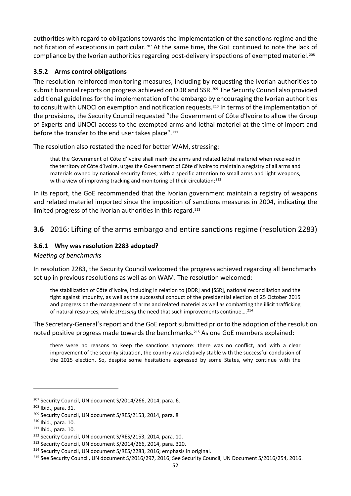authorities with regard to obligations towards the implementation of the sanctions regime and the notification of exceptions in particular.<sup>[207](#page-61-0)</sup> At the same time, the GoE continued to note the lack of compliance by the Ivorian authorities regarding post-delivery inspections of exempted materiel.<sup>[208](#page-61-1)</sup>

### **3.5.2 Arms control obligations**

The resolution reinforced monitoring measures, including by requesting the Ivorian authorities to submit biannual reports on progress achieved on DDR and SSR.<sup>[209](#page-61-2)</sup> The Security Council also provided additional guidelines for the implementation of the embargo by encouraging the Ivorian authorities to consult with UNOCI on exemption and notification requests.<sup>[210](#page-61-3)</sup> In terms of the implementation of the provisions, the Security Council requested "the Government of Côte d'Ivoire to allow the Group of Experts and UNOCI access to the exempted arms and lethal materiel at the time of import and before the transfer to the end user takes place".<sup>211</sup>

The resolution also restated the need for better WAM, stressing:

that the Government of Côte d'Ivoire shall mark the arms and related lethal materiel when received in the territory of Côte d'Ivoire, urges the Government of Côte d'Ivoire to maintain a registry of all arms and materials owned by national security forces, with a specific attention to small arms and light weapons, with a view of improving tracking and monitoring of their circulation;<sup>[212](#page-61-5)</sup>

In its report, the GoE recommended that the Ivorian government maintain a registry of weapons and related materiel imported since the imposition of sanctions measures in 2004, indicating the limited progress of the Ivorian authorities in this regard.<sup>[213](#page-61-6)</sup>

## **3.6** 2016: Lifting of the arms embargo and entire sanctions regime (resolution 2283)

### **3.6.1 Why was resolution 2283 adopted?**

### *Meeting of benchmarks*

In resolution 2283, the Security Council welcomed the progress achieved regarding all benchmarks set up in previous resolutions as well as on WAM. The resolution welcomed:

the stabilization of Côte d'Ivoire, including in relation to [DDR] and [SSR], national reconciliation and the fight against impunity, as well as the successful conduct of the presidential election of 25 October 2015 and progress on the management of arms and related materiel as well as combatting the illicit trafficking of natural resources, while *stressing* the need that such improvements continue….[214](#page-61-7)

The Secretary-General's report and the GoE report submitted prior to the adoption of the resolution noted positive progress made towards the benchmarks.[215](#page-61-8) As one GoE members explained:

there were no reasons to keep the sanctions anymore: there was no conflict, and with a clear improvement of the security situation, the country was relatively stable with the successful conclusion of the 2015 election. So, despite some hesitations expressed by some States, why continue with the

<span id="page-61-0"></span><sup>&</sup>lt;sup>207</sup> Security Council, UN document S/2014/266, 2014, para. 6.

<span id="page-61-1"></span><sup>208</sup> Ibid., para. 31.

<span id="page-61-2"></span><sup>&</sup>lt;sup>209</sup> Security Council, UN document S/RES/2153, 2014, para. 8

<span id="page-61-3"></span><sup>210</sup> Ibid., para. 10.

<span id="page-61-4"></span> $211$  Ibid., para. 10.

<span id="page-61-6"></span><span id="page-61-5"></span><sup>&</sup>lt;sup>212</sup> Security Council, UN document S/RES/2153, 2014, para. 10.<br><sup>213</sup> Security Council, UN document S/2014/266, 2014, para. 320.

<span id="page-61-7"></span><sup>&</sup>lt;sup>214</sup> Security Council, UN document S/RES/2283, 2016; emphasis in original.

<span id="page-61-8"></span><sup>215</sup> See Security Council, UN document S/2016/297, 2016; See Security Council, UN Document S/2016/254, 2016.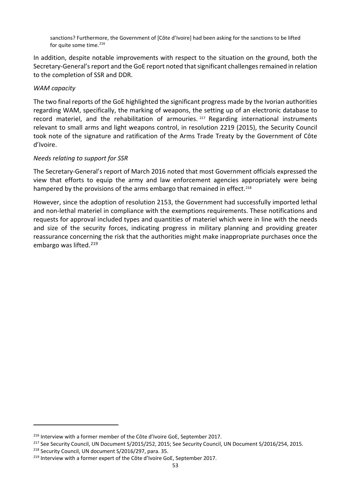sanctions? Furthermore, the Government of [Côte d'Ivoire] had been asking for the sanctions to be lifted for quite some time.<sup>[216](#page-62-0)</sup>

In addition, despite notable improvements with respect to the situation on the ground, both the Secretary-General's report and the GoE report noted that significant challenges remained in relation to the completion of SSR and DDR.

#### *WAM capacity*

The two final reports of the GoE highlighted the significant progress made by the Ivorian authorities regarding WAM, specifically, the marking of weapons, the setting up of an electronic database to record materiel, and the rehabilitation of armouries.<sup>[217](#page-62-1)</sup> Regarding international instruments relevant to small arms and light weapons control, in resolution 2219 (2015), the Security Council took note of the signature and ratification of the Arms Trade Treaty by the Government of Côte d'Ivoire.

#### *Needs relating to support for SSR*

The Secretary-General's report of March 2016 noted that most Government officials expressed the view that efforts to equip the army and law enforcement agencies appropriately were being hampered by the provisions of the arms embargo that remained in effect.<sup>[218](#page-62-2)</sup>

However, since the adoption of resolution 2153, the Government had successfully imported lethal and non-lethal materiel in compliance with the exemptions requirements. These notifications and requests for approval included types and quantities of materiel which were in line with the needs and size of the security forces, indicating progress in military planning and providing greater reassurance concerning the risk that the authorities might make inappropriate purchases once the embargo was lifted.<sup>[219](#page-62-3)</sup>

<span id="page-62-1"></span><span id="page-62-0"></span><sup>&</sup>lt;sup>216</sup> Interview with a former member of the Côte d'Ivoire GoE, September 2017.<br><sup>217</sup> See Security Council, UN Document S/2015/252, 2015; See Security Council, UN Document S/2016/254, 2015.

<span id="page-62-2"></span><sup>218</sup> Security Council, UN document S/2016/297, para. 35.

<span id="page-62-3"></span><sup>&</sup>lt;sup>219</sup> Interview with a former expert of the Côte d'Ivoire GoE, September 2017.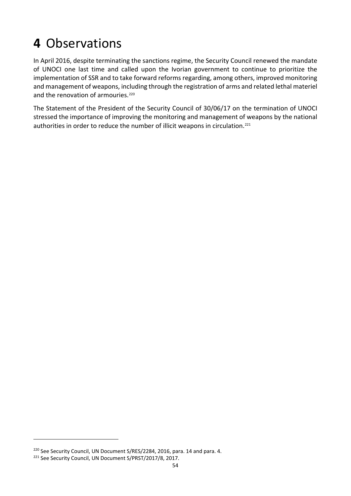# **4** Observations

In April 2016, despite terminating the sanctions regime, the Security Council renewed the mandate of UNOCI one last time and called upon the Ivorian government to continue to prioritize the implementation of SSR and to take forward reforms regarding, among others, improved monitoring and management of weapons, including through the registration of arms and related lethal materiel and the renovation of armouries.<sup>[220](#page-63-0)</sup>

The Statement of the President of the Security Council of 30/06/17 on the termination of UNOCI stressed the importance of improving the monitoring and management of weapons by the national authorities in order to reduce the number of illicit weapons in circulation.<sup>[221](#page-63-1)</sup>

<span id="page-63-0"></span><sup>&</sup>lt;sup>220</sup> See Security Council, UN Document S/RES/2284, 2016, para. 14 and para. 4.

<span id="page-63-1"></span><sup>&</sup>lt;sup>221</sup> See Security Council, UN Document S/PRST/2017/8, 2017.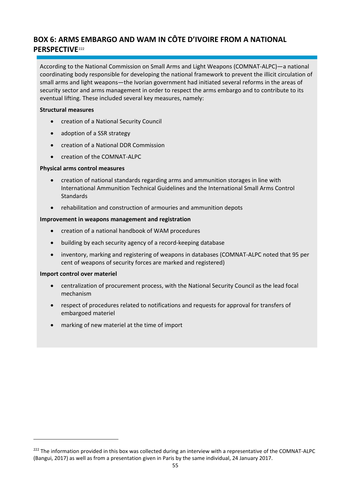# **BOX 6: ARMS EMBARGO AND WAM IN CÔTE D'IVOIRE FROM A NATIONAL PERSPECTIVE**[222](#page-64-0)

According to the National Commission on Small Arms and Light Weapons (COMNAT-ALPC)—a national coordinating body responsible for developing the national framework to prevent the illicit circulation of small arms and light weapons—the Ivorian government had initiated several reforms in the areas of security sector and arms management in order to respect the arms embargo and to contribute to its eventual lifting. These included several key measures, namely:

#### **Structural measures**

- creation of a National Security Council
- adoption of a SSR strategy
- creation of a National DDR Commission
- creation of the COMNAT-ALPC

#### **Physical arms control measures**

- creation of national standards regarding arms and ammunition storages in line with International Ammunition Technical Guidelines and the International Small Arms Control Standards
- rehabilitation and construction of armouries and ammunition depots

#### **Improvement in weapons management and registration**

- creation of a national handbook of WAM procedures
- building by each security agency of a record-keeping database
- inventory, marking and registering of weapons in databases (COMNAT-ALPC noted that 95 per cent of weapons of security forces are marked and registered)

#### **Import control over materiel**

- centralization of procurement process, with the National Security Council as the lead focal mechanism
- respect of procedures related to notifications and requests for approval for transfers of embargoed materiel
- marking of new materiel at the time of import

<span id="page-64-0"></span><sup>&</sup>lt;sup>222</sup> The information provided in this box was collected during an interview with a representative of the COMNAT-ALPC (Bangui, 2017) as well as from a presentation given in Paris by the same individual, 24 January 2017.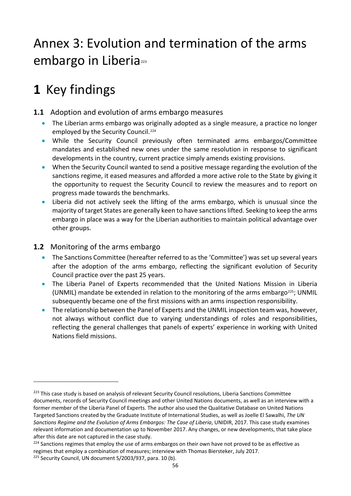# Annex 3: Evolution and termination of the arms embargo in Liberia<sup>[223](#page-65-0)</sup>

# **1** Key findings

# **1.1** Adoption and evolution of arms embargo measures

- The Liberian arms embargo was originally adopted as a single measure, a practice no longer employed by the Security Council. [224](#page-65-1)
- While the Security Council previously often terminated arms embargos/Committee mandates and established new ones under the same resolution in response to significant developments in the country, current practice simply amends existing provisions.
- When the Security Council wanted to send a positive message regarding the evolution of the sanctions regime, it eased measures and afforded a more active role to the State by giving it the opportunity to request the Security Council to review the measures and to report on progress made towards the benchmarks.
- Liberia did not actively seek the lifting of the arms embargo, which is unusual since the majority of target States are generally keen to have sanctions lifted. Seeking to keep the arms embargo in place was a way for the Liberian authorities to maintain political advantage over other groups.

## **1.2** Monitoring of the arms embargo

- The Sanctions Committee (hereafter referred to as the 'Committee') was set up several years after the adoption of the arms embargo, reflecting the significant evolution of Security Council practice over the past 25 years.
- The Liberia Panel of Experts recommended that the United Nations Mission in Liberia (UNMIL) mandate be extended in relation to the monitoring of the arms embargo<sup>[225](#page-65-2)</sup>; UNMIL subsequently became one of the first missions with an arms inspection responsibility.
- The relationship between the Panel of Experts and the UNMIL inspection team was, however, not always without conflict due to varying understandings of roles and responsibilities, reflecting the general challenges that panels of experts' experience in working with United Nations field missions.

<span id="page-65-0"></span><sup>&</sup>lt;sup>223</sup> This case study is based on analysis of relevant Security Council resolutions, Liberia Sanctions Committee documents, records of Security Council meetings and other United Nations documents, as well as an interview with a former member of the Liberia Panel of Experts. The author also used the Qualitative Database on United Nations Targeted Sanctions created by the Graduate Institute of International Studies, as well as Joelle El Sawalhi, *The UN Sanctions Regime and the Evolution of Arms Embargos: The Case of Liberia*, UNIDIR, 2017. This case study examines relevant information and documentation up to November 2017. Any changes, or new developments, that take place after this date are not captured in the case study.

<span id="page-65-1"></span> $224$  Sanctions regimes that employ the use of arms embargos on their own have not proved to be as effective as regimes that employ a combination of measures; interview with Thomas Biersteker, July 2017.

<span id="page-65-2"></span><sup>&</sup>lt;sup>225</sup> Security Council, UN document S/2003/937, para. 10 (b).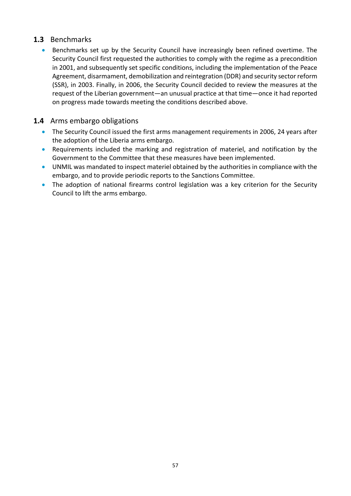## **1.3** Benchmarks

• Benchmarks set up by the Security Council have increasingly been refined overtime. The Security Council first requested the authorities to comply with the regime as a precondition in 2001, and subsequently set specific conditions, including the implementation of the Peace Agreement, disarmament, demobilization and reintegration (DDR) and security sector reform (SSR), in 2003. Finally, in 2006, the Security Council decided to review the measures at the request of the Liberian government—an unusual practice at that time—once it had reported on progress made towards meeting the conditions described above.

## **1.4** Arms embargo obligations

- The Security Council issued the first arms management requirements in 2006, 24 years after the adoption of the Liberia arms embargo.
- Requirements included the marking and registration of materiel, and notification by the Government to the Committee that these measures have been implemented.
- UNMIL was mandated to inspect materiel obtained by the authorities in compliance with the embargo, and to provide periodic reports to the Sanctions Committee.
- The adoption of national firearms control legislation was a key criterion for the Security Council to lift the arms embargo.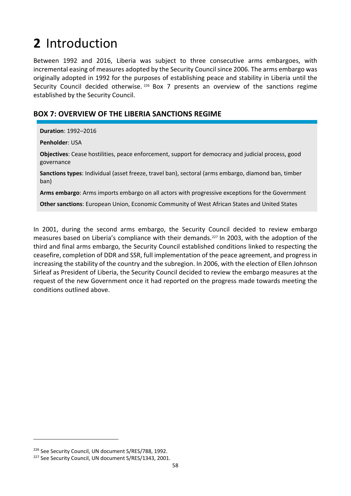# **2** Introduction

Between 1992 and 2016, Liberia was subject to three consecutive arms embargoes, with incremental easing of measures adopted by the Security Council since 2006. The arms embargo was originally adopted in 1992 for the purposes of establishing peace and stability in Liberia until the Security Council decided otherwise.<sup>[226](#page-67-0)</sup> Box 7 presents an overview of the sanctions regime established by the Security Council.

## **BOX 7: OVERVIEW OF THE LIBERIA SANCTIONS REGIME**

**Duration**: 1992–2016

**Penholder**: USA

**Objectives**: Cease hostilities, peace enforcement, support for democracy and judicial process, good governance

**Sanctions types**: Individual (asset freeze, travel ban), sectoral (arms embargo, diamond ban, timber ban)

**Arms embargo**: Arms imports embargo on all actors with progressive exceptions for the Government

**Other sanctions**: European Union, Economic Community of West African States and United States

In 2001, during the second arms embargo, the Security Council decided to review embargo measures based on Liberia's compliance with their demands.[227](#page-67-1) In 2003, with the adoption of the third and final arms embargo, the Security Council established conditions linked to respecting the ceasefire, completion of DDR and SSR, full implementation of the peace agreement, and progress in increasing the stability of the country and the subregion. In 2006, with the election of Ellen Johnson Sirleaf as President of Liberia, the Security Council decided to review the embargo measures at the request of the new Government once it had reported on the progress made towards meeting the conditions outlined above.

<span id="page-67-0"></span><sup>&</sup>lt;sup>226</sup> See Security Council, UN document S/RES/788, 1992.<br><sup>227</sup> See Security Council, UN document S/RES/1343, 2001.

<span id="page-67-1"></span>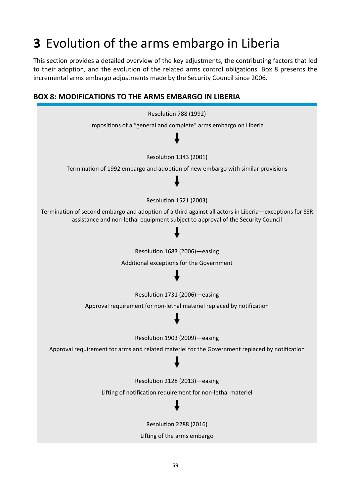# **3** Evolution of the arms embargo in Liberia

This section provides a detailed overview of the key adjustments, the contributing factors that led to their adoption, and the evolution of the related arms control obligations. Box 8 presents the incremental arms embargo adjustments made by the Security Council since 2006.



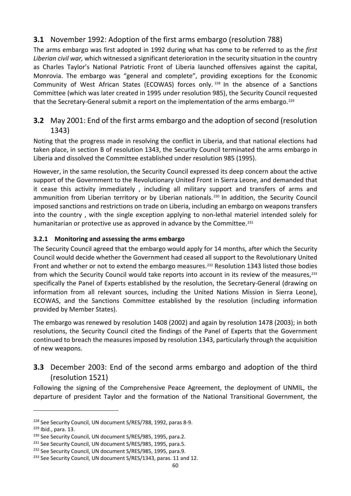# **3.1** November 1992: Adoption of the first arms embargo (resolution 788)

The arms embargo was first adopted in 1992 during what has come to be referred to as the *first Liberian civil war,* which witnessed a significant deterioration in the security situation in the country as Charles Taylor's National Patriotic Front of Liberia launched offensives against the capital, Monrovia. The embargo was "general and complete", providing exceptions for the Economic Community of West African States (ECOWAS) forces only. [228](#page-69-0) In the absence of a Sanctions Committee (which was later created in 1995 under resolution 985), the Security Council requested that the Secretary-General submit a report on the implementation of the arms embargo.<sup>[229](#page-69-1)</sup>

## **3.2** May 2001: End of the first arms embargo and the adoption of second (resolution 1343)

Noting that the progress made in resolving the conflict in Liberia, and that national elections had taken place, in section B of resolution 1343, the Security Council terminated the arms embargo in Liberia and dissolved the Committee established under resolution 985 (1995).

However, in the same resolution, the Security Council expressed its deep concern about the active support of the Government to the Revolutionary United Front in Sierra Leone, and demanded that it cease this activity immediately , including all military support and transfers of arms and ammunition from Liberian territory or by Liberian nationals.<sup>[230](#page-69-2)</sup> In addition, the Security Council imposed sanctions and restrictions on trade on Liberia, including an embargo on weapons transfers into the country , with the single exception applying to non-lethal materiel intended solely for humanitarian or protective use as approved in advance by the Committee.<sup>[231](#page-69-3)</sup>

### **3.2.1 Monitoring and assessing the arms embargo**

The Security Council agreed that the embargo would apply for 14 months, after which the Security Council would decide whether the Government had ceased all support to the Revolutionary United Front and whether or not to extend the embargo measures.<sup>[232](#page-69-4)</sup> Resolution 1343 listed those bodies from which the Security Council would take reports into account in its review of the measures,<sup>233</sup> specifically the Panel of Experts established by the resolution, the Secretary-General (drawing on information from all relevant sources, including the United Nations Mission in Sierra Leone), ECOWAS, and the Sanctions Committee established by the resolution (including information provided by Member States).

The embargo was renewed by resolution 1408 (2002) and again by resolution 1478 (2003); in both resolutions, the Security Council cited the findings of the Panel of Experts that the Government continued to breach the measures imposed by resolution 1343, particularly through the acquisition of new weapons.

# **3.3** December 2003: End of the second arms embargo and adoption of the third (resolution 1521)

Following the signing of the Comprehensive Peace Agreement, the deployment of UNMIL, the departure of president Taylor and the formation of the National Transitional Government, the

<span id="page-69-0"></span><sup>&</sup>lt;sup>228</sup> See Security Council, UN document S/RES/788, 1992, paras 8-9.

<span id="page-69-1"></span><sup>229</sup> Ibid., para. 13.

<span id="page-69-3"></span><span id="page-69-2"></span><sup>&</sup>lt;sup>230</sup> See Security Council, UN document S/RES/985, 1995, para.2.<br><sup>231</sup> See Security Council, UN document S/RES/985, 1995, para.5.

<span id="page-69-4"></span><sup>&</sup>lt;sup>232</sup> See Security Council, UN document S/RES/985, 1995, para.9.

<span id="page-69-5"></span><sup>&</sup>lt;sup>233</sup> See Security Council, UN document S/RES/1343, paras. 11 and 12.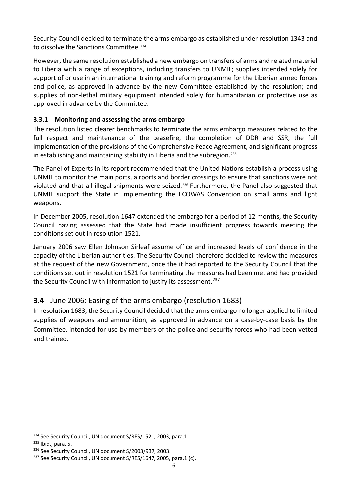Security Council decided to terminate the arms embargo as established under resolution 1343 and to dissolve the Sanctions Committee.<sup>[234](#page-70-0)</sup>

However, the same resolution established a new embargo on transfers of arms and related materiel to Liberia with a range of exceptions, including transfers to UNMIL; supplies intended solely for support of or use in an international training and reform programme for the Liberian armed forces and police, as approved in advance by the new Committee established by the resolution; and supplies of non-lethal military equipment intended solely for humanitarian or protective use as approved in advance by the Committee.

### **3.3.1 Monitoring and assessing the arms embargo**

The resolution listed clearer benchmarks to terminate the arms embargo measures related to the full respect and maintenance of the ceasefire, the completion of DDR and SSR, the full implementation of the provisions of the Comprehensive Peace Agreement, and significant progress in establishing and maintaining stability in Liberia and the subregion.[235](#page-70-1)

The Panel of Experts in its report recommended that the United Nations establish a process using UNMIL to monitor the main ports, airports and border crossings to ensure that sanctions were not violated and that all illegal shipments were seized.<sup>[236](#page-70-2)</sup> Furthermore, the Panel also suggested that UNMIL support the State in implementing the ECOWAS Convention on small arms and light weapons.

In December 2005, resolution 1647 extended the embargo for a period of 12 months, the Security Council having assessed that the State had made insufficient progress towards meeting the conditions set out in resolution 1521.

January 2006 saw Ellen Johnson Sirleaf assume office and increased levels of confidence in the capacity of the Liberian authorities. The Security Council therefore decided to review the measures at the request of the new Government, once the it had reported to the Security Council that the conditions set out in resolution 1521 for terminating the measures had been met and had provided the Security Council with information to justify its assessment.<sup>[237](#page-70-3)</sup>

## **3.4** June 2006: Easing of the arms embargo (resolution 1683)

In resolution 1683, the Security Council decided that the arms embargo no longer applied to limited supplies of weapons and ammunition, as approved in advance on a case-by-case basis by the Committee, intended for use by members of the police and security forces who had been vetted and trained.

<span id="page-70-1"></span><span id="page-70-0"></span><sup>&</sup>lt;sup>234</sup> See Security Council, UN document S/RES/1521, 2003, para.1.<br><sup>235</sup> Ibid., para. 5.<br><sup>236</sup> See Security Council, UN document S/2003/937, 2003.

<span id="page-70-2"></span>

<span id="page-70-3"></span><sup>&</sup>lt;sup>237</sup> See Security Council, UN document S/RES/1647, 2005, para.1 (c).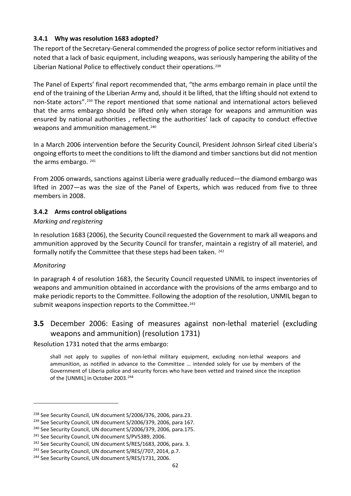### **3.4.1 Why was resolution 1683 adopted?**

The report of the Secretary-General commended the progress of police sector reform initiatives and noted that a lack of basic equipment, including weapons, was seriously hampering the ability of the Liberian National Police to effectively conduct their operations.<sup>[238](#page-71-0)</sup>

The Panel of Experts' final report recommended that, "the arms embargo remain in place until the end of the training of the Liberian Army and, should it be lifted, that the lifting should not extend to non-State actors".[239](#page-71-1) The report mentioned that some national and international actors believed that the arms embargo should be lifted only when storage for weapons and ammunition was ensured by national authorities , reflecting the authorities' lack of capacity to conduct effective weapons and ammunition management.<sup>[240](#page-71-2)</sup>

In a March 2006 intervention before the Security Council, President Johnson Sirleaf cited Liberia's ongoing efforts to meet the conditions to lift the diamond and timber sanctions but did not mention the arms embargo. [241](#page-71-3)

From 2006 onwards, sanctions against Liberia were gradually reduced—the diamond embargo was lifted in 2007—as was the size of the Panel of Experts, which was reduced from five to three members in 2008.

### **3.4.2 Arms control obligations**

### *Marking and registering*

In resolution 1683 (2006), the Security Council requested the Government to mark all weapons and ammunition approved by the Security Council for transfer, maintain a registry of all materiel, and formally notify the Committee that these steps had been taken. [242](#page-71-4)

### *Monitoring*

1

In paragraph 4 of resolution 1683, the Security Council requested UNMIL to inspect inventories of weapons and ammunition obtained in accordance with the provisions of the arms embargo and to make periodic reports to the Committee. Following the adoption of the resolution, UNMIL began to submit weapons inspection reports to the Committee.<sup>[243](#page-71-5)</sup>

## **3.5** December 2006: Easing of measures against non-lethal materiel (excluding weapons and ammunition) (resolution 1731)

Resolution 1731 noted that the arms embargo:

shall not apply to supplies of non-lethal military equipment, excluding non-lethal weapons and ammunition, as notified in advance to the Committee … intended solely for use by members of the Government of Liberia police and security forces who have been vetted and trained since the inception of the [UNMIL] in October 2003.<sup>[244](#page-71-6)</sup>

<span id="page-71-0"></span><sup>&</sup>lt;sup>238</sup> See Security Council, UN document S/2006/376, 2006, para.23.

<span id="page-71-1"></span><sup>&</sup>lt;sup>239</sup> See Security Council, UN document S/2006/379, 2006, para 167.

<span id="page-71-2"></span><sup>&</sup>lt;sup>240</sup> See Security Council, UN document S/2006/379, 2006, para.175.

<span id="page-71-4"></span><span id="page-71-3"></span> $241$  See Security Council, UN document S/PV5389, 2006.<br> $242$  See Security Council, UN document S/RES/1683, 2006, para. 3.

<span id="page-71-5"></span><sup>&</sup>lt;sup>243</sup> See Security Council, UN document S/RES//707, 2014, p.7.

<span id="page-71-6"></span><sup>&</sup>lt;sup>244</sup> See Security Council, UN document S/RES/1731, 2006.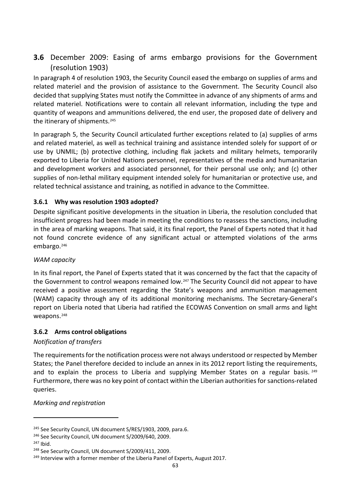## **3.6** December 2009: Easing of arms embargo provisions for the Government (resolution 1903)

In paragraph 4 of resolution 1903, the Security Council eased the embargo on supplies of arms and related materiel and the provision of assistance to the Government. The Security Council also decided that supplying States must notify the Committee in advance of any shipments of arms and related materiel. Notifications were to contain all relevant information, including the type and quantity of weapons and ammunitions delivered, the end user, the proposed date of delivery and the itinerary of shipments.<sup>[245](#page-72-0)</sup>

In paragraph 5, the Security Council articulated further exceptions related to (a) supplies of arms and related materiel, as well as technical training and assistance intended solely for support of or use by UNMIL; (b) protective clothing, including flak jackets and military helmets, temporarily exported to Liberia for United Nations personnel, representatives of the media and humanitarian and development workers and associated personnel, for their personal use only; and (c) other supplies of non-lethal military equipment intended solely for humanitarian or protective use, and related technical assistance and training, as notified in advance to the Committee.

### **3.6.1 Why was resolution 1903 adopted?**

Despite significant positive developments in the situation in Liberia, the resolution concluded that insufficient progress had been made in meeting the conditions to reassess the sanctions, including in the area of marking weapons. That said, it its final report, the Panel of Experts noted that it had not found concrete evidence of any significant actual or attempted violations of the arms embargo.[246](#page-72-1)

### *WAM capacity*

In its final report, the Panel of Experts stated that it was concerned by the fact that the capacity of the Government to control weapons remained low.[247](#page-72-2) The Security Council did not appear to have received a positive assessment regarding the State's weapons and ammunition management (WAM) capacity through any of its additional monitoring mechanisms. The Secretary-General's report on Liberia noted that Liberia had ratified the ECOWAS Convention on small arms and light weapons.<sup>[248](#page-72-3)</sup>

### **3.6.2 Arms control obligations**

### *Notification of transfers*

The requirements for the notification process were not always understood or respected by Member States; the Panel therefore decided to include an annex in its 2012 report listing the requirements, and to explain the process to Liberia and supplying Member States on a regular basis.  $249$ Furthermore, there was no key point of contact within the Liberian authorities for sanctions-related queries.

#### *Marking and registration*

<span id="page-72-1"></span><span id="page-72-0"></span><sup>&</sup>lt;sup>245</sup> See Security Council, UN document S/RES/1903, 2009, para.6.<br><sup>246</sup> See Security Council, UN document S/2009/640, 2009.<br><sup>247</sup> Ibid

<span id="page-72-2"></span>

<span id="page-72-4"></span><span id="page-72-3"></span>

<sup>&</sup>lt;sup>248</sup> See Security Council, UN document S/2009/411, 2009.<br><sup>249</sup> Interview with a former member of the Liberia Panel of Experts, August 2017.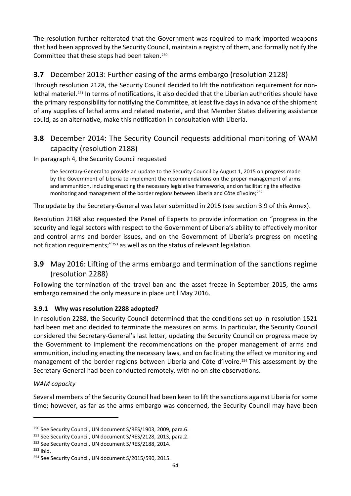The resolution further reiterated that the Government was required to mark imported weapons that had been approved by the Security Council, maintain a registry of them, and formally notify the Committee that these steps had been taken.[250](#page-73-0)

## **3.7** December 2013: Further easing of the arms embargo (resolution 2128)

Through resolution 2128, the Security Council decided to lift the notification requirement for nonlethal materiel.[251](#page-73-1) In terms of notifications, it also decided that the Liberian authorities should have the primary responsibility for notifying the Committee, at least five days in advance of the shipment of any supplies of lethal arms and related materiel, and that Member States delivering assistance could, as an alternative, make this notification in consultation with Liberia.

## **3.8** December 2014: The Security Council requests additional monitoring of WAM capacity (resolution 2188)

In paragraph 4, the Security Council requested

the Secretary-General to provide an update to the Security Council by August 1, 2015 on progress made by the Government of Liberia to implement the recommendations on the proper management of arms and ammunition, including enacting the necessary legislative frameworks, and on facilitating the effective monitoring and management of the border regions between Liberia and Côte d'Ivoire;<sup>[252](#page-73-2)</sup>

The update by the Secretary-General was later submitted in 2015 (see section 3.9 of this Annex).

Resolution 2188 also requested the Panel of Experts to provide information on "progress in the security and legal sectors with respect to the Government of Liberia's ability to effectively monitor and control arms and border issues, and on the Government of Liberia's progress on meeting notification requirements;"[253](#page-73-3) as well as on the status of relevant legislation.

## **3.9** May 2016: Lifting of the arms embargo and termination of the sanctions regime (resolution 2288)

Following the termination of the travel ban and the asset freeze in September 2015, the arms embargo remained the only measure in place until May 2016.

### **3.9.1 Why was resolution 2288 adopted?**

In resolution 2288, the Security Council determined that the conditions set up in resolution 1521 had been met and decided to terminate the measures on arms. In particular, the Security Council considered the Secretary-General's last letter, updating the Security Council on progress made by the Government to implement the recommendations on the proper management of arms and ammunition, including enacting the necessary laws, and on facilitating the effective monitoring and management of the border regions between Liberia and Côte d'Ivoire.[254](#page-73-4) This assessment by the Secretary-General had been conducted remotely, with no on-site observations.

### *WAM capacity*

Several members of the Security Council had been keen to lift the sanctions against Liberia for some time; however, as far as the arms embargo was concerned, the Security Council may have been

<span id="page-73-0"></span><sup>&</sup>lt;sup>250</sup> See Security Council, UN document S/RES/1903, 2009, para.6.

<span id="page-73-1"></span><sup>&</sup>lt;sup>251</sup> See Security Council, UN document S/RES/2128, 2013, para.2.

<span id="page-73-2"></span><sup>&</sup>lt;sup>252</sup> See Security Council, UN document S/RES/2188, 2014.<br><sup>253</sup> Ibid.

<span id="page-73-3"></span>

<span id="page-73-4"></span><sup>&</sup>lt;sup>254</sup> See Security Council, UN document S/2015/590, 2015.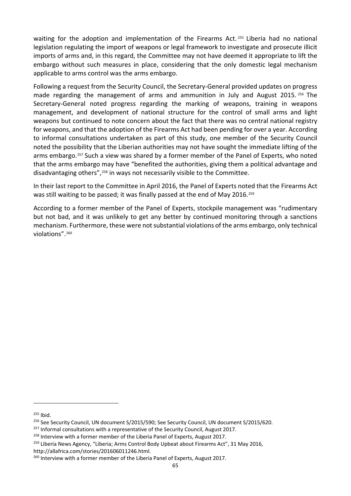waiting for the adoption and implementation of the Firearms Act.<sup>[255](#page-74-0)</sup> Liberia had no national legislation regulating the import of weapons or legal framework to investigate and prosecute illicit imports of arms and, in this regard, the Committee may not have deemed it appropriate to lift the embargo without such measures in place, considering that the only domestic legal mechanism applicable to arms control was the arms embargo.

Following a request from the Security Council, the Secretary-General provided updates on progress made regarding the management of arms and ammunition in July and August 2015. [256](#page-74-1) The Secretary-General noted progress regarding the marking of weapons, training in weapons management, and development of national structure for the control of small arms and light weapons but continued to note concern about the fact that there was no central national registry for weapons, and that the adoption of the Firearms Act had been pending for over a year. According to informal consultations undertaken as part of this study, one member of the Security Council noted the possibility that the Liberian authorities may not have sought the immediate lifting of the arms embargo.<sup>[257](#page-74-2)</sup> Such a view was shared by a former member of the Panel of Experts, who noted that the arms embargo may have "benefited the authorities, giving them a political advantage and disadvantaging others",[258](#page-74-3) in ways not necessarily visible to the Committee.

In their last report to the Committee in April 2016, the Panel of Experts noted that the Firearms Act was still waiting to be passed; it was finally passed at the end of May 2016.[259](#page-74-4)

According to a former member of the Panel of Experts, stockpile management was "rudimentary but not bad, and it was unlikely to get any better by continued monitoring through a sanctions mechanism. Furthermore, these were not substantial violations of the arms embargo, only technical violations".[260](#page-74-5)

<span id="page-74-0"></span> $255$  Ibid.

<span id="page-74-1"></span><sup>&</sup>lt;sup>256</sup> See Security Council, UN document S/2015/590; See Security Council, UN document S/2015/620.

<span id="page-74-2"></span> $257$  Informal consultations with a representative of the Security Council, August 2017.

<span id="page-74-3"></span><sup>&</sup>lt;sup>258</sup> Interview with a former member of the Liberia Panel of Experts, August 2017.

<span id="page-74-4"></span><sup>&</sup>lt;sup>259</sup> Liberia News Agency, "Liberia; Arms Control Body Upbeat about Firearms Act", 31 May 2016, [http://allafrica.com/stories/201606011246.html.](http://allafrica.com/stories/201606011246.html)

<span id="page-74-5"></span><sup>&</sup>lt;sup>260</sup> Interview with a former member of the Liberia Panel of Experts, August 2017.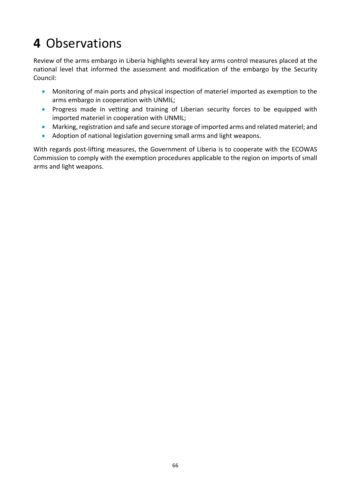## **4** Observations

Review of the arms embargo in Liberia highlights several key arms control measures placed at the national level that informed the assessment and modification of the embargo by the Security Council:

- Monitoring of main ports and physical inspection of materiel imported as exemption to the arms embargo in cooperation with UNMIL;
- Progress made in vetting and training of Liberian security forces to be equipped with imported materiel in cooperation with UNMIL;
- Marking, registration and safe and secure storage of imported arms and related materiel; and
- Adoption of national legislation governing small arms and light weapons.

With regards post-lifting measures, the Government of Liberia is to cooperate with the ECOWAS Commission to comply with the exemption procedures applicable to the region on imports of small arms and light weapons.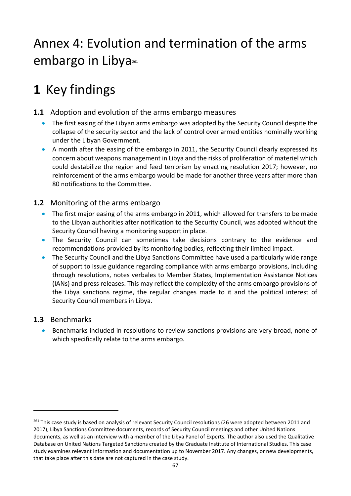## Annex 4: Evolution and termination of the arms embargo in Libya<sup>[261](#page-76-0)</sup>

## **1** Key findings

- **1.1** Adoption and evolution of the arms embargo measures
	- The first easing of the Libyan arms embargo was adopted by the Security Council despite the collapse of the security sector and the lack of control over armed entities nominally working under the Libyan Government.
	- A month after the easing of the embargo in 2011, the Security Council clearly expressed its concern about weapons management in Libya and the risks of proliferation of materiel which could destabilize the region and feed terrorism by enacting resolution 2017; however, no reinforcement of the arms embargo would be made for another three years after more than 80 notifications to the Committee.

## **1.2** Monitoring of the arms embargo

- The first major easing of the arms embargo in 2011, which allowed for transfers to be made to the Libyan authorities after notification to the Security Council, was adopted without the Security Council having a monitoring support in place.
- The Security Council can sometimes take decisions contrary to the evidence and recommendations provided by its monitoring bodies, reflecting their limited impact.
- The Security Council and the Libya Sanctions Committee have used a particularly wide range of support to issue guidance regarding compliance with arms embargo provisions, including through resolutions, notes verbales to Member States, Implementation Assistance Notices (IANs) and press releases. This may reflect the complexity of the arms embargo provisions of the Libya sanctions regime, the regular changes made to it and the political interest of Security Council members in Libya.

## **1.3** Benchmarks

-

• Benchmarks included in resolutions to review sanctions provisions are very broad, none of which specifically relate to the arms embargo.

<span id="page-76-0"></span><sup>&</sup>lt;sup>261</sup> This case study is based on analysis of relevant Security Council resolutions (26 were adopted between 2011 and 2017), Libya Sanctions Committee documents, records of Security Council meetings and other United Nations documents, as well as an interview with a member of the Libya Panel of Experts. The author also used the Qualitative Database on United Nations Targeted Sanctions created by the Graduate Institute of International Studies. This case study examines relevant information and documentation up to November 2017. Any changes, or new developments, that take place after this date are not captured in the case study.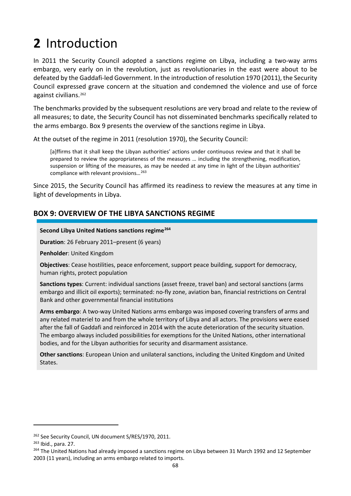# **2** Introduction

In 2011 the Security Council adopted a sanctions regime on Libya, including a two-way arms embargo, very early on in the revolution, just as revolutionaries in the east were about to be defeated by the Gaddafi-led Government. In the introduction of resolution 1970 (2011), the Security Council expressed grave concern at the situation and condemned the violence and use of force against civilians.<sup>[262](#page-77-0)</sup>

The benchmarks provided by the subsequent resolutions are very broad and relate to the review of all measures; to date, the Security Council has not disseminated benchmarks specifically related to the arms embargo. Box 9 presents the overview of the sanctions regime in Libya.

At the outset of the regime in 2011 (resolution 1970), the Security Council:

[a]ffirms that it shall keep the Libyan authorities' actions under continuous review and that it shall be prepared to review the appropriateness of the measures … including the strengthening, modification, suspension or lifting of the measures, as may be needed at any time in light of the Libyan authorities' compliance with relevant provisions…[263](#page-77-1)

Since 2015, the Security Council has affirmed its readiness to review the measures at any time in light of developments in Libya.

## **BOX 9: OVERVIEW OF THE LIBYA SANCTIONS REGIME**

#### **Second Libya United Nations sanctions regime[264](#page-77-2)**

**Duration**: 26 February 2011–present (6 years)

**Penholder**: United Kingdom

**Objectives**: Cease hostilities, peace enforcement, support peace building, support for democracy, human rights, protect population

**Sanctions types**: Current: individual sanctions (asset freeze, travel ban) and sectoral sanctions (arms embargo and illicit oil exports); terminated: no-fly zone, aviation ban, financial restrictions on Central Bank and other governmental financial institutions

**Arms embargo**: A two-way United Nations arms embargo was imposed covering transfers of arms and any related materiel to and from the whole territory of Libya and all actors. The provisions were eased after the fall of Gaddafi and reinforced in 2014 with the acute deterioration of the security situation. The embargo always included possibilities for exemptions for the United Nations, other international bodies, and for the Libyan authorities for security and disarmament assistance.

**Other sanctions**: European Union and unilateral sanctions, including the United Kingdom and United States.

<span id="page-77-0"></span><sup>&</sup>lt;sup>262</sup> See Security Council, UN document S/RES/1970, 2011.

<span id="page-77-1"></span><sup>263</sup> Ibid., para. 27.

<span id="page-77-2"></span><sup>&</sup>lt;sup>264</sup> The United Nations had already imposed a sanctions regime on Libya between 31 March 1992 and 12 September 2003 (11 years), including an arms embargo related to imports.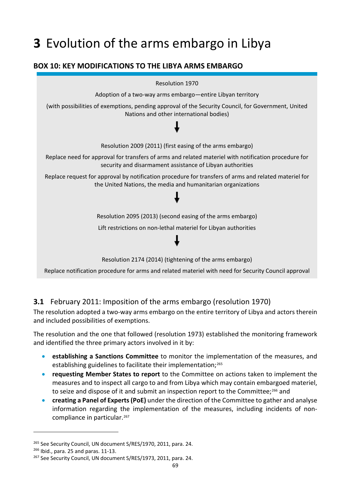## **3** Evolution of the arms embargo in Libya

## **BOX 10: KEY MODIFICATIONS TO THE LIBYA ARMS EMBARGO**



## **3.1** February 2011: Imposition of the arms embargo (resolution 1970)

The resolution adopted a two-way arms embargo on the entire territory of Libya and actors therein and included possibilities of exemptions.

The resolution and the one that followed (resolution 1973) established the monitoring framework and identified the three primary actors involved in it by:

- **establishing a Sanctions Committee** to monitor the implementation of the measures, and establishing guidelines to facilitate their implementation;<sup>265</sup>
- **requesting Member States to report** to the Committee on actions taken to implement the measures and to inspect all cargo to and from Libya which may contain embargoed materiel, to seize and dispose of it and submit an inspection report to the Committee;<sup>[266](#page-78-1)</sup> and
- **creating a Panel of Experts (PoE)** under the direction of the Committee to gather and analyse information regarding the implementation of the measures, including incidents of noncompliance in particular.[267](#page-78-2)

<span id="page-78-0"></span><sup>&</sup>lt;sup>265</sup> See Security Council, UN document S/RES/1970, 2011, para. 24.

<span id="page-78-1"></span><sup>266</sup> Ibid., para. 25 and paras. 11-13.

<span id="page-78-2"></span><sup>&</sup>lt;sup>267</sup> See Security Council, UN document S/RES/1973, 2011, para. 24.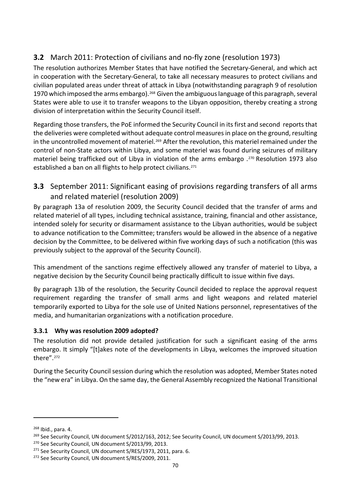## **3.2** March 2011: Protection of civilians and no-fly zone (resolution 1973)

The resolution authorizes Member States that have notified the Secretary-General, and which act in cooperation with the Secretary-General, to take all necessary measures to protect civilians and civilian populated areas under threat of attack in Libya (notwithstanding paragraph 9 of resolution 1970 which imposed the arms embargo).<sup>[268](#page-79-0)</sup> Given the ambiguous language of this paragraph, several States were able to use it to transfer weapons to the Libyan opposition, thereby creating a strong division of interpretation within the Security Council itself.

Regarding those transfers, the PoE informed the Security Council in its first and second reports that the deliveries were completed without adequate control measures in place on the ground, resulting in the uncontrolled movement of materiel.<sup>[269](#page-79-1)</sup> After the revolution, this materiel remained under the control of non-State actors within Libya, and some materiel was found during seizures of military materiel being trafficked out of Libya in violation of the arms embargo .<sup>[270](#page-79-2)</sup> Resolution 1973 also established a ban on all flights to help protect civilians.<sup>[271](#page-79-3)</sup>

## **3.3** September 2011: Significant easing of provisions regarding transfers of all arms and related materiel (resolution 2009)

By paragraph 13a of resolution 2009, the Security Council decided that the transfer of arms and related materiel of all types, including technical assistance, training, financial and other assistance, intended solely for security or disarmament assistance to the Libyan authorities, would be subject to advance notification to the Committee; transfers would be allowed in the absence of a negative decision by the Committee, to be delivered within five working days of such a notification (this was previously subject to the approval of the Security Council).

This amendment of the sanctions regime effectively allowed any transfer of materiel to Libya, a negative decision by the Security Council being practically difficult to issue within five days.

By paragraph 13b of the resolution, the Security Council decided to replace the approval request requirement regarding the transfer of small arms and light weapons and related materiel temporarily exported to Libya for the sole use of United Nations personnel, representatives of the media, and humanitarian organizations with a notification procedure.

### **3.3.1 Why was resolution 2009 adopted?**

The resolution did not provide detailed justification for such a significant easing of the arms embargo. It simply "[t]akes note of the developments in Libya, welcomes the improved situation there".[272](#page-79-4)

During the Security Council session during which the resolution was adopted, Member States noted the "new era" in Libya. On the same day, the General Assembly recognized the National Transitional

<span id="page-79-0"></span><sup>268</sup> Ibid., para. 4.

<span id="page-79-1"></span><sup>&</sup>lt;sup>269</sup> See Security Council, UN document S/2012/163, 2012; See Security Council, UN document S/2013/99, 2013.

<span id="page-79-2"></span><sup>&</sup>lt;sup>270</sup> See Security Council, UN document S/2013/99, 2013.

<span id="page-79-3"></span><sup>&</sup>lt;sup>271</sup> See Security Council, UN document S/RES/1973, 2011, para. 6.

<span id="page-79-4"></span><sup>&</sup>lt;sup>272</sup> See Security Council, UN document S/RES/2009, 2011.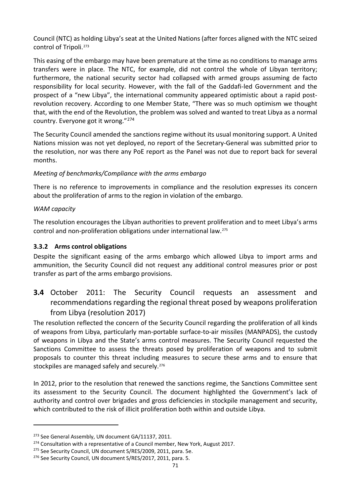Council (NTC) as holding Libya's seat at the United Nations (after forces aligned with the NTC seized control of Tripoli.[273](#page-80-0)

This easing of the embargo may have been premature at the time as no conditions to manage arms transfers were in place. The NTC, for example, did not control the whole of Libyan territory; furthermore, the national security sector had collapsed with armed groups assuming de facto responsibility for local security. However, with the fall of the Gaddafi-led Government and the prospect of a "new Libya", the international community appeared optimistic about a rapid postrevolution recovery. According to one Member State, "There was so much optimism we thought that, with the end of the Revolution, the problem was solved and wanted to treat Libya as a normal country. Everyone got it wrong."[274](#page-80-1)

The Security Council amended the sanctions regime without its usual monitoring support. A United Nations mission was not yet deployed, no report of the Secretary-General was submitted prior to the resolution, nor was there any PoE report as the Panel was not due to report back for several months.

### *Meeting of benchmarks/Compliance with the arms embargo*

There is no reference to improvements in compliance and the resolution expresses its concern about the proliferation of arms to the region in violation of the embargo.

### *WAM capacity*

1

The resolution encourages the Libyan authorities to prevent proliferation and to meet Libya's arms control and non-proliferation obligations under international law.[275](#page-80-2)

### **3.3.2 Arms control obligations**

Despite the significant easing of the arms embargo which allowed Libya to import arms and ammunition, the Security Council did not request any additional control measures prior or post transfer as part of the arms embargo provisions.

## **3.4** October 2011: The Security Council requests an assessment and recommendations regarding the regional threat posed by weapons proliferation from Libya (resolution 2017)

The resolution reflected the concern of the Security Council regarding the proliferation of all kinds of weapons from Libya, particularly man-portable surface-to-air missiles (MANPADS), the custody of weapons in Libya and the State's arms control measures. The Security Council requested the Sanctions Committee to assess the threats posed by proliferation of weapons and to submit proposals to counter this threat including measures to secure these arms and to ensure that stockpiles are managed safely and securely.<sup>276</sup>

In 2012, prior to the resolution that renewed the sanctions regime, the Sanctions Committee sent its assessment to the Security Council. The document highlighted the Government's lack of authority and control over brigades and gross deficiencies in stockpile management and security, which contributed to the risk of illicit proliferation both within and outside Libya.

<span id="page-80-0"></span><sup>&</sup>lt;sup>273</sup> See General Assembly, UN document GA/11137, 2011.

<span id="page-80-2"></span><span id="page-80-1"></span><sup>&</sup>lt;sup>274</sup> Consultation with a representative of a Council member, New York, August 2017.<br><sup>275</sup> See Security Council, UN document S/RES/2009, 2011, para. 5e.

<span id="page-80-3"></span><sup>&</sup>lt;sup>276</sup> See Security Council, UN document S/RES/2017, 2011, para. 5.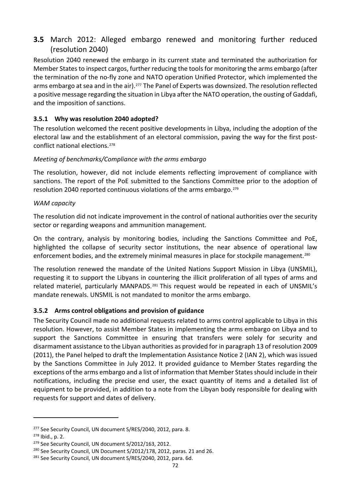## **3.5** March 2012: Alleged embargo renewed and monitoring further reduced (resolution 2040)

Resolution 2040 renewed the embargo in its current state and terminated the authorization for Member States to inspect cargos, further reducing the tools for monitoring the arms embargo (after the termination of the no-fly zone and NATO operation Unified Protector, which implemented the arms embargo at sea and in the air).<sup>[277](#page-81-0)</sup> The Panel of Experts was downsized. The resolution reflected a positive message regarding the situation in Libya after the NATO operation, the ousting of Gaddafi, and the imposition of sanctions.

### **3.5.1 Why was resolution 2040 adopted?**

The resolution welcomed the recent positive developments in Libya, including the adoption of the electoral law and the establishment of an electoral commission, paving the way for the first postconflict national elections.[278](#page-81-1)

### *Meeting of benchmarks/Compliance with the arms embargo*

The resolution, however, did not include elements reflecting improvement of compliance with sanctions. The report of the PoE submitted to the Sanctions Committee prior to the adoption of resolution 2040 reported continuous violations of the arms embargo.<sup>[279](#page-81-2)</sup>

#### *WAM capacity*

The resolution did not indicate improvement in the control of national authorities over the security sector or regarding weapons and ammunition management.

On the contrary, analysis by monitoring bodies, including the Sanctions Committee and PoE, highlighted the collapse of security sector institutions, the near absence of operational law enforcement bodies, and the extremely minimal measures in place for stockpile management.[280](#page-81-3)

The resolution renewed the mandate of the United Nations Support Mission in Libya (UNSMIL), requesting it to support the Libyans in countering the illicit proliferation of all types of arms and related materiel, particularly MANPADS.<sup>[281](#page-81-4)</sup> This request would be repeated in each of UNSMIL's mandate renewals. UNSMIL is not mandated to monitor the arms embargo.

### **3.5.2 Arms control obligations and provision of guidance**

The Security Council made no additional requests related to arms control applicable to Libya in this resolution. However, to assist Member States in implementing the arms embargo on Libya and to support the Sanctions Committee in ensuring that transfers were solely for security and disarmament assistance to the Libyan authorities as provided for in paragraph 13 of resolution 2009 (2011), the Panel helped to draft the Implementation Assistance Notice 2 (IAN 2), which was issued by the Sanctions Committee in July 2012. It provided guidance to Member States regarding the exceptions of the arms embargo and a list of information that Member States should include in their notifications, including the precise end user, the exact quantity of items and a detailed list of equipment to be provided, in addition to a note from the Libyan body responsible for dealing with requests for support and dates of delivery.

<span id="page-81-0"></span><sup>&</sup>lt;sup>277</sup> See Security Council, UN document S/RES/2040, 2012, para. 8.

<span id="page-81-1"></span><sup>278</sup> Ibid., p. 2.

<span id="page-81-2"></span><sup>&</sup>lt;sup>279</sup> See Security Council, UN document S/2012/163, 2012.

<span id="page-81-3"></span><sup>&</sup>lt;sup>280</sup> See Security Council, UN Document S/2012/178, 2012, paras. 21 and 26.

<span id="page-81-4"></span><sup>&</sup>lt;sup>281</sup> See Security Council, UN document S/RES/2040, 2012, para. 6d.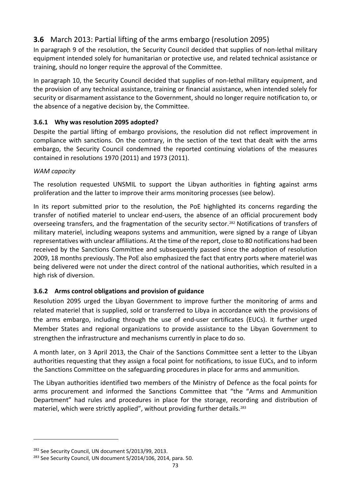## **3.6** March 2013: Partial lifting of the arms embargo (resolution 2095)

In paragraph 9 of the resolution, the Security Council decided that supplies of non-lethal military equipment intended solely for humanitarian or protective use, and related technical assistance or training, should no longer require the approval of the Committee.

In paragraph 10, the Security Council decided that supplies of non-lethal military equipment, and the provision of any technical assistance, training or financial assistance, when intended solely for security or disarmament assistance to the Government, should no longer require notification to, or the absence of a negative decision by, the Committee.

### **3.6.1 Why was resolution 2095 adopted?**

Despite the partial lifting of embargo provisions, the resolution did not reflect improvement in compliance with sanctions. On the contrary, in the section of the text that dealt with the arms embargo, the Security Council condemned the reported continuing violations of the measures contained in resolutions 1970 (2011) and 1973 (2011).

### *WAM capacity*

The resolution requested UNSMIL to support the Libyan authorities in fighting against arms proliferation and the latter to improve their arms monitoring processes (see below).

In its report submitted prior to the resolution, the PoE highlighted its concerns regarding the transfer of notified materiel to unclear end-users, the absence of an official procurement body overseeing transfers, and the fragmentation of the security sector.[282](#page-82-0) Notifications of transfers of military materiel, including weapons systems and ammunition, were signed by a range of Libyan representatives with unclear affiliations. At the time of the report, close to 80 notifications had been received by the Sanctions Committee and subsequently passed since the adoption of resolution 2009, 18 months previously. The PoE also emphasized the fact that entry ports where materiel was being delivered were not under the direct control of the national authorities, which resulted in a high risk of diversion.

### **3.6.2 Arms control obligations and provision of guidance**

Resolution 2095 urged the Libyan Government to improve further the monitoring of arms and related materiel that is supplied, sold or transferred to Libya in accordance with the provisions of the arms embargo, including through the use of end-user certificates (EUCs). It further urged Member States and regional organizations to provide assistance to the Libyan Government to strengthen the infrastructure and mechanisms currently in place to do so.

A month later, on 3 April 2013, the Chair of the Sanctions Committee sent a letter to the Libyan authorities requesting that they assign a focal point for notifications, to issue EUCs, and to inform the Sanctions Committee on the safeguarding procedures in place for arms and ammunition.

The Libyan authorities identified two members of the Ministry of Defence as the focal points for arms procurement and informed the Sanctions Committee that "the "Arms and Ammunition Department" had rules and procedures in place for the storage, recording and distribution of materiel, which were strictly applied", without providing further details.[283](#page-82-1)

<span id="page-82-0"></span><sup>282</sup> See Security Council, UN document S/2013/99, 2013.

<span id="page-82-1"></span><sup>&</sup>lt;sup>283</sup> See Security Council, UN document S/2014/106, 2014, para. 50.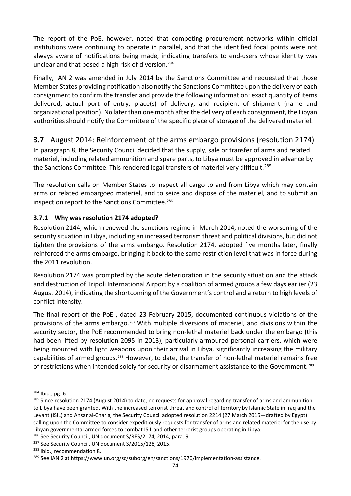The report of the PoE, however, noted that competing procurement networks within official institutions were continuing to operate in parallel, and that the identified focal points were not always aware of notifications being made, indicating transfers to end-users whose identity was unclear and that posed a high risk of diversion.[284](#page-83-0)

Finally, IAN 2 was amended in July 2014 by the Sanctions Committee and requested that those Member States providing notification also notify the Sanctions Committee upon the delivery of each consignment to confirm the transfer and provide the following information: exact quantity of items delivered, actual port of entry, place(s) of delivery, and recipient of shipment (name and organizational position). No later than one month after the delivery of each consignment, the Libyan authorities should notify the Committee of the specific place of storage of the delivered materiel.

### **3.7** August 2014: Reinforcement of the arms embargo provisions (resolution 2174)

In paragraph 8, the Security Council decided that the supply, sale or transfer of arms and related materiel, including related ammunition and spare parts, to Libya must be approved in advance by the Sanctions Committee. This rendered legal transfers of materiel very difficult.<sup>[285](#page-83-1)</sup>

The resolution calls on Member States to inspect all cargo to and from Libya which may contain arms or related embargoed materiel, and to seize and dispose of the materiel, and to submit an inspection report to the Sanctions Committee.<sup>[286](#page-83-2)</sup>

### **3.7.1 Why was resolution 2174 adopted?**

Resolution 2144, which renewed the sanctions regime in March 2014, noted the worsening of the security situation in Libya, including an increased terrorism threat and political divisions, but did not tighten the provisions of the arms embargo. Resolution 2174, adopted five months later, finally reinforced the arms embargo, bringing it back to the same restriction level that was in force during the 2011 revolution.

Resolution 2174 was prompted by the acute deterioration in the security situation and the attack and destruction of Tripoli International Airport by a coalition of armed groups a few days earlier (23 August 2014), indicating the shortcoming of the Government's control and a return to high levels of conflict intensity.

The final report of the PoE , dated 23 February 2015, documented continuous violations of the provisions of the arms embargo.[287](#page-83-3) With multiple diversions of materiel, and divisions within the security sector, the PoE recommended to bring non-lethal materiel back under the embargo (this had been lifted by resolution 2095 in 2013), particularly armoured personal carriers, which were being mounted with light weapons upon their arrival in Libya, significantly increasing the military capabilities of armed groups.[288](#page-83-4) However, to date, the transfer of non-lethal materiel remains free of restrictions when intended solely for security or disarmament assistance to the Government.[289](#page-83-5)

<span id="page-83-0"></span> $284$  Ibid., pg. 6.

<span id="page-83-1"></span><sup>&</sup>lt;sup>285</sup> Since resolution 2174 (August 2014) to date, no requests for approval regarding transfer of arms and ammunition to Libya have been granted. With the increased terrorist threat and control of territory by Islamic State in Iraq and the Levant (ISIL) and Ansar al-Charia, the Security Council adopted resolution 2214 (27 March 2015—drafted by Egypt) calling upon the Committee to consider expeditiously requests for transfer of arms and related materiel for the use by Libyan governmental armed forces to combat ISIL and other terrorist groups operating in Libya.<br><sup>286</sup> See Security Council, UN document S/RES/2174, 2014, para. 9-11.

<span id="page-83-2"></span>

<span id="page-83-3"></span><sup>&</sup>lt;sup>287</sup> See Security Council, UN document S/2015/128, 2015.

<span id="page-83-5"></span><span id="page-83-4"></span><sup>&</sup>lt;sup>288</sup> Ibid., recommendation 8.<br><sup>289</sup> See IAN 2 at https://www.un.org/sc/suborg/en/sanctions/1970/implementation-assistance.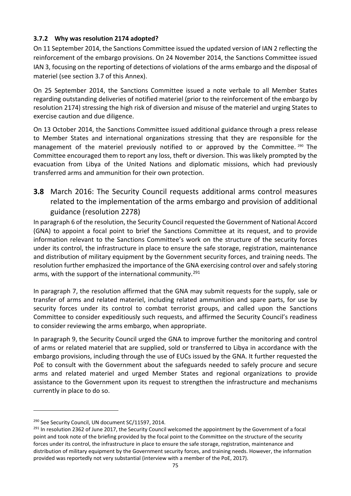### **3.7.2 Why was resolution 2174 adopted?**

On 11 September 2014, the Sanctions Committee issued the updated version of IAN 2 reflecting the reinforcement of the embargo provisions. On 24 November 2014, the Sanctions Committee issued IAN 3, focusing on the reporting of detections of violations of the arms embargo and the disposal of materiel (see section 3.7 of this Annex).

On 25 September 2014, the Sanctions Committee issued a note verbale to all Member States regarding outstanding deliveries of notified materiel (prior to the reinforcement of the embargo by resolution 2174) stressing the high risk of diversion and misuse of the materiel and urging States to exercise caution and due diligence.

On 13 October 2014, the Sanctions Committee issued additional guidance through a press release to Member States and international organizations stressing that they are responsible for the management of the materiel previously notified to or approved by the Committee. [290](#page-84-0) The Committee encouraged them to report any loss, theft or diversion. This was likely prompted by the evacuation from Libya of the United Nations and diplomatic missions, which had previously transferred arms and ammunition for their own protection.

**3.8** March 2016: The Security Council requests additional arms control measures related to the implementation of the arms embargo and provision of additional guidance (resolution 2278)

In paragraph 6 of the resolution, the Security Council requested the Government of National Accord (GNA) to appoint a focal point to brief the Sanctions Committee at its request, and to provide information relevant to the Sanctions Committee's work on the structure of the security forces under its control, the infrastructure in place to ensure the safe storage, registration, maintenance and distribution of military equipment by the Government security forces, and training needs. The resolution further emphasized the importance of the GNA exercising control over and safely storing arms, with the support of the international community.<sup>[291](#page-84-1)</sup>

In paragraph 7, the resolution affirmed that the GNA may submit requests for the supply, sale or transfer of arms and related materiel, including related ammunition and spare parts, for use by security forces under its control to combat terrorist groups, and called upon the Sanctions Committee to consider expeditiously such requests, and affirmed the Security Council's readiness to consider reviewing the arms embargo, when appropriate.

In paragraph 9, the Security Council urged the GNA to improve further the monitoring and control of arms or related materiel that are supplied, sold or transferred to Libya in accordance with the embargo provisions, including through the use of EUCs issued by the GNA. It further requested the PoE to consult with the Government about the safeguards needed to safely procure and secure arms and related materiel and urged Member States and regional organizations to provide assistance to the Government upon its request to strengthen the infrastructure and mechanisms currently in place to do so.

<span id="page-84-0"></span><sup>&</sup>lt;sup>290</sup> See Security Council, UN document SC/11597, 2014.

<span id="page-84-1"></span><sup>&</sup>lt;sup>291</sup> In resolution 2362 of June 2017, the Security Council welcomed the appointment by the Government of a focal point and took note of the briefing provided by the focal point to the Committee on the structure of the security forces under its control, the infrastructure in place to ensure the safe storage, registration, maintenance and distribution of military equipment by the Government security forces, and training needs. However, the information provided was reportedly not very substantial (interview with a member of the PoE, 2017).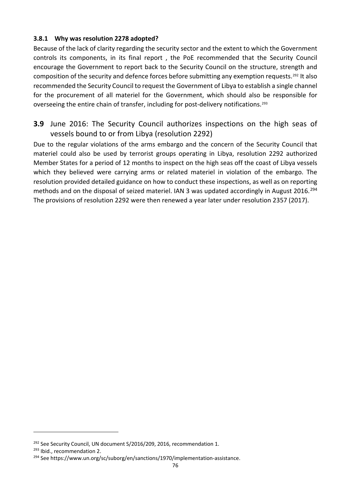### **3.8.1 Why was resolution 2278 adopted?**

Because of the lack of clarity regarding the security sector and the extent to which the Government controls its components, in its final report , the PoE recommended that the Security Council encourage the Government to report back to the Security Council on the structure, strength and composition of the security and defence forces before submitting any exemption requests.<sup>[292](#page-85-0)</sup> It also recommended the Security Council to request the Government of Libya to establish a single channel for the procurement of all materiel for the Government, which should also be responsible for overseeing the entire chain of transfer, including for post-delivery notifications.[293](#page-85-1)

**3.9** June 2016: The Security Council authorizes inspections on the high seas of vessels bound to or from Libya (resolution 2292)

Due to the regular violations of the arms embargo and the concern of the Security Council that materiel could also be used by terrorist groups operating in Libya, resolution 2292 authorized Member States for a period of 12 months to inspect on the high seas off the coast of Libya vessels which they believed were carrying arms or related materiel in violation of the embargo. The resolution provided detailed guidance on how to conduct these inspections, as well as on reporting methods and on the disposal of seized materiel. IAN 3 was updated accordingly in August 2016.<sup>[294](#page-85-2)</sup> The provisions of resolution 2292 were then renewed a year later under resolution 2357 (2017).

<span id="page-85-0"></span><sup>&</sup>lt;sup>292</sup> See Security Council, UN document S/2016/209, 2016, recommendation 1.<br><sup>293</sup> Ibid., recommendation 2.

<span id="page-85-1"></span>

<span id="page-85-2"></span><sup>&</sup>lt;sup>294</sup> See https://www.un.org/sc/suborg/en/sanctions/1970/implementation-assistance.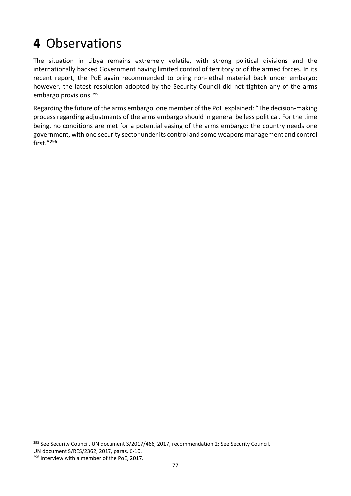## **4** Observations

The situation in Libya remains extremely volatile, with strong political divisions and the internationally backed Government having limited control of territory or of the armed forces. In its recent report, the PoE again recommended to bring non-lethal materiel back under embargo; however, the latest resolution adopted by the Security Council did not tighten any of the arms embargo provisions.[295](#page-86-0)

Regarding the future of the arms embargo, one member of the PoE explained: "The decision-making process regarding adjustments of the arms embargo should in general be less political. For the time being, no conditions are met for a potential easing of the arms embargo: the country needs one government, with one security sector under its control and some weapons management and control first."[296](#page-86-1)

<span id="page-86-0"></span><sup>&</sup>lt;sup>295</sup> See Security Council, UN document S/2017/466, 2017, recommendation 2; See Security Council, UN document S/RES/2362, 2017, paras. 6-10.

<span id="page-86-1"></span><sup>&</sup>lt;sup>296</sup> Interview with a member of the PoE, 2017.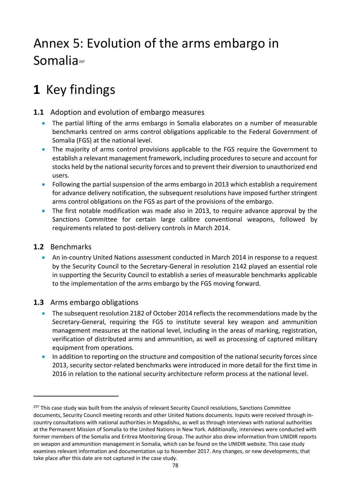## Annex 5: Evolution of the arms embargo in Somalia<sup>[297](#page-87-0)</sup>

## **1** Key findings

## **1.1** Adoption and evolution of embargo measures

- The partial lifting of the arms embargo in Somalia elaborates on a number of measurable benchmarks centred on arms control obligations applicable to the Federal Government of Somalia (FGS) at the national level.
- The majority of arms control provisions applicable to the FGS require the Government to establish a relevant management framework, including procedures to secure and account for stocks held by the national security forces and to prevent their diversion to unauthorized end users.
- Following the partial suspension of the arms embargo in 2013 which establish a requirement for advance delivery notification, the subsequent resolutions have imposed further stringent arms control obligations on the FGS as part of the provisions of the embargo.
- The first notable modification was made also in 2013, to require advance approval by the Sanctions Committee for certain large calibre conventional weapons, followed by requirements related to post-delivery controls in March 2014.

### **1.2** Benchmarks

-

• An in-country United Nations assessment conducted in March 2014 in response to a request by the Security Council to the Secretary-General in resolution 2142 played an essential role in supporting the Security Council to establish a series of measurable benchmarks applicable to the implementation of the arms embargo by the FGS moving forward.

## **1.3** Arms embargo obligations

- The subsequent resolution 2182 of October 2014 reflects the recommendations made by the Secretary-General, requiring the FGS to institute several key weapon and ammunition management measures at the national level, including in the areas of marking, registration, verification of distributed arms and ammunition, as well as processing of captured military equipment from operations.
- In addition to reporting on the structure and composition of the national security forces since 2013, security sector-related benchmarks were introduced in more detail for the first time in 2016 in relation to the national security architecture reform process at the national level.

<span id="page-87-0"></span><sup>&</sup>lt;sup>297</sup> This case study was built from the analysis of relevant Security Council resolutions, Sanctions Committee documents, Security Council meeting records and other United Nations documents. Inputs were received through incountry consultations with national authorities in Mogadishu, as well as through interviews with national authorities at the Permanent Mission of Somalia to the United Nations in New York. Additionally, interviews were conducted with former members of the Somalia and Eritrea Monitoring Group. The author also drew information from UNIDIR reports on weapon and ammunition management in Somalia, which can be found on the UNIDIR website. This case study examines relevant information and documentation up to November 2017. Any changes, or new developments, that take place after this date are not captured in the case study.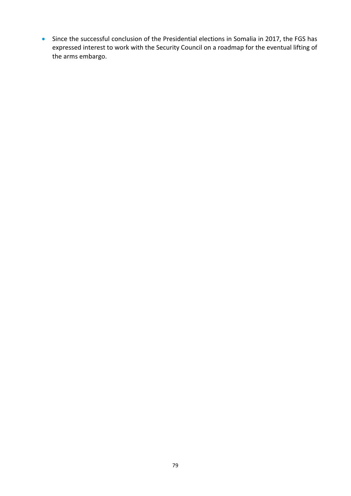• Since the successful conclusion of the Presidential elections in Somalia in 2017, the FGS has expressed interest to work with the Security Council on a roadmap for the eventual lifting of the arms embargo.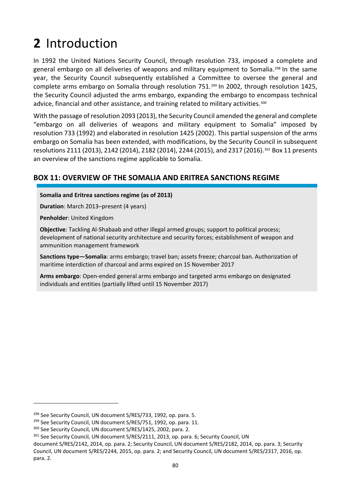# **2** Introduction

In 1992 the United Nations Security Council, through resolution 733, imposed a complete and general embargo on all deliveries of weapons and military equipment to Somalia.[298](#page-89-0) In the same year, the Security Council subsequently established a Committee to oversee the general and complete arms embargo on Somalia through resolution 751.<sup>[299](#page-89-1)</sup> In 2002, through resolution 1425, the Security Council adjusted the arms embargo, expanding the embargo to encompass technical advice, financial and other assistance, and training related to military activities.<sup>[300](#page-89-2)</sup>

With the passage of resolution 2093 (2013), the Security Council amended the general and complete "embargo on all deliveries of weapons and military equipment to Somalia" imposed by resolution 733 (1992) and elaborated in resolution 1425 (2002). This partial suspension of the arms embargo on Somalia has been extended, with modifications, by the Security Council in subsequent resolutions 2111 (2013), 2142 (2014), 2182 (2014), 2244 (2015), and 2317 (2016).[301](#page-89-3) Box 11 presents an overview of the sanctions regime applicable to Somalia.

## **BOX 11: OVERVIEW OF THE SOMALIA AND ERITREA SANCTIONS REGIME**

**Somalia and Eritrea sanctions regime (as of 2013)**

**Duration**: March 2013–present (4 years)

**Penholder**: United Kingdom

1

**Objective**: Tackling Al-Shabaab and other illegal armed groups; support to political process; development of national security architecture and security forces; establishment of weapon and ammunition management framework

**Sanctions type—Somalia**: arms embargo; travel ban; assets freeze; charcoal ban. Authorization of maritime interdiction of charcoal and arms expired on 15 November 2017

**Arms embargo**: Open-ended general arms embargo and targeted arms embargo on designated individuals and entities (partially lifted until 15 November 2017)

<span id="page-89-0"></span><sup>&</sup>lt;sup>298</sup> See Security Council, UN document S/RES/733, 1992, op. para. 5.<br><sup>299</sup> See Security Council, UN document S/RES/751, 1992, op. para. 11.

<span id="page-89-1"></span>

<span id="page-89-2"></span><sup>300</sup> See Security Council, UN document S/RES/1425, 2002, para. 2.

<span id="page-89-3"></span><sup>301</sup> See Security Council, UN document S/RES/2111, 2013, op. para. 6; Security Council, UN

document S/RES/2142, 2014, op. para. 2; Security Council, UN document S/RES/2182, 2014, op. para. 3; Security Council, UN document S/RES/2244, 2015, op. para. 2; and Security Council, UN document S/RES/2317, 2016, op. para. 2.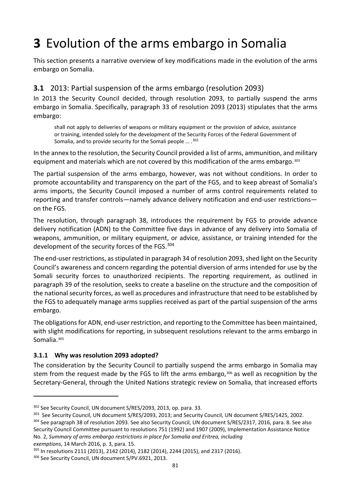# **3** Evolution of the arms embargo in Somalia

This section presents a narrative overview of key modifications made in the evolution of the arms embargo on Somalia.

## **3.1** 2013: Partial suspension of the arms embargo (resolution 2093)

In 2013 the Security Council decided, through resolution 2093, to partially suspend the arms embargo in Somalia. Specifically, paragraph 33 of resolution 2093 (2013) stipulates that the arms embargo:

shall not apply to deliveries of weapons or military equipment or the provision of advice, assistance or training, intended solely for the development of the Security Forces of the Federal Government of Somalia, and to provide security for the Somali people … .[302](#page-90-0)

In the annex to the resolution, the Security Council provided a list of arms, ammunition, and military equipment and materials which are not covered by this modification of the arms embargo.<sup>[303](#page-90-1)</sup>

The partial suspension of the arms embargo, however, was not without conditions. In order to promote accountability and transparency on the part of the FGS, and to keep abreast of Somalia's arms imports, the Security Council imposed a number of arms control requirements related to reporting and transfer controls—namely advance delivery notification and end-user restrictions on the FGS.

The resolution, through paragraph 38, introduces the requirement by FGS to provide advance delivery notification (ADN) to the Committee five days in advance of any delivery into Somalia of weapons, ammunition, or military equipment, or advice, assistance, or training intended for the development of the security forces of the FGS. [304](#page-90-2)

The end-user restrictions, as stipulated in paragraph 34 of resolution 2093, shed light on the Security Council's awareness and concern regarding the potential diversion of arms intended for use by the Somali security forces to unauthorized recipients. The reporting requirement, as outlined in paragraph 39 of the resolution, seeks to create a baseline on the structure and the composition of the national security forces, as well as procedures and infrastructure that need to be established by the FGS to adequately manage arms supplies received as part of the partial suspension of the arms embargo.

The obligations for ADN, end-user restriction, and reporting to the Committee has been maintained, with slight modifications for reporting, in subsequent resolutions relevant to the arms embargo in Somalia.[305](#page-90-3) 

### **3.1.1 Why was resolution 2093 adopted?**

The consideration by the Security Council to partially suspend the arms embargo in Somalia may stem from the request made by the FGS to lift the arms embargo,<sup>[306](#page-90-4)</sup> as well as recognition by the Secretary-General, through the United Nations strategic review on Somalia, that increased efforts

*exemptions*, 14 March 2016, p. 3, para. 15.

<span id="page-90-0"></span><sup>302</sup> See Security Council, UN document S/RES/2093, 2013, op. para. 33.

<span id="page-90-2"></span><span id="page-90-1"></span><sup>&</sup>lt;sup>303</sup> See Security Council, UN document S/RES/2093, 2013; and Security Council, UN document S/RES/1425, 2002. <sup>304</sup> See paragraph 38 of resolution 2093. See also Security Council, UN document S/RES/2317, 2016, para. 8. See also Security Council Committee pursuant to resolutions 751 (1992) and 1907 (2009), Implementation Assistance Notice No. 2, *Summary of arms embargo restrictions in place for Somalia and Eritrea, including* 

<span id="page-90-3"></span><sup>305</sup> In resolutions 2111 (2013), 2142 (2014), 2182 (2014), 2244 (2015), and 2317 (2016).

<span id="page-90-4"></span><sup>306</sup> See Security Council, UN document S/PV.6921, 2013.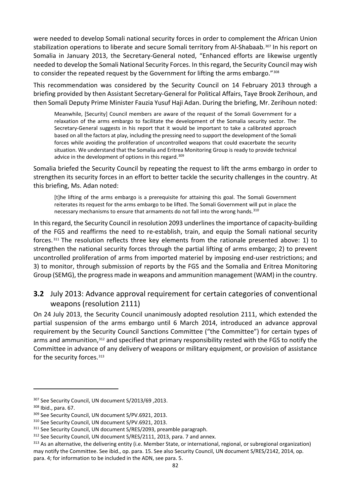were needed to develop Somali national security forces in order to complement the African Union stabilization operations to liberate and secure Somali territory from Al-Shabaab.<sup>[307](#page-91-0)</sup> In his report on Somalia in January 2013, the Secretary-General noted, "Enhanced efforts are likewise urgently needed to develop the Somali National Security Forces. In this regard, the Security Council may wish to consider the repeated request by the Government for lifting the arms embargo."[308](#page-91-1)

This recommendation was considered by the Security Council on 14 February 2013 through a briefing provided by then Assistant Secretary-General for Political Affairs, Taye Brook Zerihoun, and then Somali Deputy Prime Minister Fauzia Yusuf Haji Adan. During the briefing, Mr. Zerihoun noted:

Meanwhile, [Security] Council members are aware of the request of the Somali Government for a relaxation of the arms embargo to facilitate the development of the Somalia security sector. The Secretary-General suggests in his report that it would be important to take a calibrated approach based on all the factors at play, including the pressing need to support the development of the Somali forces while avoiding the proliferation of uncontrolled weapons that could exacerbate the security situation. We understand that the Somalia and Eritrea Monitoring Group is ready to provide technical advice in the development of options in this regard.<sup>[309](#page-91-2)</sup>

Somalia briefed the Security Council by repeating the request to lift the arms embargo in order to strengthen its security forces in an effort to better tackle the security challenges in the country. At this briefing, Ms. Adan noted:

[t]he lifting of the arms embargo is a prerequisite for attaining this goal. The Somali Government reiterates its request for the arms embargo to be lifted. The Somali Government will put in place the necessary mechanisms to ensure that armaments do not fall into the wrong hands.<sup>[310](#page-91-3)</sup>

In this regard, the Security Council in resolution 2093 underlines the importance of capacity-building of the FGS and reaffirms the need to re-establish, train, and equip the Somali national security forces. [311](#page-91-4) The resolution reflects three key elements from the rationale presented above: 1) to strengthen the national security forces through the partial lifting of arms embargo; 2) to prevent uncontrolled proliferation of arms from imported materiel by imposing end-user restrictions; and 3) to monitor, through submission of reports by the FGS and the Somalia and Eritrea Monitoring Group (SEMG), the progress made in weapons and ammunition management (WAM) in the country.

## **3.2** July 2013: Advance approval requirement for certain categories of conventional weapons (resolution 2111)

On 24 July 2013, the Security Council unanimously adopted resolution 2111, which extended the partial suspension of the arms embargo until 6 March 2014, introduced an advance approval requirement by the Security Council Sanctions Committee ("the Committee") for certain types of arms and ammunition,<sup>[312](#page-91-5)</sup> and specified that primary responsibility rested with the FGS to notify the Committee in advance of any delivery of weapons or military equipment, or provision of assistance for the security forces.<sup>[313](#page-91-6)</sup>

<span id="page-91-0"></span><sup>307</sup> See Security Council, UN document S/2013/69 ,2013.

<span id="page-91-2"></span>

<span id="page-91-4"></span><span id="page-91-3"></span>

<span id="page-91-1"></span><sup>&</sup>lt;sup>308</sup> Ibid., para. 67.<br><sup>309</sup> See Security Council, UN document S/PV.6921, 2013.<br><sup>310</sup> See Security Council, UN document S/PV.6921, 2013.<br><sup>311</sup> See Security Council, UN document S/RES/2093, preamble paragraph.<br><sup>312</sup> See Sec

<span id="page-91-6"></span><span id="page-91-5"></span><sup>&</sup>lt;sup>313</sup> As an alternative, the delivering entity (i.e. Member State, or international, regional, or subregional organization) may notify the Committee. See ibid., op. para. 15. See also Security Council, UN document S/RES/2142, 2014, op. para. 4; for information to be included in the ADN, see para. 5.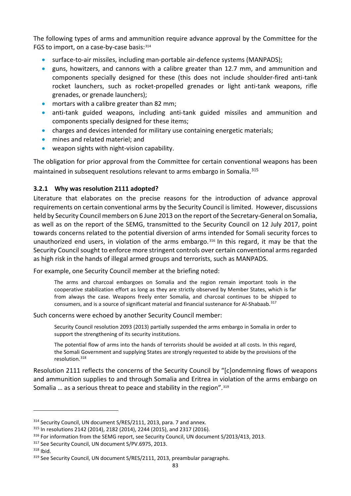The following types of arms and ammunition require advance approval by the Committee for the FGS to import, on a case-by-case basis: [314](#page-92-0)

- surface-to-air missiles, including man-portable air-defence systems (MANPADS);
- guns, howitzers, and cannons with a calibre greater than 12.7 mm, and ammunition and components specially designed for these (this does not include shoulder-fired anti-tank rocket launchers, such as rocket-propelled grenades or light anti-tank weapons, rifle grenades, or grenade launchers);
- mortars with a calibre greater than 82 mm;
- anti-tank guided weapons, including anti-tank guided missiles and ammunition and components specially designed for these items;
- charges and devices intended for military use containing energetic materials;
- mines and related materiel; and
- weapon sights with night-vision capability.

The obligation for prior approval from the Committee for certain conventional weapons has been maintained in subsequent resolutions relevant to arms embargo in Somalia.<sup>[315](#page-92-1)</sup>

### **3.2.1 Why was resolution 2111 adopted?**

Literature that elaborates on the precise reasons for the introduction of advance approval requirements on certain conventional arms by the Security Council is limited. However, discussions held by Security Council members on 6 June 2013 on the report of the Secretary-General on Somalia, as well as on the report of the SEMG, transmitted to the Security Council on 12 July 2017, point towards concerns related to the potential diversion of arms intended for Somali security forces to unauthorized end users, in violation of the arms embargo. [316](#page-92-2) In this regard, it may be that the Security Council sought to enforce more stringent controls over certain conventional arms regarded as high risk in the hands of illegal armed groups and terrorists, such as MANPADS.

For example, one Security Council member at the briefing noted:

The arms and charcoal embargoes on Somalia and the region remain important tools in the cooperative stabilization effort as long as they are strictly observed by Member States, which is far from always the case. Weapons freely enter Somalia, and charcoal continues to be shipped to consumers, and is a source of significant material and financial sustenance for Al-Shabaab.[317](#page-92-3)

Such concerns were echoed by another Security Council member:

Security Council resolution 2093 (2013) partially suspended the arms embargo in Somalia in order to support the strengthening of its security institutions.

The potential flow of arms into the hands of terrorists should be avoided at all costs. In this regard, the Somali Government and supplying States are strongly requested to abide by the provisions of the resolution.[318](#page-92-4)

Resolution 2111 reflects the concerns of the Security Council by "[c]ondemning flows of weapons and ammunition supplies to and through Somalia and Eritrea in violation of the arms embargo on Somalia ... as a serious threat to peace and stability in the region".<sup>[319](#page-92-5)</sup>

<span id="page-92-0"></span><sup>&</sup>lt;sup>314</sup> Security Council, UN document S/RES/2111, 2013, para. 7 and annex.

<span id="page-92-1"></span><sup>315</sup> In resolutions 2142 (2014), 2182 (2014), 2244 (2015), and 2317 (2016).

<span id="page-92-2"></span> $316$  For information from the SEMG report, see Security Council, UN document S/2013/413, 2013.  $317$  See Security Council. UN document S/PV.6975, 2013.

<span id="page-92-3"></span>

<span id="page-92-4"></span><sup>318</sup> Ibid.

<span id="page-92-5"></span><sup>319</sup> See Security Council, UN document S/RES/2111, 2013, preambular paragraphs.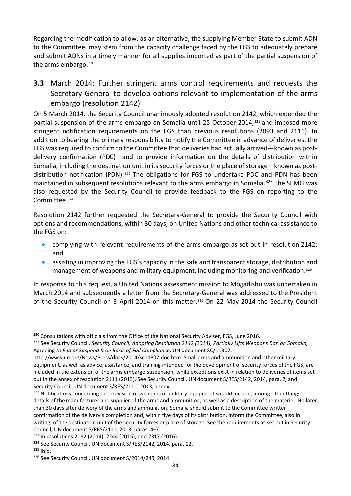Regarding the modification to allow, as an alternative, the supplying Member State to submit ADN to the Committee, may stem from the capacity challenge faced by the FGS to adequately prepare and submit ADNs in a timely manner for all supplies imported as part of the partial suspension of the arms embargo.<sup>320</sup>

**3.3** March 2014: Further stringent arms control requirements and requests the Secretary-General to develop options relevant to implementation of the arms embargo (resolution 2142)

On 5 March 2014, the Security Council unanimously adopted resolution 2142, which extended the partial suspension of the arms embargo on Somalia until 25 October 2014,<sup>[321](#page-93-1)</sup> and imposed more stringent notification requirements on the FGS than previous resolutions (2093 and 2111). In addition to bearing the primary responsibility to notify the Committee in advance of deliveries, the FGS was required to confirm to the Committee that deliveries had actually arrived—known as postdelivery confirmation (PDC)—and to provide information on the details of distribution within Somalia, including the destination unit in its security forces or the place of storage—known as post-distribution notification (PDN).<sup>[322](#page-93-2)</sup> The obligations for FGS to undertake PDC and PDN has been maintained in subsequent resolutions relevant to the arms embargo in Somalia.<sup>[323](#page-93-3)</sup> The SEMG was also requested by the Security Council to provide feedback to the FGS on reporting to the Committee.[324](#page-93-4)

Resolution 2142 further requested the Secretary-General to provide the Security Council with options and recommendations, within 30 days, on United Nations and other technical assistance to the FGS on:

- complying with relevant requirements of the arms embargo as set out in resolution 2142; and
- assisting in improving the FGS's capacity in the safe and transparent storage, distribution and management of weapons and military equipment, including monitoring and verification.<sup>[325](#page-93-5)</sup>

In response to this request, a United Nations assessment mission to Mogadishu was undertaken in March 2014 and subsequently a letter from the Secretary-General was addressed to the President of the Security Council on 3 April 2014 on this matter.<sup>[326](#page-93-6)</sup> On 22 May 2014 the Security Council

<span id="page-93-1"></span><span id="page-93-0"></span><sup>&</sup>lt;sup>320</sup> Consultations with officials from the Office of the National Security Adviser, FGS, June 2016.<br><sup>321</sup> See Security Council, *Security Council, Adopting Resolution 2142 (2014), Partially Lifts Weapons Ban on Somalia,* Agreeing *to End or Suspend It on Basis of Full Compliance*, UN document SC/11307[,](http://www.un.org/News/Press/docs/2014/sc11307.doc.htm) 

[http://www.un.org/News/Press/docs/2014/sc11307.doc.htm.](http://www.un.org/News/Press/docs/2014/sc11307.doc.htm) Small arms and ammunition and other military equipment, as well as advice, assistance, and training intended for the development of security forces of the FGS, are included in the extension of the arms embargo suspension, while exceptions exist in relation to deliveries of items set out in the annex of resolution 2111 (2013). See Security Council, UN document S/RES/2142, 2014, para. 2; and Security Council, UN document S/RES/2111, 2013, annex.

<span id="page-93-2"></span> $322$  Notifications concerning the provision of weapons or military equipment should include, among other things, details of the manufacturer and supplier of the arms and ammunition, as well as a description of the materiel. No later than 30 days after delivery of the arms and ammunition, Somalia should submit to the Committee written confirmation of the delivery's completion and, within five days of its distribution, inform the Committee, also in writing, of the destination unit of the security forces or place of storage. See the requirements as set out in Security Council, UN document S/RES/2111, 2013, paras. 4–7.

<span id="page-93-3"></span><sup>323</sup> In resolutions 2182 (2014), 2244 (2015), and 2317 (2016).

<span id="page-93-5"></span><span id="page-93-4"></span> $324$  See Security Council, UN document S/RES/2142, 2014, para. 12.  $325$  Ibid.

<span id="page-93-6"></span><sup>&</sup>lt;sup>326</sup> See Security Council, UN document S/2014/243, 2014.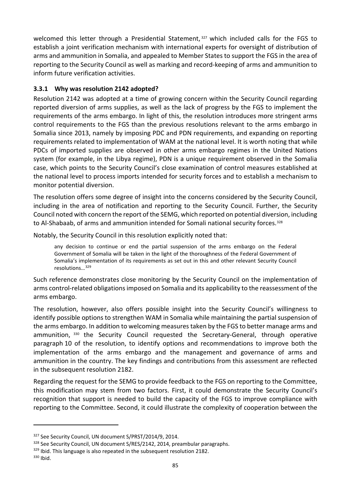welcomed this letter through a Presidential Statement, [327](#page-94-0) which included calls for the FGS to establish a joint verification mechanism with international experts for oversight of distribution of arms and ammunition in Somalia, and appealed to Member States to support the FGS in the area of reporting to the Security Council as well as marking and record-keeping of arms and ammunition to inform future verification activities.

### **3.3.1 Why was resolution 2142 adopted?**

Resolution 2142 was adopted at a time of growing concern within the Security Council regarding reported diversion of arms supplies, as well as the lack of progress by the FGS to implement the requirements of the arms embargo. In light of this, the resolution introduces more stringent arms control requirements to the FGS than the previous resolutions relevant to the arms embargo in Somalia since 2013, namely by imposing PDC and PDN requirements, and expanding on reporting requirements related to implementation of WAM at the national level. It is worth noting that while PDCs of imported supplies are observed in other arms embargo regimes in the United Nations system (for example, in the Libya regime), PDN is a unique requirement observed in the Somalia case, which points to the Security Council's close examination of control measures established at the national level to process imports intended for security forces and to establish a mechanism to monitor potential diversion.

The resolution offers some degree of insight into the concerns considered by the Security Council, including in the area of notification and reporting to the Security Council. Further, the Security Council noted with concern the report of the SEMG, which reported on potential diversion, including to Al-Shabaab, of arms and ammunition intended for Somali national security forces.<sup>[328](#page-94-1)</sup>

Notably, the Security Council in this resolution explicitly noted that:

any decision to continue or end the partial suspension of the arms embargo on the Federal Government of Somalia will be taken in the light of the thoroughness of the Federal Government of Somalia's implementation of its requirements as set out in this and other relevant Security Council resolutions…[329](#page-94-2)

Such reference demonstrates close monitoring by the Security Council on the implementation of arms control-related obligations imposed on Somalia and its applicability to the reassessment of the arms embargo.

The resolution, however, also offers possible insight into the Security Council's willingness to identify possible options to strengthen WAM in Somalia while maintaining the partial suspension of the arms embargo. In addition to welcoming measures taken by the FGS to better manage arms and ammunition, [330](#page-94-3) the Security Council requested the Secretary-General, through operative paragraph 10 of the resolution, to identify options and recommendations to improve both the implementation of the arms embargo and the management and governance of arms and ammunition in the country. The key findings and contributions from this assessment are reflected in the subsequent resolution 2182.

Regarding the request for the SEMG to provide feedback to the FGS on reporting to the Committee, this modification may stem from two factors. First, it could demonstrate the Security Council's recognition that support is needed to build the capacity of the FGS to improve compliance with reporting to the Committee. Second, it could illustrate the complexity of cooperation between the

<span id="page-94-1"></span><span id="page-94-0"></span><sup>&</sup>lt;sup>327</sup> See Security Council, UN document S/PRST/2014/9, 2014.<br><sup>328</sup> See Security Council, UN document S/RES/2142, 2014, preambular paragraphs.<br><sup>329</sup> Ibid. This language is also repeated in the subsequent resolution 2182.<br><sup></sup>

<span id="page-94-2"></span>

<span id="page-94-3"></span>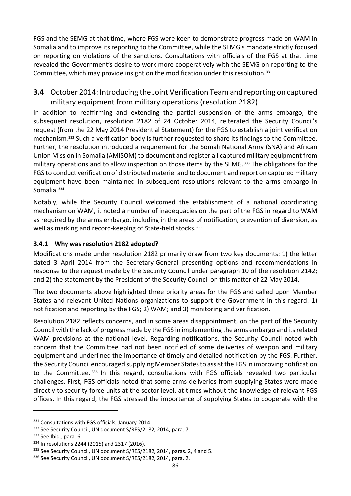FGS and the SEMG at that time, where FGS were keen to demonstrate progress made on WAM in Somalia and to improve its reporting to the Committee, while the SEMG's mandate strictly focused on reporting on violations of the sanctions. Consultations with officials of the FGS at that time revealed the Government's desire to work more cooperatively with the SEMG on reporting to the Committee, which may provide insight on the modification under this resolution.[331](#page-95-0)

## **3.4** October 2014: Introducing the Joint Verification Team and reporting on captured military equipment from military operations (resolution 2182)

In addition to reaffirming and extending the partial suspension of the arms embargo, the subsequent resolution, resolution 2182 of 24 October 2014, reiterated the Security Council's request (from the 22 May 2014 Presidential Statement) for the FGS to establish a joint verification mechanism.[332](#page-95-1) Such a verification body is further requested to share its findings to the Committee. Further, the resolution introduced a requirement for the Somali National Army (SNA) and African Union Mission in Somalia (AMISOM) to document and register all captured military equipment from military operations and to allow inspection on those items by the SEMG.<sup>[333](#page-95-2)</sup> The obligations for the FGS to conduct verification of distributed materiel and to document and report on captured military equipment have been maintained in subsequent resolutions relevant to the arms embargo in Somalia.<sup>[334](#page-95-3)</sup>

Notably, while the Security Council welcomed the establishment of a national coordinating mechanism on WAM, it noted a number of inadequacies on the part of the FGS in regard to WAM as required by the arms embargo, including in the areas of notification, prevention of diversion, as well as marking and record-keeping of State-held stocks.<sup>[335](#page-95-4)</sup>

### **3.4.1 Why was resolution 2182 adopted?**

Modifications made under resolution 2182 primarily draw from two key documents: 1) the letter dated 3 April 2014 from the Secretary-General presenting options and recommendations in response to the request made by the Security Council under paragraph 10 of the resolution 2142; and 2) the statement by the President of the Security Council on this matter of 22 May 2014.

The two documents above highlighted three priority areas for the FGS and called upon Member States and relevant United Nations organizations to support the Government in this regard: 1) notification and reporting by the FGS; 2) WAM; and 3) monitoring and verification.

Resolution 2182 reflects concerns, and in some areas disappointment, on the part of the Security Council with the lack of progress made by the FGS in implementing the arms embargo and its related WAM provisions at the national level. Regarding notifications, the Security Council noted with concern that the Committee had not been notified of some deliveries of weapon and military equipment and underlined the importance of timely and detailed notification by the FGS. Further, the Security Council encouraged supplying Member States to assist the FGS in improving notification to the Committee. [336](#page-95-5) In this regard, consultations with FGS officials revealed two particular challenges. First, FGS officials noted that some arms deliveries from supplying States were made directly to security force units at the sector level, at times without the knowledge of relevant FGS offices. In this regard, the FGS stressed the importance of supplying States to cooperate with the

<span id="page-95-1"></span><span id="page-95-0"></span> $331$  Consultations with FGS officials, January 2014.<br> $332$  See Security Council, UN document S/RES/2182, 2014, para. 7.<br> $333$  See Ibid., para. 6.

<span id="page-95-2"></span>

<span id="page-95-3"></span><sup>334</sup> In resolutions 2244 (2015) and 2317 (2016).

<span id="page-95-4"></span><sup>&</sup>lt;sup>335</sup> See Security Council, UN document S/RES/2182, 2014, paras. 2, 4 and 5.

<span id="page-95-5"></span><sup>336</sup> See Security Council, UN document S/RES/2182, 2014, para. 2.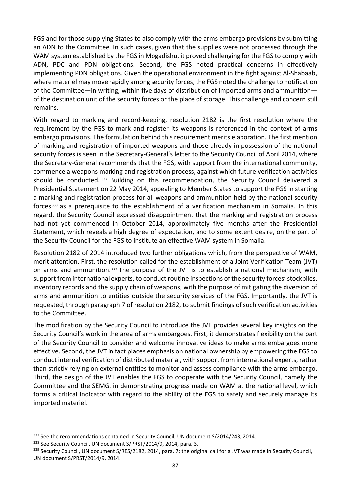FGS and for those supplying States to also comply with the arms embargo provisions by submitting an ADN to the Committee. In such cases, given that the supplies were not processed through the WAM system established by the FGS in Mogadishu, it proved challenging for the FGS to comply with ADN, PDC and PDN obligations. Second, the FGS noted practical concerns in effectively implementing PDN obligations. Given the operational environment in the fight against Al-Shabaab, where materiel may move rapidly among security forces, the FGS noted the challenge to notification of the Committee—in writing, within five days of distribution of imported arms and ammunition of the destination unit of the security forces or the place of storage. This challenge and concern still remains.

With regard to marking and record-keeping, resolution 2182 is the first resolution where the requirement by the FGS to mark and register its weapons is referenced in the context of arms embargo provisions. The formulation behind this requirement merits elaboration. The first mention of marking and registration of imported weapons and those already in possession of the national security forces is seen in the Secretary-General's letter to the Security Council of April 2014, where the Secretary-General recommends that the FGS, with support from the international community, commence a weapons marking and registration process, against which future verification activities should be conducted.<sup>[337](#page-96-0)</sup> Building on this recommendation, the Security Council delivered a Presidential Statement on 22 May 2014, appealing to Member States to support the FGS in starting a marking and registration process for all weapons and ammunition held by the national security forces [338](#page-96-1) as a prerequisite to the establishment of a verification mechanism in Somalia. In this regard, the Security Council expressed disappointment that the marking and registration process had not yet commenced in October 2014, approximately five months after the Presidential Statement, which reveals a high degree of expectation, and to some extent desire, on the part of the Security Council for the FGS to institute an effective WAM system in Somalia.

Resolution 2182 of 2014 introduced two further obligations which, from the perspective of WAM, merit attention. First, the resolution called for the establishment of a Joint Verification Team (JVT) on arms and ammunition. [339](#page-96-2) The purpose of the JVT is to establish a national mechanism, with support from international experts, to conduct routine inspections of the security forces' stockpiles, inventory records and the supply chain of weapons, with the purpose of mitigating the diversion of arms and ammunition to entities outside the security services of the FGS. Importantly, the JVT is requested, through paragraph 7 of resolution 2182, to submit findings of such verification activities to the Committee.

The modification by the Security Council to introduce the JVT provides several key insights on the Security Council's work in the area of arms embargoes. First, it demonstrates flexibility on the part of the Security Council to consider and welcome innovative ideas to make arms embargoes more effective. Second, the JVT in fact places emphasis on national ownership by empowering the FGS to conduct internal verification of distributed material, with support from international experts, rather than strictly relying on external entities to monitor and assess compliance with the arms embargo. Third, the design of the JVT enables the FGS to cooperate with the Security Council, namely the Committee and the SEMG, in demonstrating progress made on WAM at the national level, which forms a critical indicator with regard to the ability of the FGS to safely and securely manage its imported materiel.

<span id="page-96-2"></span><span id="page-96-1"></span>

<span id="page-96-0"></span><sup>&</sup>lt;sup>337</sup> See the recommendations contained in Security Council, UN document S/2014/243, 2014.<br><sup>338</sup> See Security Council, UN document S/PRST/2014/9, 2014, para. 3.<br><sup>339</sup> Security Council, UN document S/RES/2182, 2014, para. 7 UN document S/PRST/2014/9, 2014.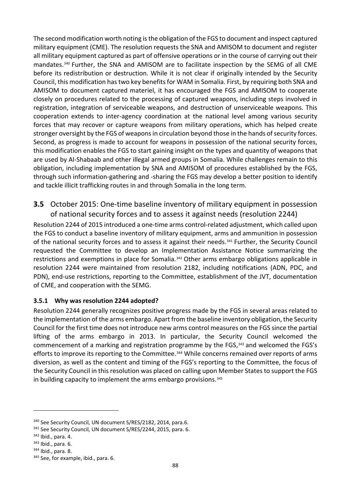The second modification worth noting is the obligation of the FGS to document and inspect captured military equipment (CME). The resolution requests the SNA and AMISOM to document and register all military equipment captured as part of offensive operations or in the course of carrying out their mandates.[340](#page-97-0) Further, the SNA and AMISOM are to facilitate inspection by the SEMG of all CME before its redistribution or destruction. While it is not clear if originally intended by the Security Council, this modification has two key benefits for WAM in Somalia. First, by requiring both SNA and AMISOM to document captured materiel, it has encouraged the FGS and AMISOM to cooperate closely on procedures related to the processing of captured weapons, including steps involved in registration, integration of serviceable weapons, and destruction of unserviceable weapons. This cooperation extends to inter-agency coordination at the national level among various security forces that may recover or capture weapons from military operations, which has helped create stronger oversight by the FGS of weapons in circulation beyond those in the hands of security forces. Second, as progress is made to account for weapons in possession of the national security forces, this modification enables the FGS to start gaining insight on the types and quantity of weapons that are used by Al-Shabaab and other illegal armed groups in Somalia. While challenges remain to this obligation, including implementation by SNA and AMISOM of procedures established by the FGS, through such information-gathering and -sharing the FGS may develop a better position to identify and tackle illicit trafficking routes in and through Somalia in the long term.

## **3.5** October 2015: One-time baseline inventory of military equipment in possession of national security forces and to assess it against needs (resolution 2244)

Resolution 2244 of 2015 introduced a one-time arms control-related adjustment, which called upon the FGS to conduct a baseline inventory of military equipment, arms and ammunition in possession of the national security forces and to assess it against their needs.[341](#page-97-1) Further, the Security Council requested the Committee to develop an Implementation Assistance Notice summarizing the restrictions and exemptions in place for Somalia.<sup>[342](#page-97-2)</sup> Other arms embargo obligations applicable in resolution 2244 were maintained from resolution 2182, including notifications (ADN, PDC, and PDN), end-use restrictions, reporting to the Committee, establishment of the JVT, documentation of CME, and cooperation with the SEMG.

### **3.5.1 Why was resolution 2244 adopted?**

Resolution 2244 generally recognizes positive progress made by the FGS in several areas related to the implementation of the arms embargo. Apart from the baseline inventory obligation, the Security Council for the first time does not introduce new arms control measures on the FGS since the partial lifting of the arms embargo in 2013. In particular, the Security Council welcomed the commencement of a marking and registration programme by the FGS,<sup>[343](#page-97-3)</sup> and welcomed the FGS's efforts to improve its reporting to the Committee.<sup>[344](#page-97-4)</sup> While concerns remained over reports of arms diversion, as well as the content and timing of the FGS's reporting to the Committee, the focus of the Security Council in this resolution was placed on calling upon Member States to support the FGS in building capacity to implement the arms embargo provisions.<sup>345</sup>

<span id="page-97-0"></span><sup>&</sup>lt;sup>340</sup> See Security Council, UN document S/RES/2182, 2014, para.6.

<span id="page-97-2"></span><span id="page-97-1"></span><sup>&</sup>lt;sup>341</sup> See Security Council, UN document S/RES/2244, 2015, para. 6.  $342$  Ibid., para. 4.<br><sup>343</sup> Ibid., para. 6.<br><sup>343</sup> Ibid., para. 8.<br><sup>345</sup> See, for example, ibid., para. 6.

<span id="page-97-3"></span>

<span id="page-97-4"></span>

<span id="page-97-5"></span>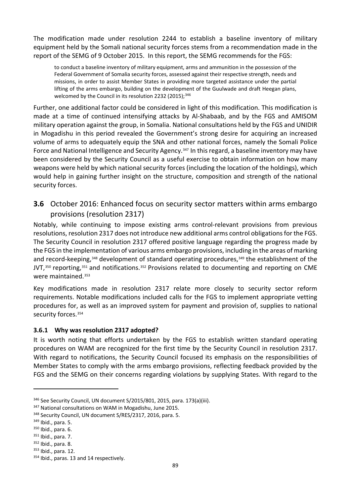The modification made under resolution 2244 to establish a baseline inventory of military equipment held by the Somali national security forces stems from a recommendation made in the report of the SEMG of 9 October 2015. In this report, the SEMG recommends for the FGS:

to conduct a baseline inventory of military equipment, arms and ammunition in the possession of the Federal Government of Somalia security forces, assessed against their respective strength, needs and missions, in order to assist Member States in providing more targeted assistance under the partial lifting of the arms embargo, building on the development of the Guulwade and draft Heegan plans, welcomed by the Council in its resolution 2232 (2015);<sup>[346](#page-98-0)</sup>

Further, one additional factor could be considered in light of this modification. This modification is made at a time of continued intensifying attacks by Al-Shabaab, and by the FGS and AMISOM military operation against the group, in Somalia. National consultations held by the FGS and UNIDIR in Mogadishu in this period revealed the Government's strong desire for acquiring an increased volume of arms to adequately equip the SNA and other national forces, namely the Somali Police Force and National Intelligence and Security Agency.<sup>[347](#page-98-1)</sup> In this regard, a baseline inventory may have been considered by the Security Council as a useful exercise to obtain information on how many weapons were held by which national security forces (including the location of the holdings), which would help in gaining further insight on the structure, composition and strength of the national security forces.

## **3.6** October 2016: Enhanced focus on security sector matters within arms embargo provisions (resolution 2317)

Notably, while continuing to impose existing arms control-relevant provisions from previous resolutions, resolution 2317 does not introduce new additional arms control obligations for the FGS. The Security Council in resolution 2317 offered positive language regarding the progress made by the FGS in the implementation of various arms embargo provisions, including in the areas of marking and record-keeping,<sup>[348](#page-98-2)</sup> development of standard operating procedures,<sup>[349](#page-98-3)</sup> the establishment of the JVT,<sup>[350](#page-98-4)</sup> reporting,<sup>[351](#page-98-5)</sup> and notifications.<sup>[352](#page-98-6)</sup> Provisions related to documenting and reporting on CME were maintained.[353](#page-98-7)

Key modifications made in resolution 2317 relate more closely to security sector reform requirements. Notable modifications included calls for the FGS to implement appropriate vetting procedures for, as well as an improved system for payment and provision of, supplies to national security forces.<sup>[354](#page-98-8)</sup>

### **3.6.1 Why was resolution 2317 adopted?**

It is worth noting that efforts undertaken by the FGS to establish written standard operating procedures on WAM are recognized for the first time by the Security Council in resolution 2317. With regard to notifications, the Security Council focused its emphasis on the responsibilities of Member States to comply with the arms embargo provisions, reflecting feedback provided by the FGS and the SEMG on their concerns regarding violations by supplying States. With regard to the

<span id="page-98-0"></span><sup>346</sup> See Security Council, UN document S/2015/801, 2015, para. 173(a)(iii).

<span id="page-98-2"></span><span id="page-98-1"></span><sup>&</sup>lt;sup>347</sup> National consultations on WAM in Mogadishu, June 2015.<br><sup>348</sup> Security Council, UN document S/RES/2317, 2016, para. 5.<br><sup>349</sup> Ibid., para. 5.<br><sup>350</sup> Ibid., para. 7.<br><sup>352</sup> Ibid., para. 8.

<span id="page-98-3"></span>

<span id="page-98-4"></span>

<span id="page-98-5"></span>

<span id="page-98-6"></span>

<span id="page-98-7"></span><sup>353</sup> Ibid., para. 12.

<span id="page-98-8"></span><sup>354</sup> Ibid., paras. 13 and 14 respectively.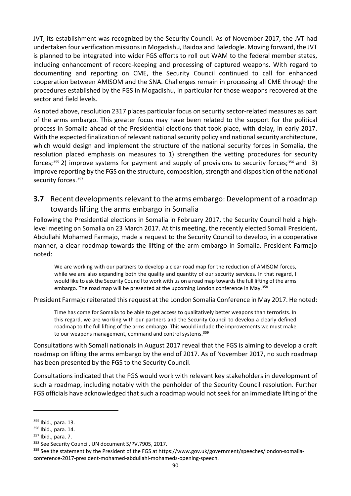JVT, its establishment was recognized by the Security Council. As of November 2017, the JVT had undertaken four verification missions in Mogadishu, Baidoa and Baledogle. Moving forward, the JVT is planned to be integrated into wider FGS efforts to roll out WAM to the federal member states, including enhancement of record-keeping and processing of captured weapons. With regard to documenting and reporting on CME, the Security Council continued to call for enhanced cooperation between AMISOM and the SNA. Challenges remain in processing all CME through the procedures established by the FGS in Mogadishu, in particular for those weapons recovered at the sector and field levels.

As noted above, resolution 2317 places particular focus on security sector-related measures as part of the arms embargo. This greater focus may have been related to the support for the political process in Somalia ahead of the Presidential elections that took place, with delay, in early 2017. With the expected finalization of relevant national security policy and national security architecture, which would design and implement the structure of the national security forces in Somalia, the resolution placed emphasis on measures to 1) strengthen the vetting procedures for security forces;<sup>[355](#page-99-0)</sup> 2) improve systems for payment and supply of provisions to security forces;<sup>[356](#page-99-1)</sup> and 3) improve reporting by the FGS on the structure, composition, strength and disposition of the national security forces.<sup>[357](#page-99-2)</sup>

### **3.7** Recent developments relevant to the arms embargo: Development of a roadmap towards lifting the arms embargo in Somalia

Following the Presidential elections in Somalia in February 2017, the Security Council held a highlevel meeting on Somalia on 23 March 2017. At this meeting, the recently elected Somali President, Abdullahi Mohamed Farmajo, made a request to the Security Council to develop, in a cooperative manner, a clear roadmap towards the lifting of the arm embargo in Somalia. President Farmajo noted:

We are working with our partners to develop a clear road map for the reduction of AMISOM forces, while we are also expanding both the quality and quantity of our security services. In that regard, I would like to ask the Security Council to work with us on a road map towards the full lifting of the arms embargo. The road map will be presented at the upcoming London conference in May.<sup>[358](#page-99-3)</sup>

President Farmajo reiterated this request at the London Somalia Conference in May 2017. He noted:

Time has come for Somalia to be able to get access to qualitatively better weapons than terrorists. In this regard, we are working with our partners and the Security Council to develop a clearly defined roadmap to the full lifting of the arms embargo. This would include the improvements we must make to our weapons management, command and control systems.<sup>[359](#page-99-4)</sup>

Consultations with Somali nationals in August 2017 reveal that the FGS is aiming to develop a draft roadmap on lifting the arms embargo by the end of 2017. As of November 2017, no such roadmap has been presented by the FGS to the Security Council.

Consultations indicated that the FGS would work with relevant key stakeholders in development of such a roadmap, including notably with the penholder of the Security Council resolution. Further FGS officials have acknowledged that such a roadmap would not seek for an immediate lifting of the

<span id="page-99-0"></span><sup>355</sup> Ibid., para. 13.

<span id="page-99-1"></span><sup>356</sup> Ibid., para. 14.

<span id="page-99-2"></span><sup>357</sup> Ibid., para. 7.

<span id="page-99-3"></span><sup>&</sup>lt;sup>358</sup> See Security Council, UN document S/PV.7905, 2017.

<span id="page-99-4"></span><sup>&</sup>lt;sup>359</sup> See the statement by the President of the FGS at [https://www.gov.uk/government/speeches/london-somalia](https://www.gov.uk/government/speeches/london-somalia-conference-2017-president-mohamed-abdullahi-mohameds-opening-speech)[conference-2017-president-mohamed-abdullahi-mohameds-opening-speech.](https://www.gov.uk/government/speeches/london-somalia-conference-2017-president-mohamed-abdullahi-mohameds-opening-speech)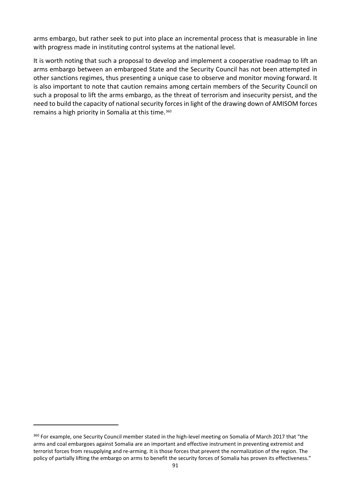arms embargo, but rather seek to put into place an incremental process that is measurable in line with progress made in instituting control systems at the national level.

It is worth noting that such a proposal to develop and implement a cooperative roadmap to lift an arms embargo between an embargoed State and the Security Council has not been attempted in other sanctions regimes, thus presenting a unique case to observe and monitor moving forward. It is also important to note that caution remains among certain members of the Security Council on such a proposal to lift the arms embargo, as the threat of terrorism and insecurity persist, and the need to build the capacity of national security forces in light of the drawing down of AMISOM forces remains a high priority in Somalia at this time.<sup>[360](#page-100-0)</sup>

<span id="page-100-0"></span><sup>&</sup>lt;sup>360</sup> For example, one Security Council member stated in the high-level meeting on Somalia of March 2017 that "the arms and coal embargoes against Somalia are an important and effective instrument in preventing extremist and terrorist forces from resupplying and re-arming. It is those forces that prevent the normalization of the region. The policy of partially lifting the embargo on arms to benefit the security forces of Somalia has proven its effectiveness."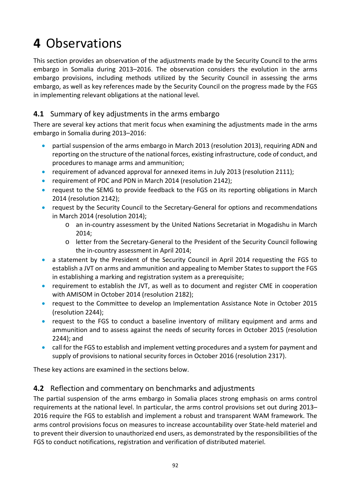## **4** Observations

This section provides an observation of the adjustments made by the Security Council to the arms embargo in Somalia during 2013–2016. The observation considers the evolution in the arms embargo provisions, including methods utilized by the Security Council in assessing the arms embargo, as well as key references made by the Security Council on the progress made by the FGS in implementing relevant obligations at the national level.

## **4.1** Summary of key adjustments in the arms embargo

There are several key actions that merit focus when examining the adjustments made in the arms embargo in Somalia during 2013–2016:

- partial suspension of the arms embargo in March 2013 (resolution 2013), requiring ADN and reporting on the structure of the national forces, existing infrastructure, code of conduct, and procedures to manage arms and ammunition;
- requirement of advanced approval for annexed items in July 2013 (resolution 2111);
- requirement of PDC and PDN in March 2014 (resolution 2142);
- request to the SEMG to provide feedback to the FGS on its reporting obligations in March 2014 (resolution 2142);
- request by the Security Council to the Secretary-General for options and recommendations in March 2014 (resolution 2014);
	- o an in-country assessment by the United Nations Secretariat in Mogadishu in March 2014;
	- o letter from the Secretary-General to the President of the Security Council following the in-country assessment in April 2014;
- a statement by the President of the Security Council in April 2014 requesting the FGS to establish a JVT on arms and ammunition and appealing to Member States to support the FGS in establishing a marking and registration system as a prerequisite;
- requirement to establish the JVT, as well as to document and register CME in cooperation with AMISOM in October 2014 (resolution 2182);
- request to the Committee to develop an Implementation Assistance Note in October 2015 (resolution 2244);
- request to the FGS to conduct a baseline inventory of military equipment and arms and ammunition and to assess against the needs of security forces in October 2015 (resolution 2244); and
- call for the FGS to establish and implement vetting procedures and a system for payment and supply of provisions to national security forces in October 2016 (resolution 2317).

These key actions are examined in the sections below.

## **4.2** Reflection and commentary on benchmarks and adjustments

The partial suspension of the arms embargo in Somalia places strong emphasis on arms control requirements at the national level. In particular, the arms control provisions set out during 2013– 2016 require the FGS to establish and implement a robust and transparent WAM framework. The arms control provisions focus on measures to increase accountability over State-held materiel and to prevent their diversion to unauthorized end users, as demonstrated by the responsibilities of the FGS to conduct notifications, registration and verification of distributed materiel.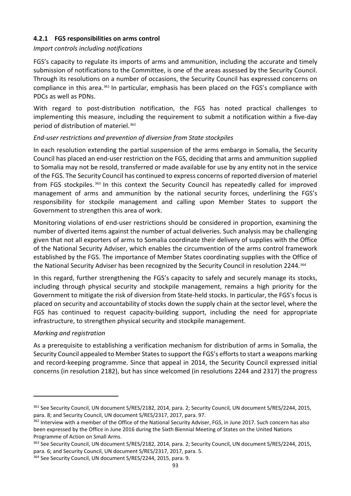### **4.2.1 FGS responsibilities on arms control**

### *Import controls including notifications*

FGS's capacity to regulate its imports of arms and ammunition, including the accurate and timely submission of notifications to the Committee, is one of the areas assessed by the Security Council. Through its resolutions on a number of occasions, the Security Council has expressed concerns on compliance in this area.[361](#page-102-0) In particular, emphasis has been placed on the FGS's compliance with PDCs as well as PDNs.

With regard to post-distribution notification, the FGS has noted practical challenges to implementing this measure, including the requirement to submit a notification within a five-day period of distribution of materiel.[362](#page-102-1) 

### *End-user restrictions and prevention of diversion from State stockpiles*

In each resolution extending the partial suspension of the arms embargo in Somalia, the Security Council has placed an end-user restriction on the FGS, deciding that arms and ammunition supplied to Somalia may not be resold, transferred or made available for use by any entity not in the service of the FGS. The Security Council has continued to express concerns of reported diversion of materiel from FGS stockpiles. [363](#page-102-2) In this context the Security Council has repeatedly called for improved management of arms and ammunition by the national security forces, underlining the FGS's responsibility for stockpile management and calling upon Member States to support the Government to strengthen this area of work.

Monitoring violations of end-user restrictions should be considered in proportion, examining the number of diverted items against the number of actual deliveries. Such analysis may be challenging given that not all exporters of arms to Somalia coordinate their delivery of supplies with the Office of the National Security Adviser, which enables the circumvention of the arms control framework established by the FGS. The importance of Member States coordinating supplies with the Office of the National Security Adviser has been recognized by the Security Council in resolution 2244.[364](#page-102-3)

In this regard, further strengthening the FGS's capacity to safely and securely manage its stocks, including through physical security and stockpile management, remains a high priority for the Government to mitigate the risk of diversion from State-held stocks. In particular, the FGS's focus is placed on security and accountability of stocks down the supply chain at the sector level, where the FGS has continued to request capacity-building support, including the need for appropriate infrastructure, to strengthen physical security and stockpile management.

### *Marking and registration*

-

As a prerequisite to establishing a verification mechanism for distribution of arms in Somalia, the Security Council appealed to Member States to support the FGS's efforts to start a weapons marking and record-keeping programme. Since that appeal in 2014, the Security Council expressed initial concerns (in resolution 2182), but has since welcomed (in resolutions 2244 and 2317) the progress

<span id="page-102-0"></span><sup>361</sup> See Security Council, UN document S/RES/2182, 2014, para. 2; Security Council, UN document S/RES/2244, 2015, para. 8; and Security Council, UN document S/RES/2317, 2017, para. 97.

<span id="page-102-1"></span><sup>&</sup>lt;sup>362</sup> Interview with a member of the Office of the National Security Adviser, FGS, in June 2017. Such concern has also been expressed by the Office in June 2016 during the Sixth Biennial Meeting of States on the United Nations Programme of Action on Small Arms.

<span id="page-102-2"></span><sup>&</sup>lt;sup>363</sup> See Security Council, UN document S/RES/2182, 2014, para. 2; Security Council, UN document S/RES/2244, 2015, para. 6; and Security Council, UN document S/RES/2317, 2017, para. 5.<br><sup>364</sup> See Security Council, UN document S/RES/2244, 2015, para. 9.

<span id="page-102-3"></span>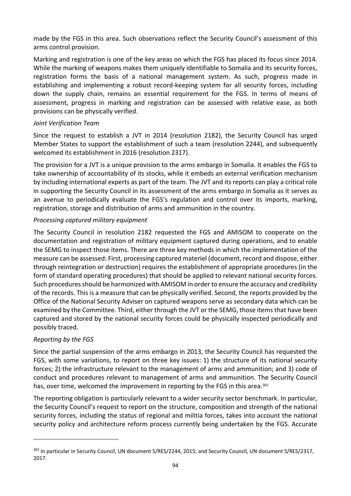made by the FGS in this area. Such observations reflect the Security Council's assessment of this arms control provision.

Marking and registration is one of the key areas on which the FGS has placed its focus since 2014. While the marking of weapons makes them uniquely identifiable to Somalia and its security forces, registration forms the basis of a national management system. As such, progress made in establishing and implementing a robust record-keeping system for all security forces, including down the supply chain, remains an essential requirement for the FGS. In terms of means of assessment, progress in marking and registration can be assessed with relative ease, as both provisions can be physically verified.

### *Joint Verification Team*

Since the request to establish a JVT in 2014 (resolution 2182), the Security Council has urged Member States to support the establishment of such a team (resolution 2244), and subsequently welcomed its establishment in 2016 (resolution 2317).

The provision for a JVT is a unique provision to the arms embargo in Somalia. It enables the FGS to take ownership of accountability of its stocks, while it embeds an external verification mechanism by including international experts as part of the team. The JVT and its reports can play a critical role in supporting the Security Council in its assessment of the arms embargo in Somalia as it serves as an avenue to periodically evaluate the FGS's regulation and control over its imports, marking, registration, storage and distribution of arms and ammunition in the country.

### *Processing captured military equipment*

The Security Council in resolution 2182 requested the FGS and AMISOM to cooperate on the documentation and registration of military equipment captured during operations, and to enable the SEMG to inspect those items. There are three key methods in which the implementation of the measure can be assessed: First, processing captured materiel (document, record and dispose, either through reintegration or destruction) requires the establishment of appropriate procedures (in the form of standard operating procedures) that should be applied to relevant national security forces. Such procedures should be harmonized with AMISOM in order to ensure the accuracy and credibility of the records. This is a measure that can be physically verified. Second, the reports provided by the Office of the National Security Adviser on captured weapons serve as secondary data which can be examined by the Committee. Third, either through the JVT or the SEMG, those items that have been captured and stored by the national security forces could be physically inspected periodically and possibly traced.

### *Reporting by the FGS*

1

Since the partial suspension of the arms embargo in 2013, the Security Council has requested the FGS, with some variations, to report on three key issues: 1) the structure of its national security forces; 2) the infrastructure relevant to the management of arms and ammunition; and 3) code of conduct and procedures relevant to management of arms and ammunition. The Security Council has, over time, welcomed the improvement in reporting by the FGS in this area.<sup>[365](#page-103-0)</sup>

The reporting obligation is particularly relevant to a wider security sector benchmark. In particular, the Security Council's request to report on the structure, composition and strength of the national security forces, including the status of regional and militia forces, takes into account the national security policy and architecture reform process currently being undertaken by the FGS. Accurate

<span id="page-103-0"></span><sup>365</sup> In particular in Security Council, UN document S/RES/2244, 2015; and Security Council, UN document S/RES/2317, 2017.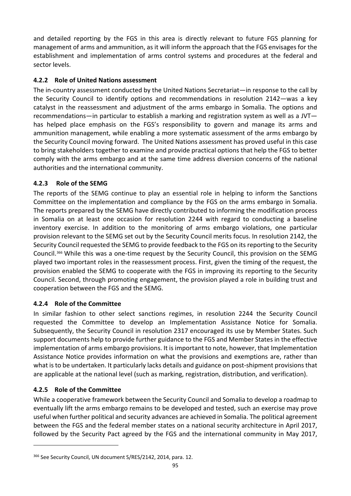and detailed reporting by the FGS in this area is directly relevant to future FGS planning for management of arms and ammunition, as it will inform the approach that the FGS envisages for the establishment and implementation of arms control systems and procedures at the federal and sector levels.

### **4.2.2 Role of United Nations assessment**

The in-country assessment conducted by the United Nations Secretariat—in response to the call by the Security Council to identify options and recommendations in resolution 2142—was a key catalyst in the reassessment and adjustment of the arms embargo in Somalia. The options and recommendations—in particular to establish a marking and registration system as well as a JVT has helped place emphasis on the FGS's responsibility to govern and manage its arms and ammunition management, while enabling a more systematic assessment of the arms embargo by the Security Council moving forward. The United Nations assessment has proved useful in this case to bring stakeholders together to examine and provide practical options that help the FGS to better comply with the arms embargo and at the same time address diversion concerns of the national authorities and the international community.

### **4.2.3 Role of the SEMG**

The reports of the SEMG continue to play an essential role in helping to inform the Sanctions Committee on the implementation and compliance by the FGS on the arms embargo in Somalia. The reports prepared by the SEMG have directly contributed to informing the modification process in Somalia on at least one occasion for resolution 2244 with regard to conducting a baseline inventory exercise. In addition to the monitoring of arms embargo violations, one particular provision relevant to the SEMG set out by the Security Council merits focus. In resolution 2142, the Security Council requested the SEMG to provide feedback to the FGS on its reporting to the Security Council.[366](#page-104-0) While this was a one-time request by the Security Council, this provision on the SEMG played two important roles in the reassessment process. First, given the timing of the request, the provision enabled the SEMG to cooperate with the FGS in improving its reporting to the Security Council. Second, through promoting engagement, the provision played a role in building trust and cooperation between the FGS and the SEMG.

### **4.2.4 Role of the Committee**

In similar fashion to other select sanctions regimes, in resolution 2244 the Security Council requested the Committee to develop an Implementation Assistance Notice for Somalia. Subsequently, the Security Council in resolution 2317 encouraged its use by Member States. Such support documents help to provide further guidance to the FGS and Member States in the effective implementation of arms embargo provisions. It is important to note, however, that Implementation Assistance Notice provides information on what the provisions and exemptions are, rather than what is to be undertaken. It particularly lacks details and guidance on post-shipment provisions that are applicable at the national level (such as marking, registration, distribution, and verification).

### **4.2.5 Role of the Committee**

1

While a cooperative framework between the Security Council and Somalia to develop a roadmap to eventually lift the arms embargo remains to be developed and tested, such an exercise may prove useful when further political and security advances are achieved in Somalia. The political agreement between the FGS and the federal member states on a national security architecture in April 2017, followed by the Security Pact agreed by the FGS and the international community in May 2017,

<span id="page-104-0"></span><sup>&</sup>lt;sup>366</sup> See Security Council, UN document S/RES/2142, 2014, para. 12.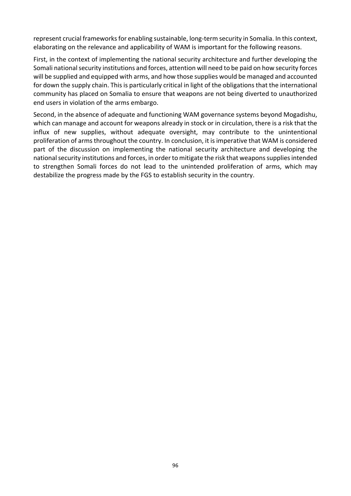represent crucial frameworks for enabling sustainable, long-term security in Somalia. In this context, elaborating on the relevance and applicability of WAM is important for the following reasons.

First, in the context of implementing the national security architecture and further developing the Somali national security institutions and forces, attention will need to be paid on how security forces will be supplied and equipped with arms, and how those supplies would be managed and accounted for down the supply chain. This is particularly critical in light of the obligations that the international community has placed on Somalia to ensure that weapons are not being diverted to unauthorized end users in violation of the arms embargo.

Second, in the absence of adequate and functioning WAM governance systems beyond Mogadishu, which can manage and account for weapons already in stock or in circulation, there is a risk that the influx of new supplies, without adequate oversight, may contribute to the unintentional proliferation of arms throughout the country. In conclusion, it is imperative that WAM is considered part of the discussion on implementing the national security architecture and developing the national security institutions and forces, in order to mitigate the risk that weapons supplies intended to strengthen Somali forces do not lead to the unintended proliferation of arms, which may destabilize the progress made by the FGS to establish security in the country.